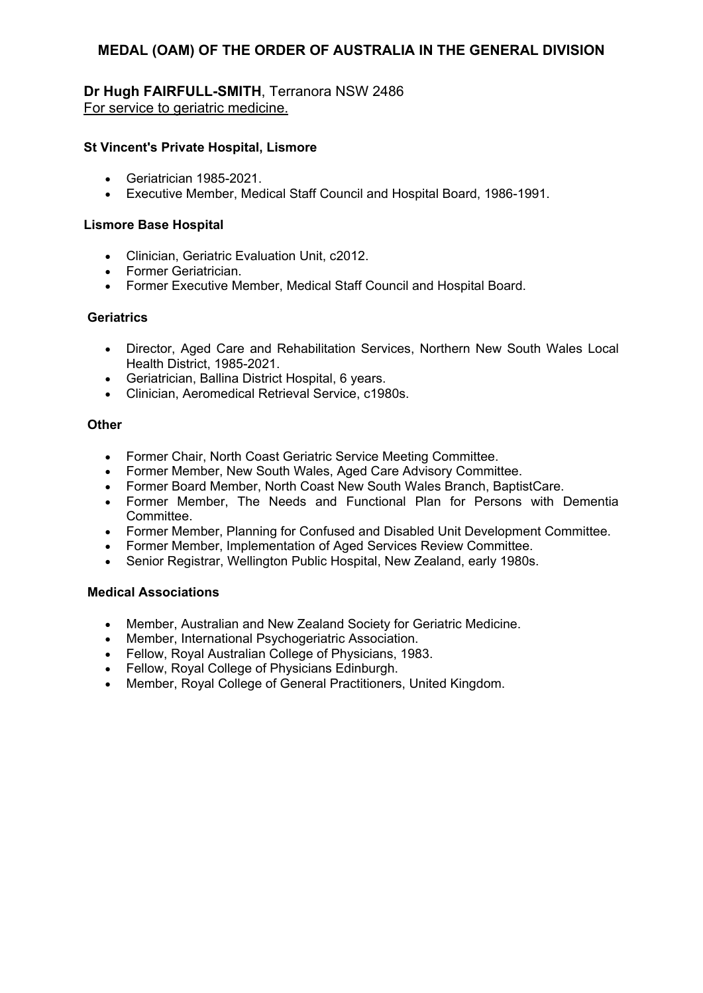# **Dr Hugh FAIRFULL-SMITH**, Terranora NSW 2486 For service to geriatric medicine.

#### **St Vincent's Private Hospital, Lismore**

- Geriatrician 1985-2021.
- Executive Member, Medical Staff Council and Hospital Board, 1986-1991.

#### **Lismore Base Hospital**

- Clinician, Geriatric Evaluation Unit, c2012.
- Former Geriatrician.
- Former Executive Member, Medical Staff Council and Hospital Board.

#### **Geriatrics**

- Director, Aged Care and Rehabilitation Services, Northern New South Wales Local Health District, 1985-2021.
- Geriatrician, Ballina District Hospital, 6 years.
- Clinician, Aeromedical Retrieval Service, c1980s.

#### **Other**

- Former Chair, North Coast Geriatric Service Meeting Committee.
- Former Member, New South Wales, Aged Care Advisory Committee.
- Former Board Member, North Coast New South Wales Branch, BaptistCare.
- Former Member, The Needs and Functional Plan for Persons with Dementia Committee.
- Former Member, Planning for Confused and Disabled Unit Development Committee.
- Former Member, Implementation of Aged Services Review Committee.
- Senior Registrar, Wellington Public Hospital, New Zealand, early 1980s.

#### **Medical Associations**

- Member, Australian and New Zealand Society for Geriatric Medicine.
- Member, International Psychogeriatric Association.
- Fellow, Royal Australian College of Physicians, 1983.
- Fellow, Royal College of Physicians Edinburgh.
- Member, Royal College of General Practitioners, United Kingdom.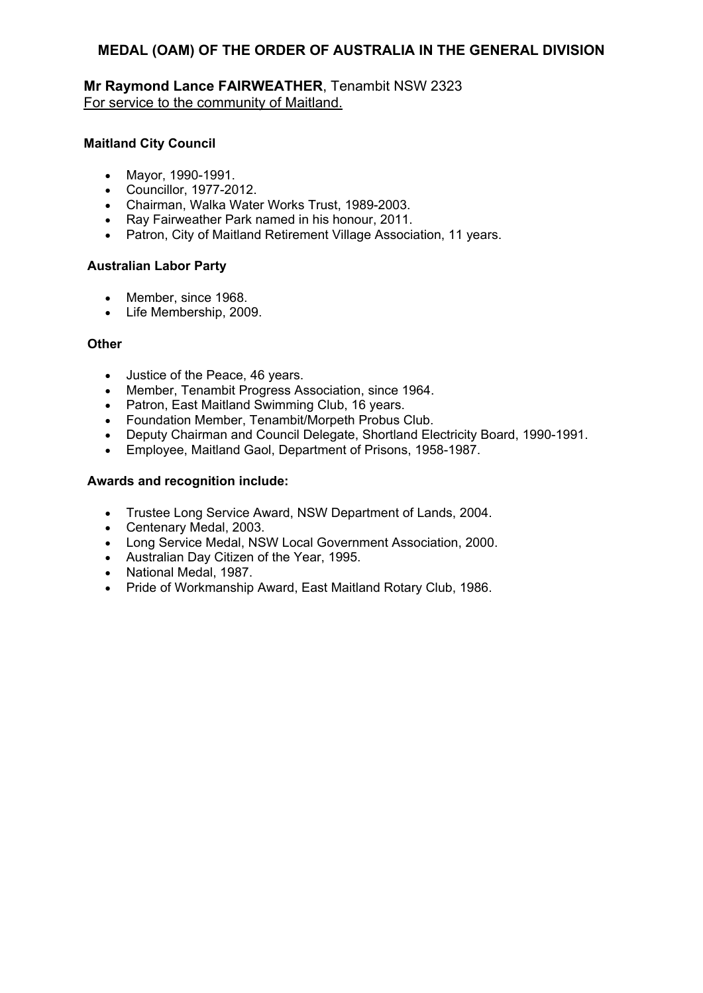**Mr Raymond Lance FAIRWEATHER**, Tenambit NSW 2323 For service to the community of Maitland.

## **Maitland City Council**

- Mayor, 1990-1991.
- Councillor, 1977-2012.
- Chairman, Walka Water Works Trust, 1989-2003.
- Ray Fairweather Park named in his honour, 2011.
- Patron, City of Maitland Retirement Village Association, 11 years.

#### **Australian Labor Party**

- Member, since 1968.
- Life Membership, 2009.

#### **Other**

- Justice of the Peace, 46 years.
- Member, Tenambit Progress Association, since 1964.
- Patron, East Maitland Swimming Club, 16 years.
- Foundation Member, Tenambit/Morpeth Probus Club.
- Deputy Chairman and Council Delegate, Shortland Electricity Board, 1990-1991.
- Employee, Maitland Gaol, Department of Prisons, 1958-1987.

- Trustee Long Service Award, NSW Department of Lands, 2004.
- Centenary Medal, 2003.
- Long Service Medal, NSW Local Government Association, 2000.
- Australian Day Citizen of the Year, 1995.
- National Medal, 1987.
- Pride of Workmanship Award, East Maitland Rotary Club, 1986.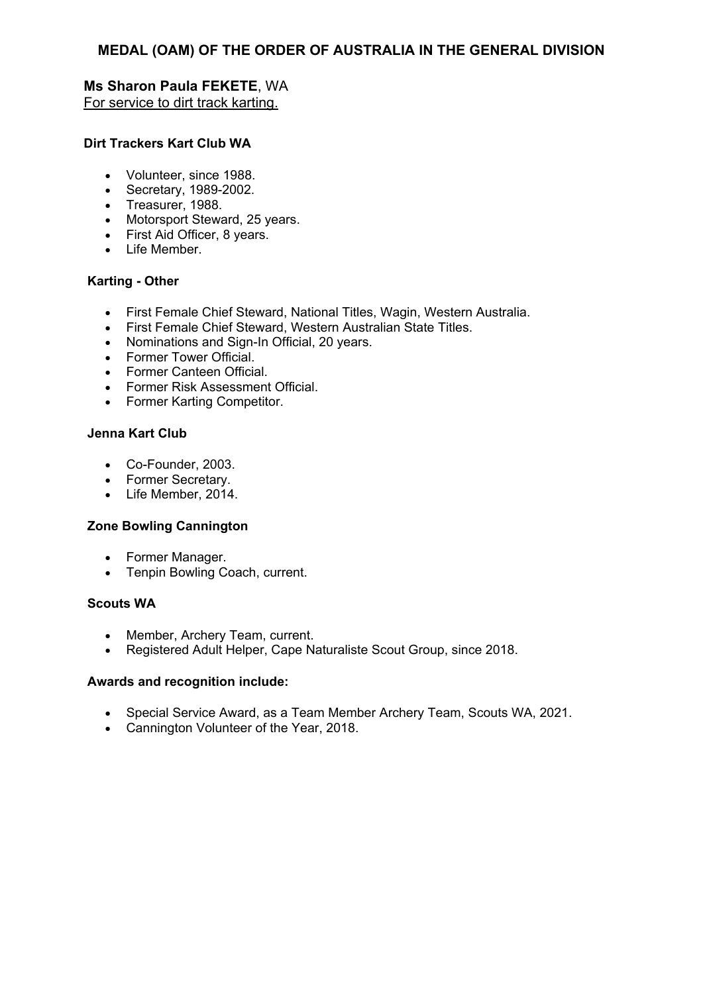# **Ms Sharon Paula FEKETE**, WA For service to dirt track karting.

## **Dirt Trackers Kart Club WA**

- Volunteer, since 1988.
- Secretary, 1989-2002.
- Treasurer, 1988.
- Motorsport Steward, 25 years.
- First Aid Officer, 8 years.
- Life Member.

# **Karting - Other**

- First Female Chief Steward, National Titles, Wagin, Western Australia.
- First Female Chief Steward, Western Australian State Titles.
- Nominations and Sign-In Official, 20 years.
- Former Tower Official.
- Former Canteen Official.
- Former Risk Assessment Official.
- Former Karting Competitor.

## **Jenna Kart Club**

- Co-Founder, 2003.
- Former Secretary.
- Life Member, 2014.

## **Zone Bowling Cannington**

- Former Manager.
- Tenpin Bowling Coach, current.

## **Scouts WA**

- Member, Archery Team, current.
- Registered Adult Helper, Cape Naturaliste Scout Group, since 2018.

- Special Service Award, as a Team Member Archery Team, Scouts WA, 2021.
- Cannington Volunteer of the Year, 2018.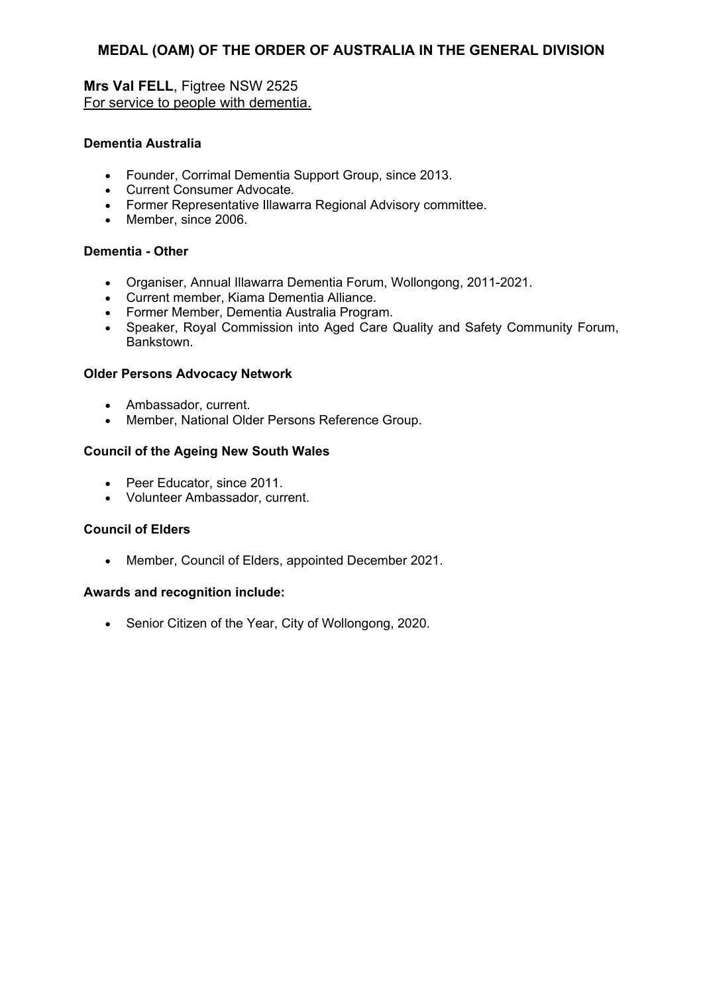# **Mrs Val FELL**, Figtree NSW 2525 For service to people with dementia.

#### **Dementia Australia**

- Founder, Corrimal Dementia Support Group, since 2013.
- Current Consumer Advocate.
- Former Representative Illawarra Regional Advisory committee.
- Member, since 2006.

## **Dementia - Other**

- Organiser, Annual Illawarra Dementia Forum, Wollongong, 2011-2021.
- Current member, Kiama Dementia Alliance.
- Former Member, Dementia Australia Program.
- Speaker, Royal Commission into Aged Care Quality and Safety Community Forum, Bankstown.

#### **Older Persons Advocacy Network**

- Ambassador, current.
- Member, National Older Persons Reference Group.

#### **Council of the Ageing New South Wales**

- Peer Educator, since 2011.
- Volunteer Ambassador, current.

#### **Council of Elders**

Member, Council of Elders, appointed December 2021.

## **Awards and recognition include:**

• Senior Citizen of the Year, City of Wollongong, 2020.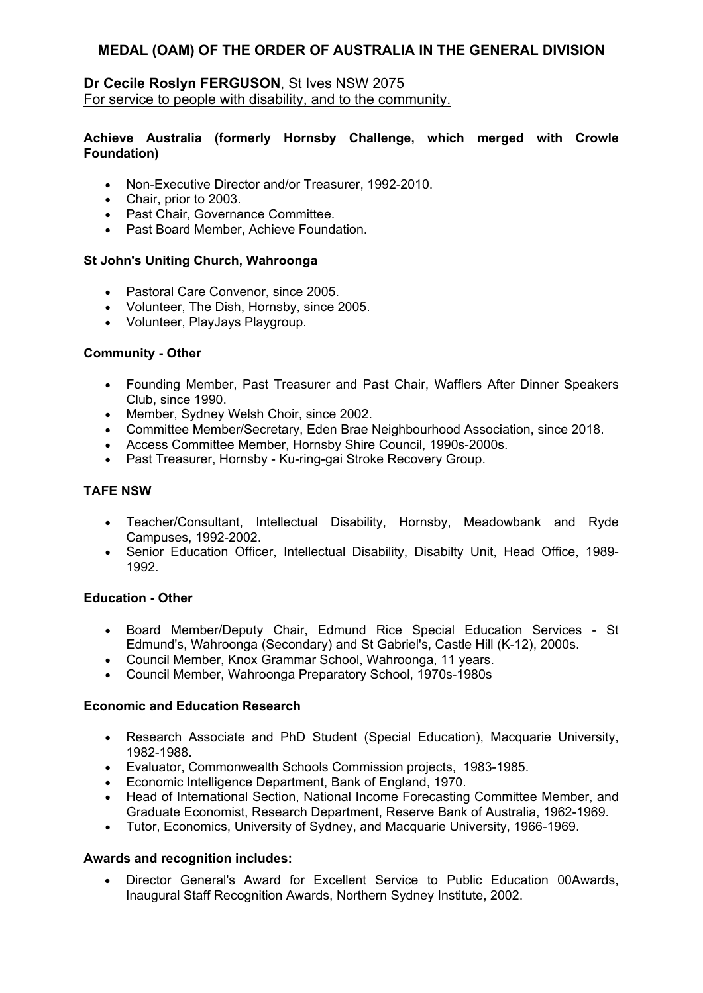## **Dr Cecile Roslyn FERGUSON**, St Ives NSW 2075 For service to people with disability, and to the community.

#### **Achieve Australia (formerly Hornsby Challenge, which merged with Crowle Foundation)**

- Non-Executive Director and/or Treasurer, 1992-2010.
- Chair, prior to 2003.
- Past Chair, Governance Committee.
- Past Board Member, Achieve Foundation.

## **St John's Uniting Church, Wahroonga**

- Pastoral Care Convenor, since 2005.
- Volunteer, The Dish, Hornsby, since 2005.
- Volunteer, PlayJays Playgroup.

# **Community - Other**

- Founding Member, Past Treasurer and Past Chair, Wafflers After Dinner Speakers Club, since 1990.
- Member, Sydney Welsh Choir, since 2002.
- Committee Member/Secretary, Eden Brae Neighbourhood Association, since 2018.
- Access Committee Member, Hornsby Shire Council, 1990s-2000s.
- Past Treasurer, Hornsby Ku-ring-gai Stroke Recovery Group.

# **TAFE NSW**

- Teacher/Consultant, Intellectual Disability, Hornsby, Meadowbank and Ryde Campuses, 1992-2002.
- Senior Education Officer, Intellectual Disability, Disabilty Unit, Head Office, 1989- 1992.

## **Education - Other**

- Board Member/Deputy Chair, Edmund Rice Special Education Services St Edmund's, Wahroonga (Secondary) and St Gabriel's, Castle Hill (K-12), 2000s.
- Council Member, Knox Grammar School, Wahroonga, 11 years.
- Council Member, Wahroonga Preparatory School, 1970s-1980s

## **Economic and Education Research**

- Research Associate and PhD Student (Special Education), Macquarie University, 1982-1988.
- Evaluator, Commonwealth Schools Commission projects, 1983-1985.
- Economic Intelligence Department, Bank of England, 1970.
- Head of International Section, National Income Forecasting Committee Member, and Graduate Economist, Research Department, Reserve Bank of Australia, 1962-1969.
- Tutor, Economics, University of Sydney, and Macquarie University, 1966-1969.

## **Awards and recognition includes:**

 Director General's Award for Excellent Service to Public Education 00Awards, Inaugural Staff Recognition Awards, Northern Sydney Institute, 2002.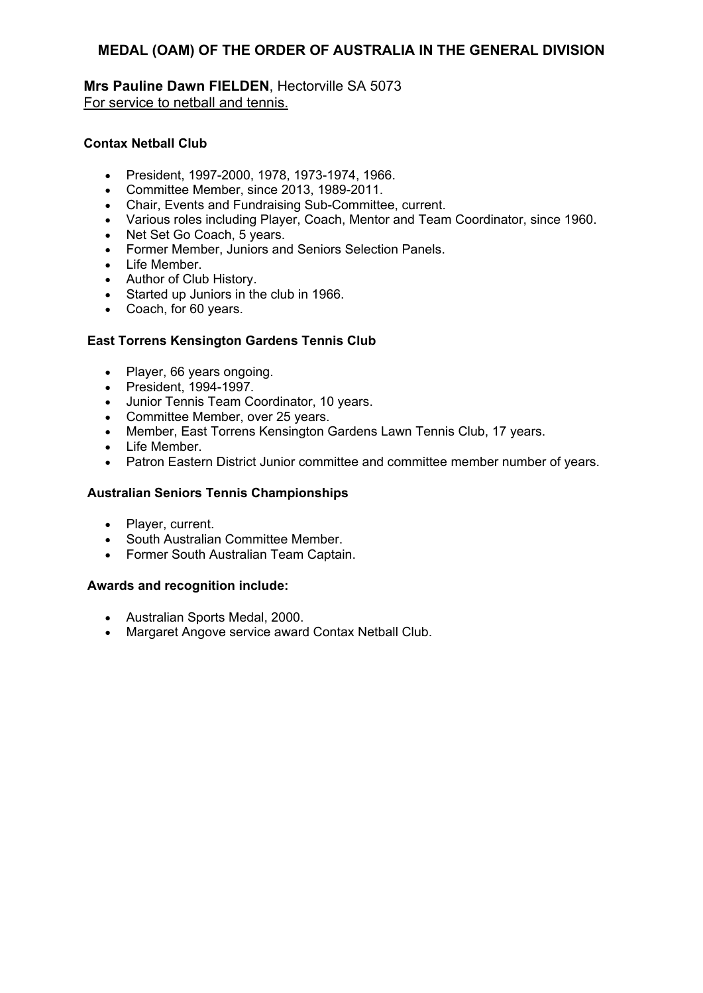**Mrs Pauline Dawn FIELDEN**, Hectorville SA 5073 For service to netball and tennis.

## **Contax Netball Club**

- President, 1997-2000, 1978, 1973-1974, 1966.
- Committee Member, since 2013, 1989-2011.
- Chair, Events and Fundraising Sub-Committee, current.
- Various roles including Player, Coach, Mentor and Team Coordinator, since 1960.
- Net Set Go Coach, 5 years.
- Former Member, Juniors and Seniors Selection Panels.
- Life Member.
- Author of Club History.
- Started up Juniors in the club in 1966.
- Coach, for 60 years.

# **East Torrens Kensington Gardens Tennis Club**

- Player, 66 years ongoing.
- President, 1994-1997.
- Junior Tennis Team Coordinator, 10 years.
- Committee Member, over 25 years.
- Member, East Torrens Kensington Gardens Lawn Tennis Club, 17 years.
- Life Member.
- Patron Eastern District Junior committee and committee member number of years.

# **Australian Seniors Tennis Championships**

- Player, current.
- South Australian Committee Member.
- Former South Australian Team Captain.

- Australian Sports Medal, 2000.
- Margaret Angove service award Contax Netball Club.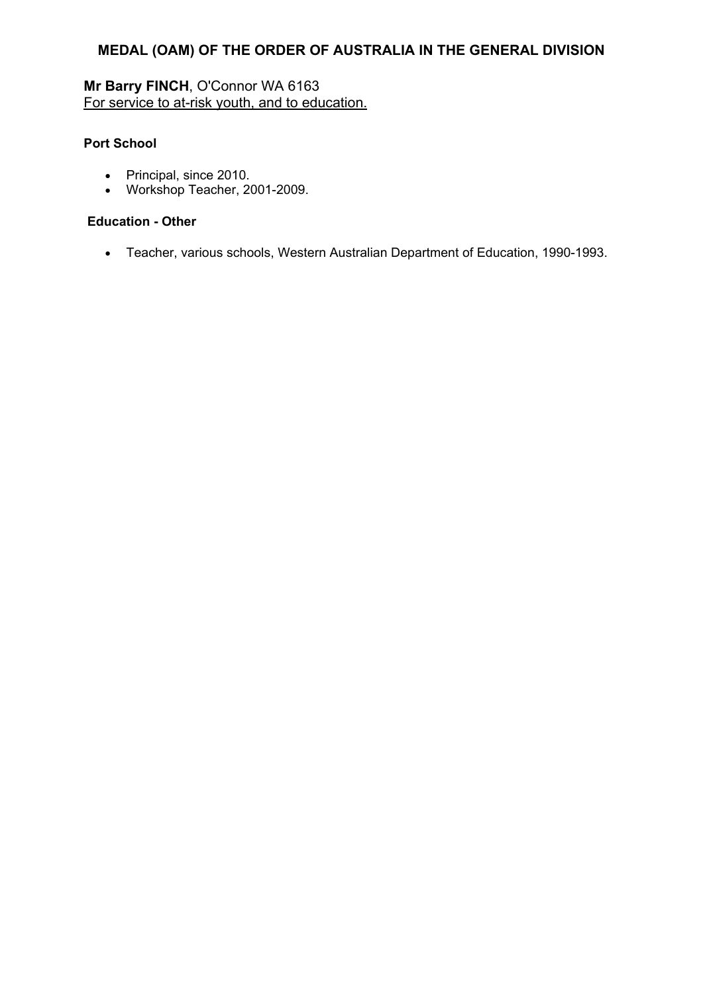# **Mr Barry FINCH**, O'Connor WA 6163 For service to at-risk youth, and to education.

# **Port School**

- Principal, since 2010.
- Workshop Teacher, 2001-2009.

## **Education - Other**

Teacher, various schools, Western Australian Department of Education, 1990-1993.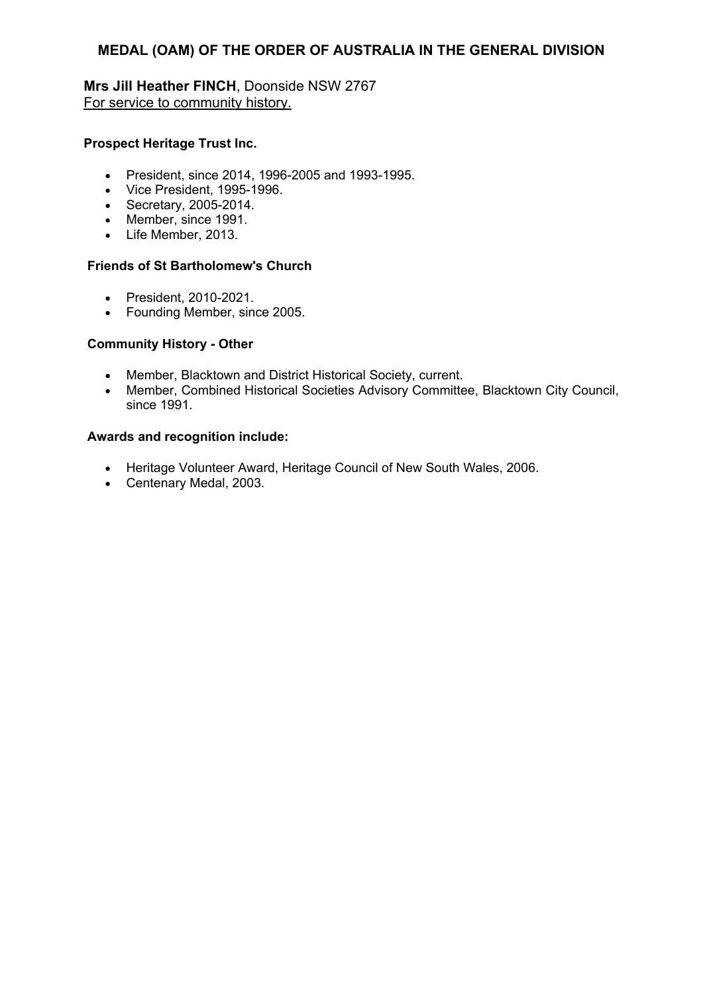**Mrs Jill Heather FINCH**, Doonside NSW 2767 For service to community history.

## **Prospect Heritage Trust Inc.**

- President, since 2014, 1996-2005 and 1993-1995.
- Vice President, 1995-1996.
- Secretary, 2005-2014.
- Member, since 1991.
- Life Member, 2013.

## **Friends of St Bartholomew's Church**

- President, 2010-2021.
- Founding Member, since 2005.

# **Community History - Other**

- Member, Blacktown and District Historical Society, current.
- Member, Combined Historical Societies Advisory Committee, Blacktown City Council, since 1991.

- Heritage Volunteer Award, Heritage Council of New South Wales, 2006.
- Centenary Medal, 2003*.*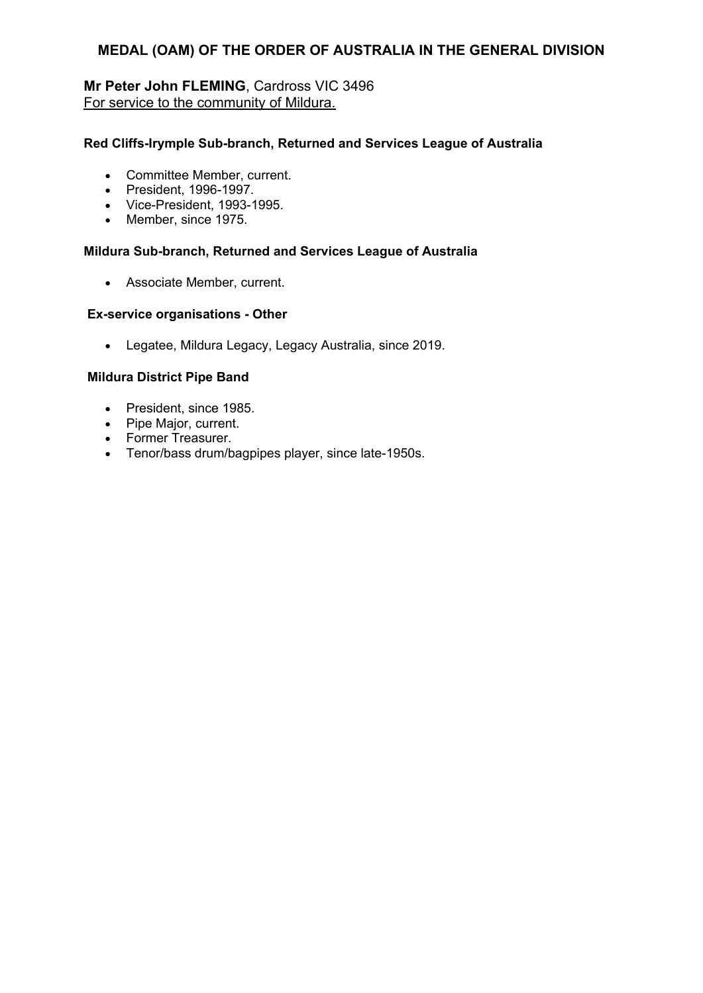# **Mr Peter John FLEMING**, Cardross VIC 3496 For service to the community of Mildura.

## **Red Cliffs-Irymple Sub-branch, Returned and Services League of Australia**

- Committee Member, current.
- President, 1996-1997.
- Vice-President, 1993-1995.
- Member, since 1975.

## **Mildura Sub-branch, Returned and Services League of Australia**

Associate Member, current.

## **Ex-service organisations - Other**

Legatee, Mildura Legacy, Legacy Australia, since 2019.

## **Mildura District Pipe Band**

- President, since 1985.
- Pipe Major, current.
- Former Treasurer.
- Tenor/bass drum/bagpipes player, since late-1950s.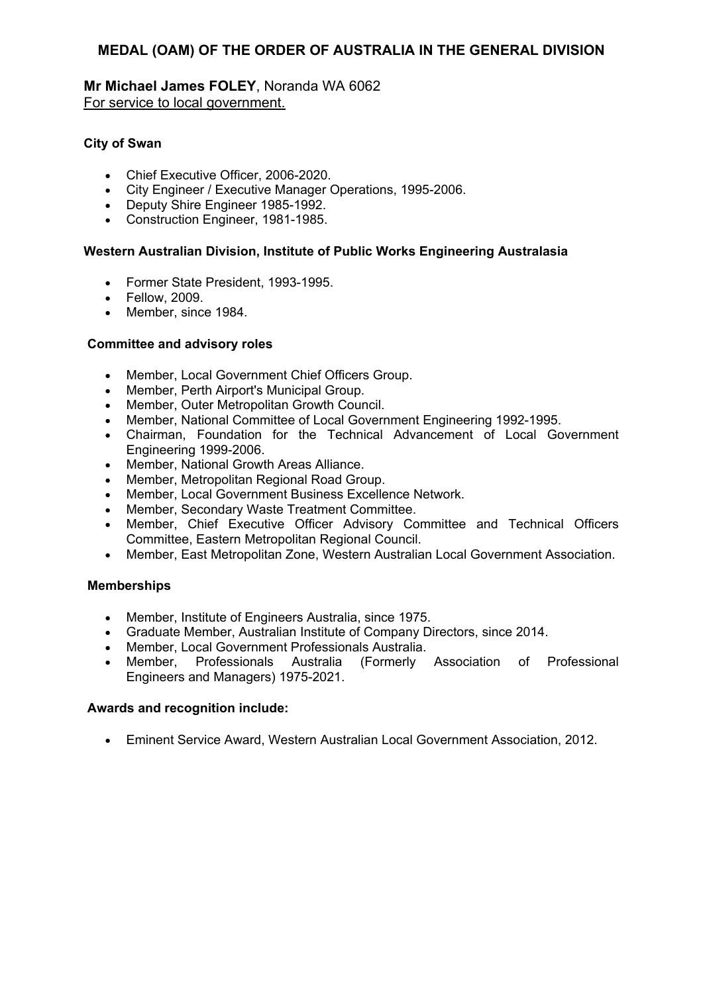**Mr Michael James FOLEY**, Noranda WA 6062 For service to local government.

## **City of Swan**

- Chief Executive Officer, 2006-2020.
- City Engineer / Executive Manager Operations, 1995-2006.
- Deputy Shire Engineer 1985-1992.
- Construction Engineer, 1981-1985.

## **Western Australian Division, Institute of Public Works Engineering Australasia**

- Former State President, 1993-1995.
- Fellow, 2009.
- Member, since 1984.

## **Committee and advisory roles**

- Member, Local Government Chief Officers Group.
- Member. Perth Airport's Municipal Group.
- Member, Outer Metropolitan Growth Council.
- Member, National Committee of Local Government Engineering 1992-1995.
- Chairman, Foundation for the Technical Advancement of Local Government Engineering 1999-2006.
- Member, National Growth Areas Alliance.
- Member, Metropolitan Regional Road Group.
- Member, Local Government Business Excellence Network.
- Member, Secondary Waste Treatment Committee.
- Member, Chief Executive Officer Advisory Committee and Technical Officers Committee, Eastern Metropolitan Regional Council.
- Member, East Metropolitan Zone, Western Australian Local Government Association.

## **Memberships**

- Member, Institute of Engineers Australia, since 1975.
- Graduate Member, Australian Institute of Company Directors, since 2014.
- Member, Local Government Professionals Australia.
- Member, Professionals Australia (Formerly Association of Professional Engineers and Managers) 1975-2021.

## **Awards and recognition include:**

Eminent Service Award, Western Australian Local Government Association, 2012.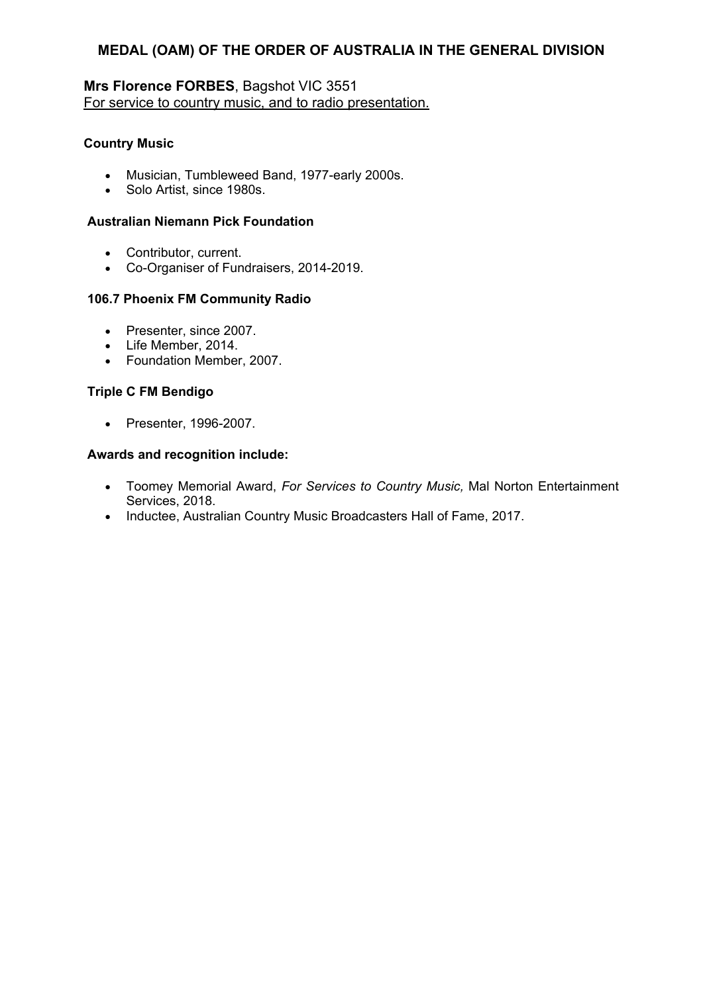# **Mrs Florence FORBES**, Bagshot VIC 3551 For service to country music, and to radio presentation.

## **Country Music**

- Musician, Tumbleweed Band, 1977-early 2000s.
- Solo Artist, since 1980s.

## **Australian Niemann Pick Foundation**

- Contributor, current.
- Co-Organiser of Fundraisers, 2014-2019.

# **106.7 Phoenix FM Community Radio**

- Presenter, since 2007.
- Life Member, 2014.
- Foundation Member, 2007.

# **Triple C FM Bendigo**

• Presenter, 1996-2007.

- Toomey Memorial Award, *For Services to Country Music,* Mal Norton Entertainment Services, 2018.
- Inductee, Australian Country Music Broadcasters Hall of Fame, 2017.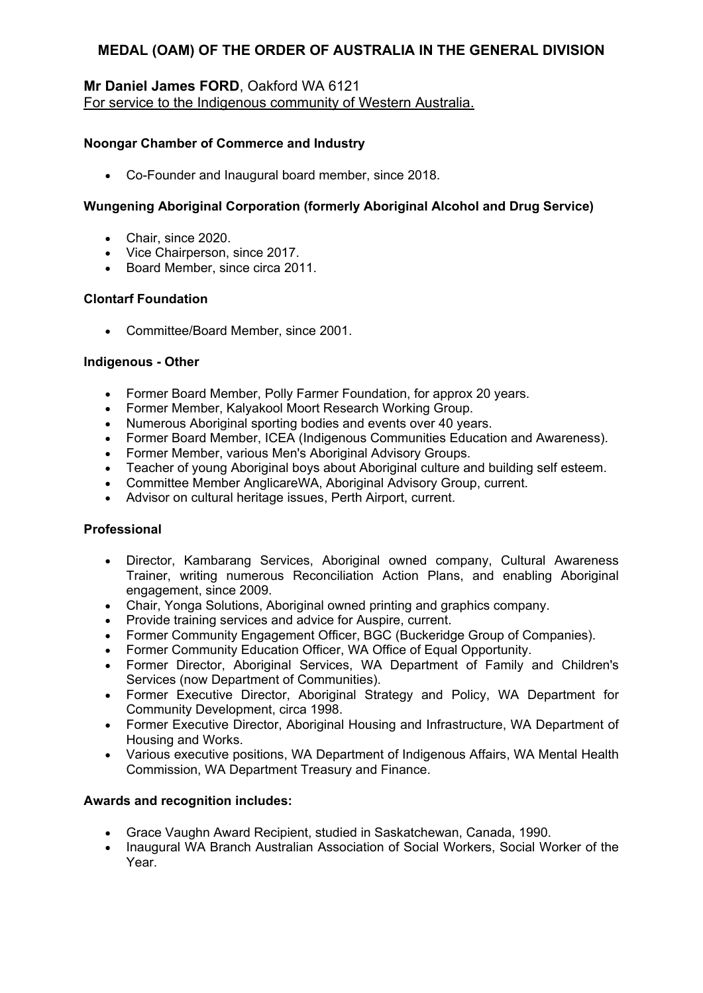# **Mr Daniel James FORD**, Oakford WA 6121 For service to the Indigenous community of Western Australia.

## **Noongar Chamber of Commerce and Industry**

Co-Founder and Inaugural board member, since 2018.

# **Wungening Aboriginal Corporation (formerly Aboriginal Alcohol and Drug Service)**

- Chair, since 2020.
- Vice Chairperson, since 2017.
- Board Member, since circa 2011.

# **Clontarf Foundation**

• Committee/Board Member, since 2001.

## **Indigenous - Other**

- Former Board Member, Polly Farmer Foundation, for approx 20 years.
- Former Member, Kalyakool Moort Research Working Group.
- Numerous Aboriginal sporting bodies and events over 40 years.
- Former Board Member, ICEA (Indigenous Communities Education and Awareness).
- Former Member, various Men's Aboriginal Advisory Groups.
- Teacher of young Aboriginal boys about Aboriginal culture and building self esteem.
- Committee Member AnglicareWA, Aboriginal Advisory Group, current.
- Advisor on cultural heritage issues, Perth Airport, current.

## **Professional**

- Director, Kambarang Services, Aboriginal owned company, Cultural Awareness Trainer, writing numerous Reconciliation Action Plans, and enabling Aboriginal engagement, since 2009.
- Chair, Yonga Solutions, Aboriginal owned printing and graphics company.
- Provide training services and advice for Auspire, current.
- Former Community Engagement Officer, BGC (Buckeridge Group of Companies).
- Former Community Education Officer, WA Office of Equal Opportunity.
- Former Director, Aboriginal Services, WA Department of Family and Children's Services (now Department of Communities).
- Former Executive Director, Aboriginal Strategy and Policy, WA Department for Community Development, circa 1998.
- Former Executive Director, Aboriginal Housing and Infrastructure, WA Department of Housing and Works.
- Various executive positions, WA Department of Indigenous Affairs, WA Mental Health Commission, WA Department Treasury and Finance.

- Grace Vaughn Award Recipient, studied in Saskatchewan, Canada, 1990.
- Inaugural WA Branch Australian Association of Social Workers, Social Worker of the Year.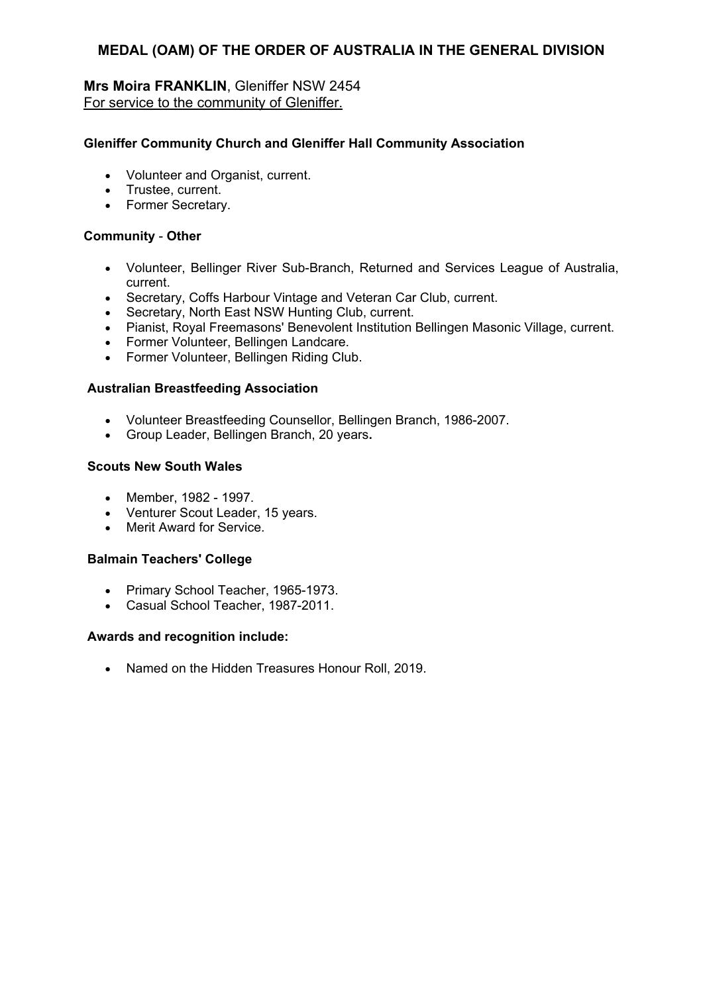# **Mrs Moira FRANKLIN**, Gleniffer NSW 2454 For service to the community of Gleniffer.

## **Gleniffer Community Church and Gleniffer Hall Community Association**

- Volunteer and Organist, current.
- Trustee, current.
- Former Secretary.

#### **Community** - **Other**

- Volunteer, Bellinger River Sub-Branch, Returned and Services League of Australia, current.
- Secretary, Coffs Harbour Vintage and Veteran Car Club, current.
- Secretary, North East NSW Hunting Club, current.
- Pianist, Royal Freemasons' Benevolent Institution Bellingen Masonic Village, current.
- Former Volunteer, Bellingen Landcare.
- Former Volunteer, Bellingen Riding Club.

#### **Australian Breastfeeding Association**

- Volunteer Breastfeeding Counsellor, Bellingen Branch, 1986-2007.
- Group Leader, Bellingen Branch, 20 years**.**

#### **Scouts New South Wales**

- Member, 1982 1997.
- Venturer Scout Leader, 15 years.
- Merit Award for Service.

#### **Balmain Teachers' College**

- Primary School Teacher, 1965-1973.
- Casual School Teacher, 1987-2011.

#### **Awards and recognition include:**

• Named on the Hidden Treasures Honour Roll, 2019.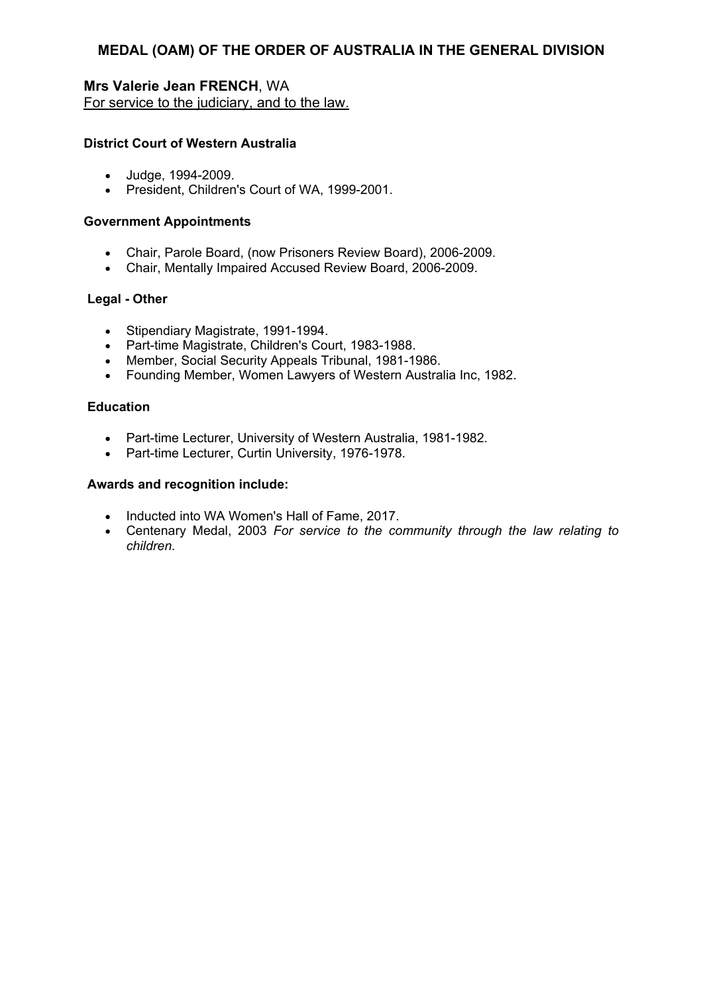**Mrs Valerie Jean FRENCH**, WA For service to the judiciary, and to the law.

## **District Court of Western Australia**

- Judge, 1994-2009.
- President, Children's Court of WA, 1999-2001.

#### **Government Appointments**

- Chair, Parole Board, (now Prisoners Review Board), 2006-2009.
- Chair, Mentally Impaired Accused Review Board, 2006-2009.

#### **Legal - Other**

- Stipendiary Magistrate, 1991-1994.
- Part-time Magistrate, Children's Court, 1983-1988.
- Member, Social Security Appeals Tribunal, 1981-1986.
- Founding Member, Women Lawyers of Western Australia Inc, 1982.

#### **Education**

- Part-time Lecturer, University of Western Australia, 1981-1982.
- Part-time Lecturer, Curtin University, 1976-1978.

- Inducted into WA Women's Hall of Fame, 2017.
- Centenary Medal, 2003 *For service to the community through the law relating to children.*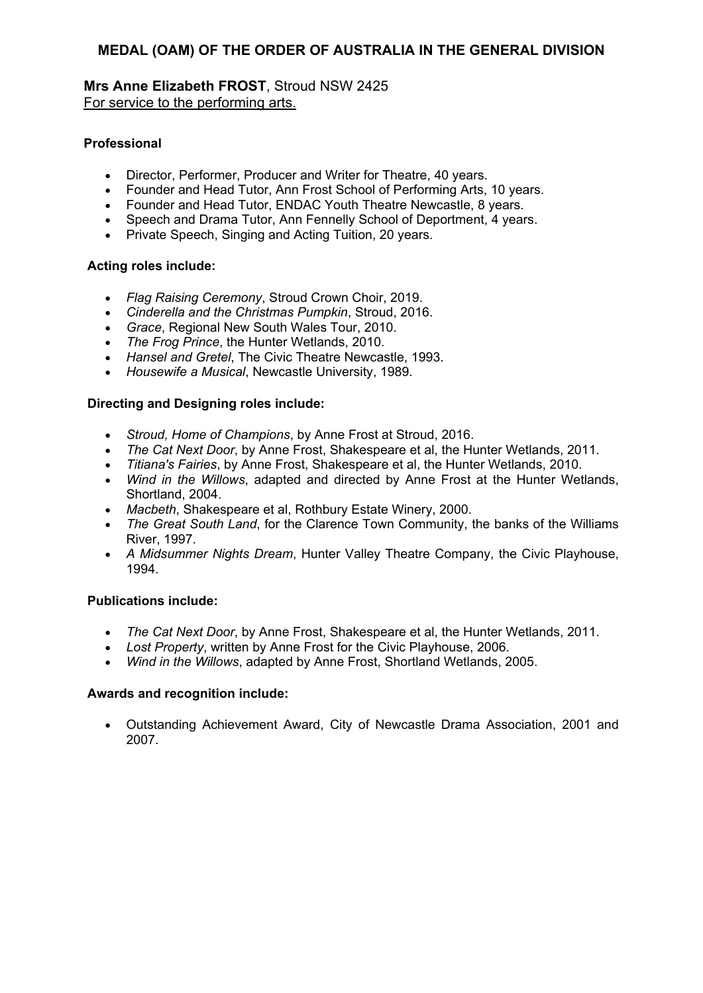**Mrs Anne Elizabeth FROST**, Stroud NSW 2425 For service to the performing arts.

## **Professional**

- Director, Performer, Producer and Writer for Theatre, 40 years.
- Founder and Head Tutor, Ann Frost School of Performing Arts, 10 years.
- Founder and Head Tutor, ENDAC Youth Theatre Newcastle, 8 years.
- Speech and Drama Tutor, Ann Fennelly School of Deportment, 4 years.
- Private Speech, Singing and Acting Tuition, 20 years.

# **Acting roles include:**

- *Flag Raising Ceremony*, Stroud Crown Choir, 2019.
- *Cinderella and the Christmas Pumpkin*, Stroud, 2016.
- *Grace*, Regional New South Wales Tour, 2010.
- *The Frog Prince*, the Hunter Wetlands, 2010.
- *Hansel and Gretel*, The Civic Theatre Newcastle, 1993.
- *Housewife a Musical*, Newcastle University, 1989.

# **Directing and Designing roles include:**

- *Stroud, Home of Champions*, by Anne Frost at Stroud, 2016.
- *The Cat Next Door*, by Anne Frost, Shakespeare et al, the Hunter Wetlands, 2011.
- *Titiana's Fairies*, by Anne Frost, Shakespeare et al, the Hunter Wetlands, 2010.
- *Wind in the Willows*, adapted and directed by Anne Frost at the Hunter Wetlands, Shortland, 2004.
- *Macbeth*, Shakespeare et al, Rothbury Estate Winery, 2000.
- *The Great South Land*, for the Clarence Town Community, the banks of the Williams River, 1997.
- *A Midsummer Nights Dream*, Hunter Valley Theatre Company, the Civic Playhouse, 1994.

# **Publications include:**

- *The Cat Next Door*, by Anne Frost, Shakespeare et al, the Hunter Wetlands, 2011.
- *Lost Property*, written by Anne Frost for the Civic Playhouse, 2006.
- *Wind in the Willows*, adapted by Anne Frost, Shortland Wetlands, 2005.

## **Awards and recognition include:**

 Outstanding Achievement Award, City of Newcastle Drama Association, 2001 and 2007.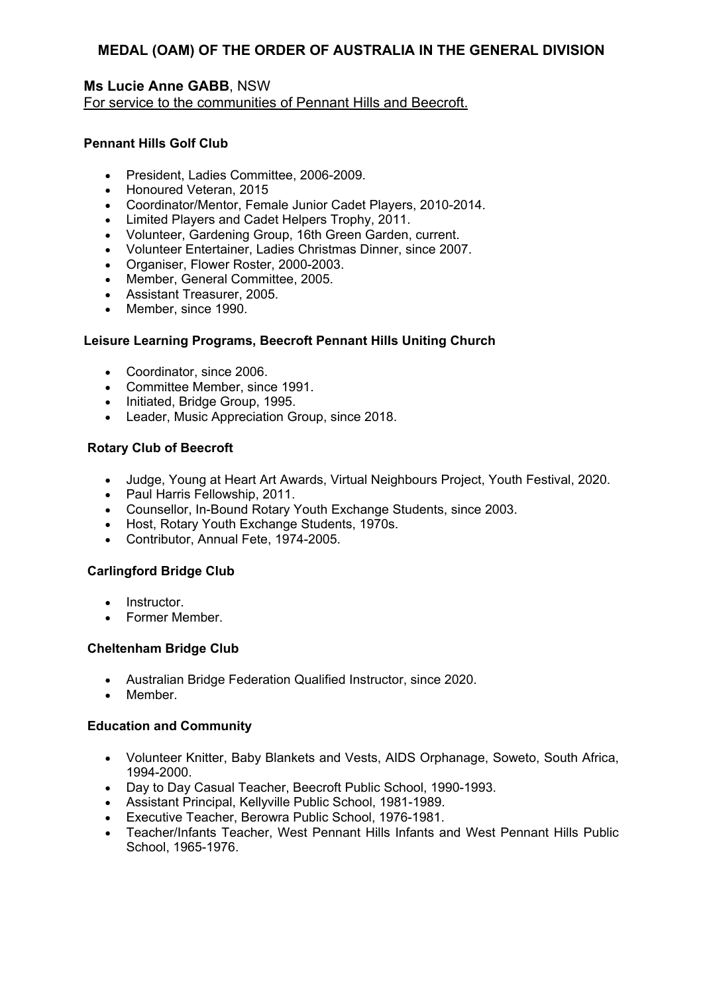# **Ms Lucie Anne GABB**, NSW

For service to the communities of Pennant Hills and Beecroft.

## **Pennant Hills Golf Club**

- President, Ladies Committee, 2006-2009.
- Honoured Veteran, 2015
- Coordinator/Mentor, Female Junior Cadet Players, 2010-2014.
- Limited Players and Cadet Helpers Trophy, 2011.
- Volunteer, Gardening Group, 16th Green Garden, current.
- Volunteer Entertainer, Ladies Christmas Dinner, since 2007.
- Organiser, Flower Roster, 2000-2003.
- Member, General Committee, 2005.
- Assistant Treasurer, 2005.
- Member, since 1990.

## **Leisure Learning Programs, Beecroft Pennant Hills Uniting Church**

- Coordinator, since 2006.
- Committee Member, since 1991.
- Initiated, Bridge Group, 1995.
- Leader, Music Appreciation Group, since 2018.

## **Rotary Club of Beecroft**

- Judge, Young at Heart Art Awards, Virtual Neighbours Project, Youth Festival, 2020.
- Paul Harris Fellowship, 2011.
- Counsellor, In-Bound Rotary Youth Exchange Students, since 2003.
- Host, Rotary Youth Exchange Students, 1970s.
- Contributor, Annual Fete, 1974-2005.

## **Carlingford Bridge Club**

- Instructor
- Former Member.

#### **Cheltenham Bridge Club**

- Australian Bridge Federation Qualified Instructor, since 2020.
- Member.

#### **Education and Community**

- Volunteer Knitter, Baby Blankets and Vests, AIDS Orphanage, Soweto, South Africa, 1994-2000.
- Day to Day Casual Teacher, Beecroft Public School, 1990-1993.
- Assistant Principal, Kellyville Public School, 1981-1989.
- Executive Teacher, Berowra Public School, 1976-1981.
- Teacher/Infants Teacher, West Pennant Hills Infants and West Pennant Hills Public School, 1965-1976.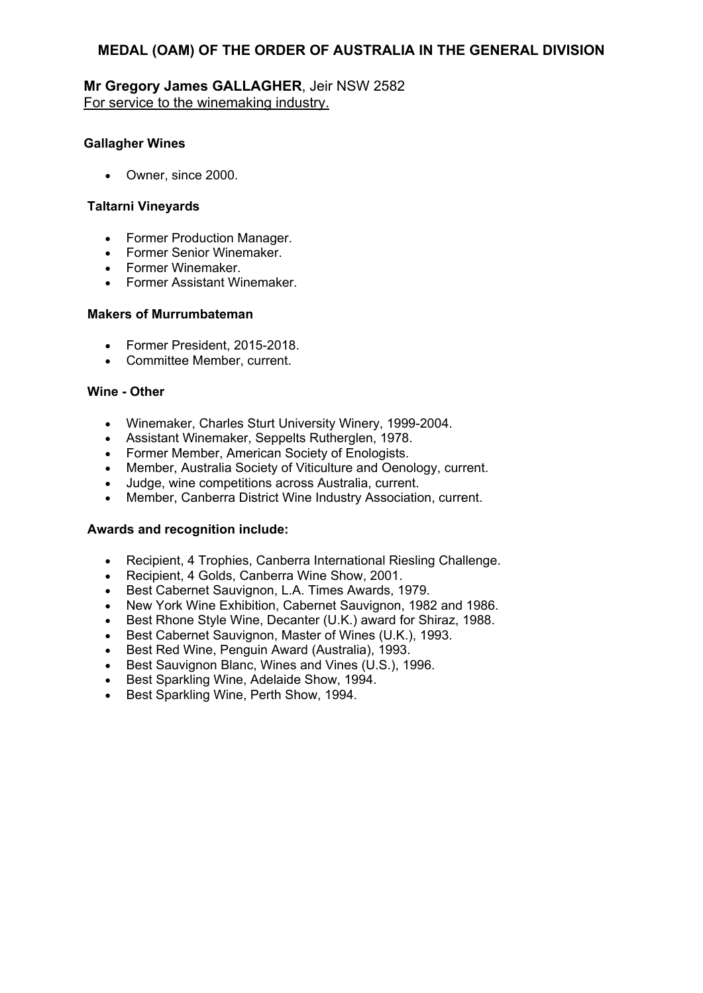# **Mr Gregory James GALLAGHER**, Jeir NSW 2582 For service to the winemaking industry.

#### **Gallagher Wines**

Owner, since 2000.

#### **Taltarni Vineyards**

- Former Production Manager.
- Former Senior Winemaker.
- Former Winemaker.
- Former Assistant Winemaker.

#### **Makers of Murrumbateman**

- Former President, 2015-2018.
- Committee Member, current.

#### **Wine - Other**

- Winemaker, Charles Sturt University Winery, 1999-2004.
- Assistant Winemaker, Seppelts Rutherglen, 1978.
- Former Member, American Society of Enologists.
- Member, Australia Society of Viticulture and Oenology, current.
- Judge, wine competitions across Australia, current.
- Member, Canberra District Wine Industry Association, current.

- Recipient, 4 Trophies, Canberra International Riesling Challenge.
- Recipient, 4 Golds, Canberra Wine Show, 2001.
- Best Cabernet Sauvignon, L.A. Times Awards, 1979.
- New York Wine Exhibition, Cabernet Sauvignon, 1982 and 1986.
- Best Rhone Style Wine, Decanter (U.K.) award for Shiraz, 1988.
- Best Cabernet Sauvignon, Master of Wines (U.K.), 1993.
- Best Red Wine, Penguin Award (Australia), 1993.
- $\bullet$  Best Sauvignon Blanc, Wines and Vines  $(U.S.),$  1996.
- **Best Sparkling Wine, Adelaide Show, 1994.**
- Best Sparkling Wine, Perth Show, 1994.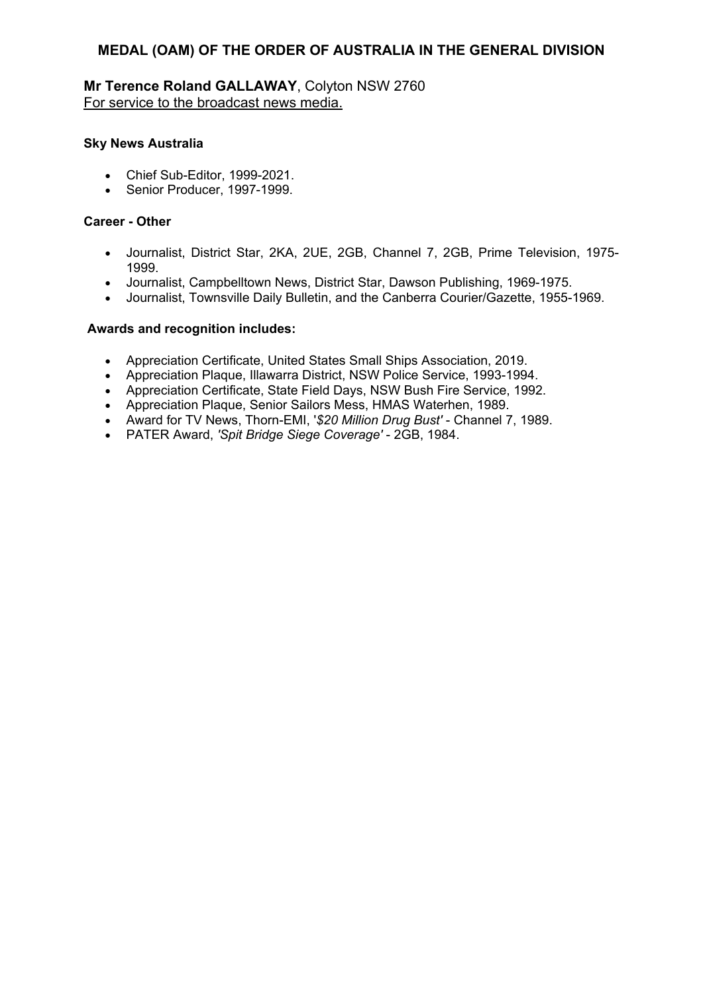# **Mr Terence Roland GALLAWAY**, Colyton NSW 2760 For service to the broadcast news media.

## **Sky News Australia**

- Chief Sub-Editor, 1999-2021.
- Senior Producer, 1997-1999.

#### **Career - Other**

- Journalist, District Star, 2KA, 2UE, 2GB, Channel 7, 2GB, Prime Television, 1975- 1999.
- Journalist, Campbelltown News, District Star, Dawson Publishing, 1969-1975.
- Journalist, Townsville Daily Bulletin, and the Canberra Courier/Gazette, 1955-1969.

- Appreciation Certificate, United States Small Ships Association, 2019.
- Appreciation Plaque, Illawarra District, NSW Police Service, 1993-1994.
- Appreciation Certificate, State Field Days, NSW Bush Fire Service, 1992.
- Appreciation Plaque, Senior Sailors Mess, HMAS Waterhen, 1989.
- Award for TV News, Thorn-EMI, '*\$20 Million Drug Bust'* Channel 7, 1989.
- PATER Award, *'Spit Bridge Siege Coverage'* 2GB, 1984.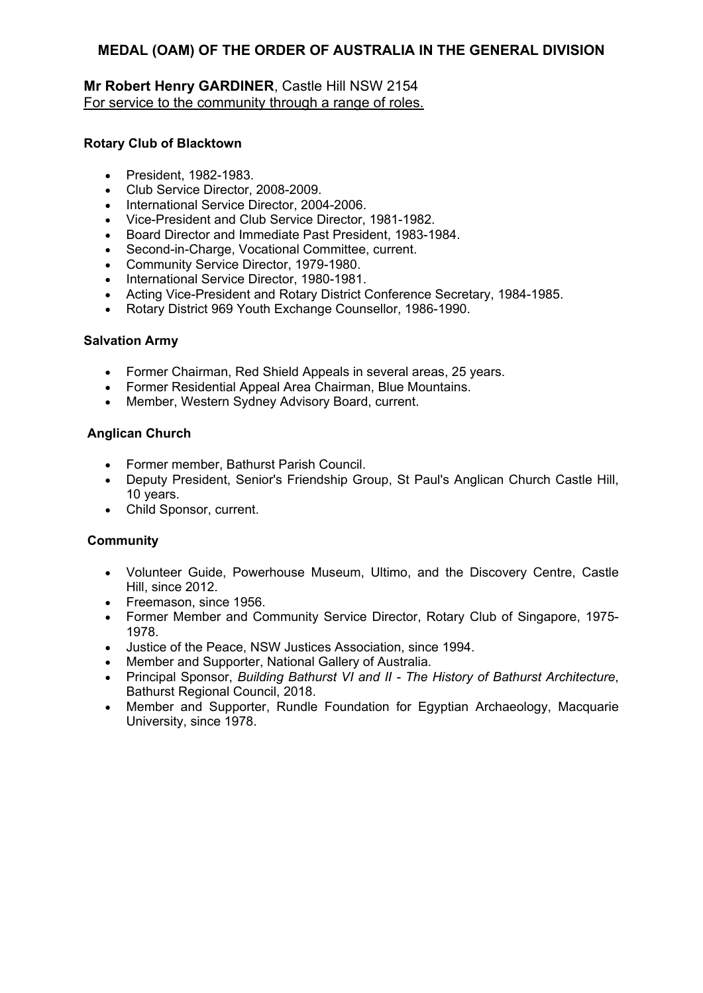# **Mr Robert Henry GARDINER**, Castle Hill NSW 2154 For service to the community through a range of roles.

## **Rotary Club of Blacktown**

- President, 1982-1983.
- Club Service Director, 2008-2009.
- International Service Director, 2004-2006.
- Vice-President and Club Service Director, 1981-1982.
- Board Director and Immediate Past President, 1983-1984.
- Second-in-Charge, Vocational Committee, current.
- Community Service Director, 1979-1980.
- International Service Director, 1980-1981.
- Acting Vice-President and Rotary District Conference Secretary, 1984-1985.
- Rotary District 969 Youth Exchange Counsellor, 1986-1990.

## **Salvation Army**

- Former Chairman, Red Shield Appeals in several areas, 25 years.
- Former Residential Appeal Area Chairman, Blue Mountains.
- Member, Western Sydney Advisory Board, current.

## **Anglican Church**

- Former member, Bathurst Parish Council.
- Deputy President, Senior's Friendship Group, St Paul's Anglican Church Castle Hill, 10 years.
- Child Sponsor, current.

## **Community**

- Volunteer Guide, Powerhouse Museum, Ultimo, and the Discovery Centre, Castle Hill, since 2012.
- Freemason, since 1956.
- Former Member and Community Service Director, Rotary Club of Singapore, 1975- 1978.
- Justice of the Peace, NSW Justices Association, since 1994.
- Member and Supporter, National Gallery of Australia.
- Principal Sponsor, *Building Bathurst VI and II The History of Bathurst Architecture*, Bathurst Regional Council, 2018.
- Member and Supporter, Rundle Foundation for Egyptian Archaeology, Macquarie University, since 1978.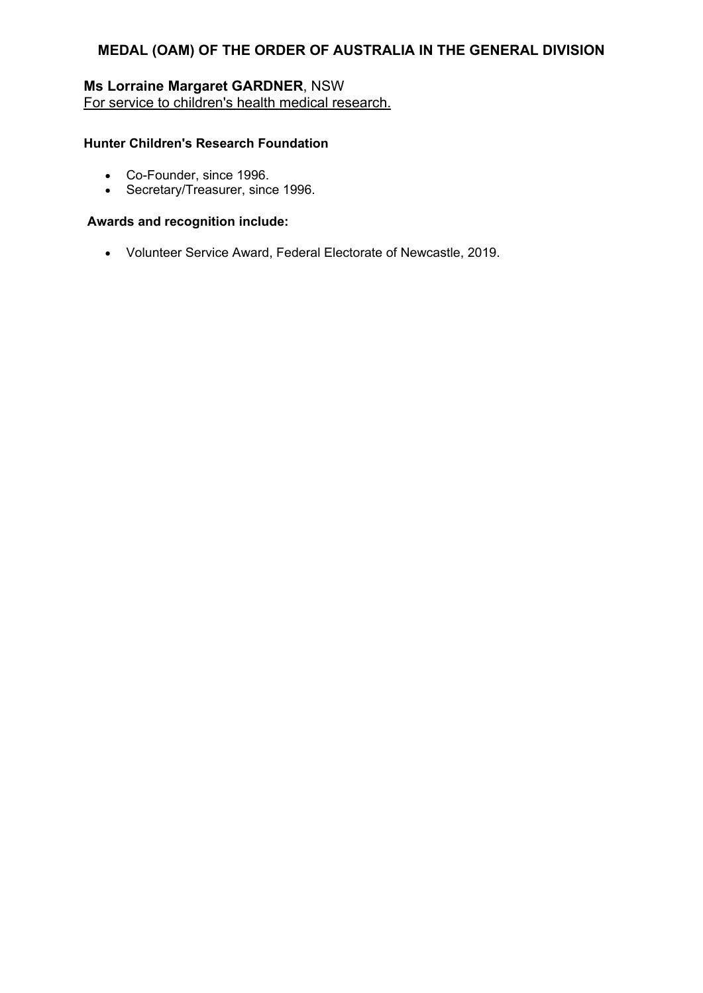# **Ms Lorraine Margaret GARDNER**, NSW For service to children's health medical research.

## **Hunter Children's Research Foundation**

- Co-Founder, since 1996.
- Secretary/Treasurer, since 1996.

## **Awards and recognition include:**

Volunteer Service Award, Federal Electorate of Newcastle, 2019.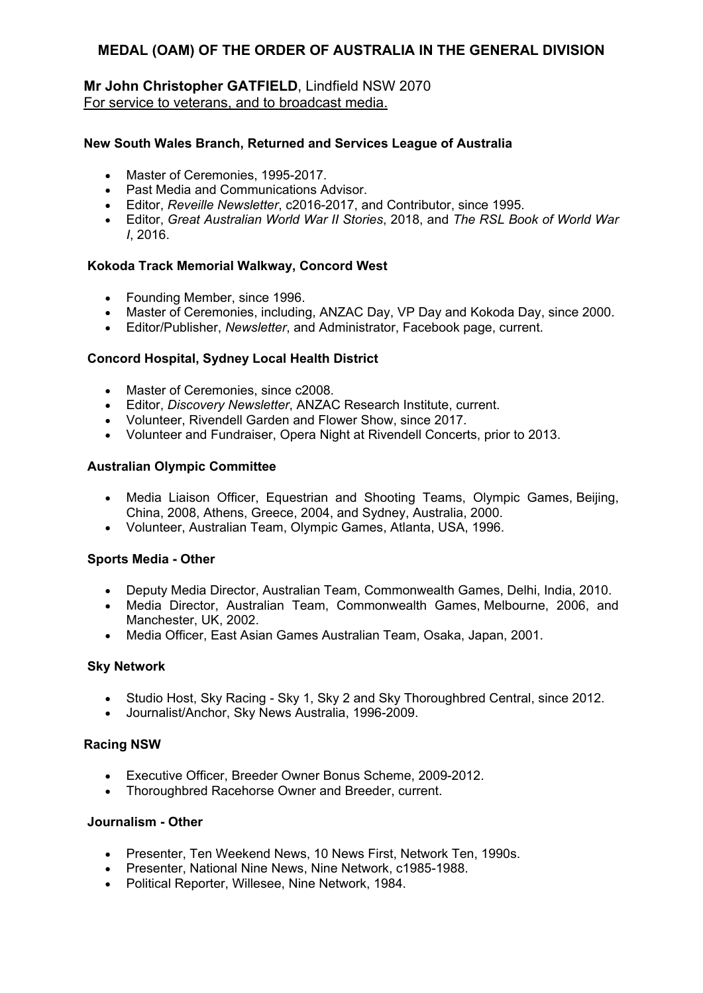# **Mr John Christopher GATFIELD**, Lindfield NSW 2070 For service to veterans, and to broadcast media.

#### **New South Wales Branch, Returned and Services League of Australia**

- Master of Ceremonies, 1995-2017.
- Past Media and Communications Advisor.
- Editor, *Reveille Newsletter*, c2016-2017, and Contributor, since 1995.
- Editor, *Great Australian World War II Stories*, 2018, and *The RSL Book of World War I*, 2016.

#### **Kokoda Track Memorial Walkway, Concord West**

- Founding Member, since 1996.
- Master of Ceremonies, including, ANZAC Day, VP Day and Kokoda Day, since 2000.
- Editor/Publisher, *Newsletter*, and Administrator, Facebook page, current.

#### **Concord Hospital, Sydney Local Health District**

- Master of Ceremonies, since c2008.
- Editor, *Discovery Newsletter*, ANZAC Research Institute, current.
- Volunteer, Rivendell Garden and Flower Show, since 2017.
- Volunteer and Fundraiser, Opera Night at Rivendell Concerts, prior to 2013.

#### **Australian Olympic Committee**

- Media Liaison Officer, Equestrian and Shooting Teams, Olympic Games, Beijing, China, 2008, Athens, Greece, 2004, and Sydney, Australia, 2000.
- Volunteer, Australian Team, Olympic Games, Atlanta, USA, 1996.

#### **Sports Media - Other**

- Deputy Media Director, Australian Team, Commonwealth Games, Delhi, India, 2010.
- Media Director, Australian Team, Commonwealth Games, Melbourne, 2006, and Manchester, UK, 2002.
- Media Officer, East Asian Games Australian Team, Osaka, Japan, 2001.

#### **Sky Network**

- Studio Host, Sky Racing Sky 1, Sky 2 and Sky Thoroughbred Central, since 2012.
- Journalist/Anchor, Sky News Australia, 1996-2009.

#### **Racing NSW**

- Executive Officer, Breeder Owner Bonus Scheme, 2009-2012.
- Thoroughbred Racehorse Owner and Breeder, current.

#### **Journalism - Other**

- Presenter, Ten Weekend News, 10 News First, Network Ten, 1990s.
- Presenter, National Nine News, Nine Network, c1985-1988.
- Political Reporter, Willesee, Nine Network, 1984.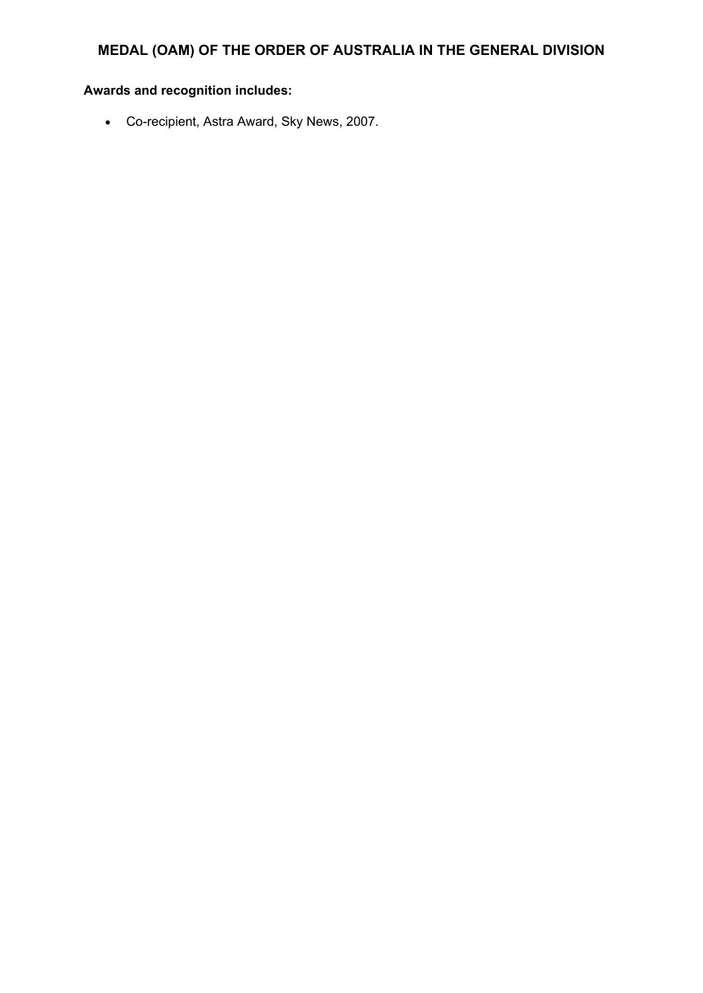# **Awards and recognition includes:**

Co-recipient, Astra Award, Sky News, 2007.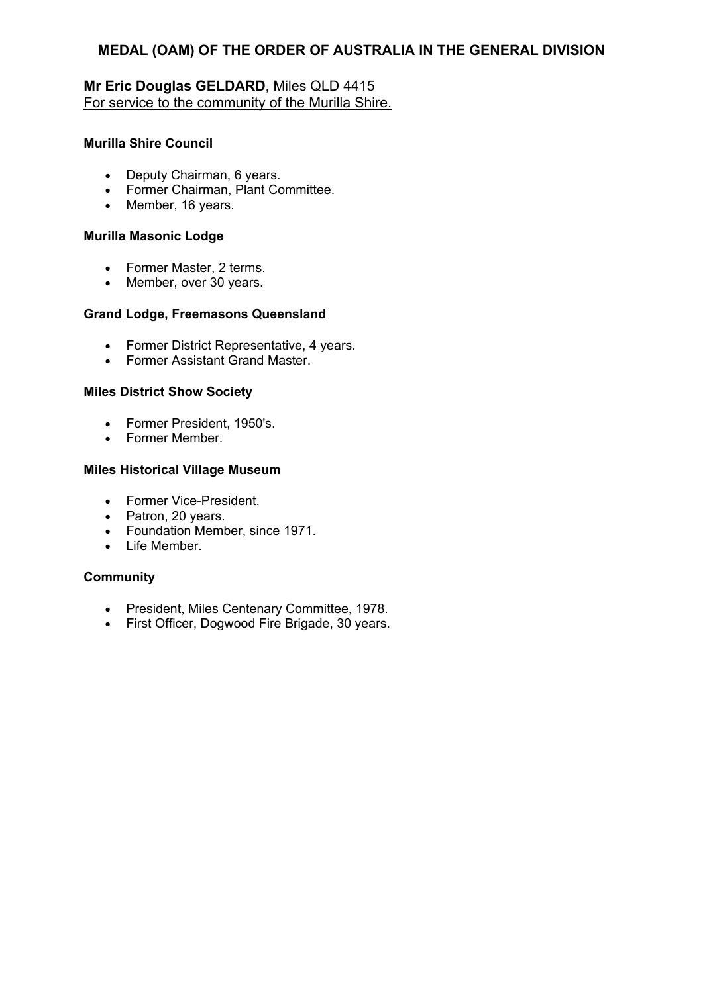# **Mr Eric Douglas GELDARD**, Miles QLD 4415 For service to the community of the Murilla Shire.

## **Murilla Shire Council**

- Deputy Chairman, 6 years.
- Former Chairman, Plant Committee.
- Member, 16 years.

#### **Murilla Masonic Lodge**

- Former Master, 2 terms.
- Member, over 30 years.

#### **Grand Lodge, Freemasons Queensland**

- Former District Representative, 4 years.
- Former Assistant Grand Master.

#### **Miles District Show Society**

- Former President, 1950's.
- Former Member.

## **Miles Historical Village Museum**

- Former Vice-President.
- Patron, 20 years.
- Foundation Member, since 1971.
- Life Member

## **Community**

- President, Miles Centenary Committee, 1978.
- First Officer, Dogwood Fire Brigade, 30 years.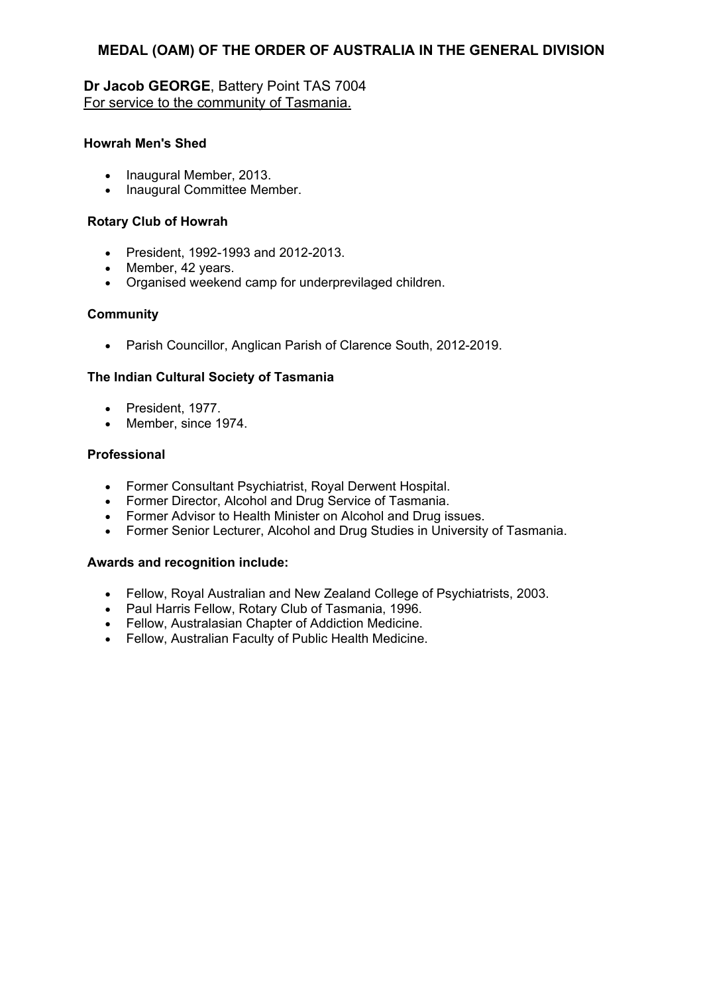# **Dr Jacob GEORGE**, Battery Point TAS 7004 For service to the community of Tasmania.

## **Howrah Men's Shed**

- Inaugural Member, 2013.
- Inaugural Committee Member.

#### **Rotary Club of Howrah**

- President, 1992-1993 and 2012-2013.
- Member, 42 years.
- Organised weekend camp for underprevilaged children.

#### **Community**

Parish Councillor, Anglican Parish of Clarence South, 2012-2019.

## **The Indian Cultural Society of Tasmania**

- President, 1977.
- Member, since 1974.

#### **Professional**

- Former Consultant Psychiatrist, Royal Derwent Hospital.
- Former Director, Alcohol and Drug Service of Tasmania.
- Former Advisor to Health Minister on Alcohol and Drug issues.
- Former Senior Lecturer, Alcohol and Drug Studies in University of Tasmania.

- Fellow, Royal Australian and New Zealand College of Psychiatrists, 2003.
- Paul Harris Fellow, Rotary Club of Tasmania, 1996.
- Fellow, Australasian Chapter of Addiction Medicine.
- Fellow, Australian Faculty of Public Health Medicine.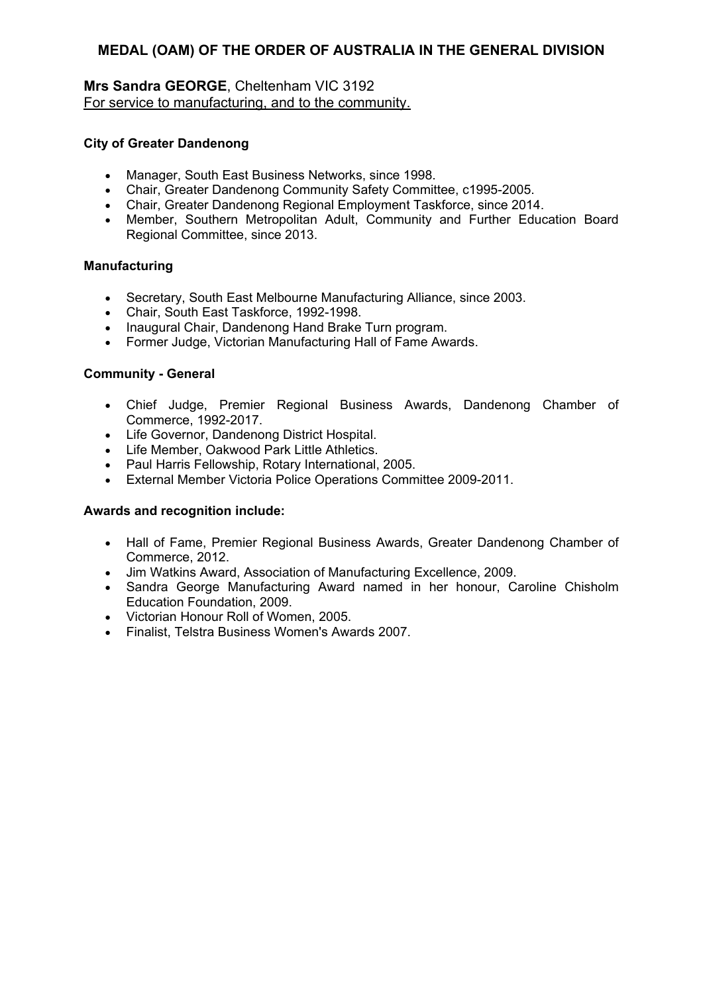# **Mrs Sandra GEORGE**, Cheltenham VIC 3192 For service to manufacturing, and to the community.

## **City of Greater Dandenong**

- Manager, South East Business Networks, since 1998.
- Chair, Greater Dandenong Community Safety Committee, c1995-2005.
- Chair, Greater Dandenong Regional Employment Taskforce, since 2014.
- Member, Southern Metropolitan Adult, Community and Further Education Board Regional Committee, since 2013.

## **Manufacturing**

- Secretary, South East Melbourne Manufacturing Alliance, since 2003.
- Chair, South East Taskforce, 1992-1998.
- Inaugural Chair, Dandenong Hand Brake Turn program.
- Former Judge, Victorian Manufacturing Hall of Fame Awards.

#### **Community - General**

- Chief Judge, Premier Regional Business Awards, Dandenong Chamber of Commerce, 1992-2017.
- Life Governor, Dandenong District Hospital.
- Life Member, Oakwood Park Little Athletics.
- Paul Harris Fellowship, Rotary International, 2005.
- External Member Victoria Police Operations Committee 2009-2011.

- Hall of Fame, Premier Regional Business Awards, Greater Dandenong Chamber of Commerce, 2012.
- Jim Watkins Award, Association of Manufacturing Excellence, 2009.
- Sandra George Manufacturing Award named in her honour, Caroline Chisholm Education Foundation, 2009.
- Victorian Honour Roll of Women, 2005.
- Finalist, Telstra Business Women's Awards 2007.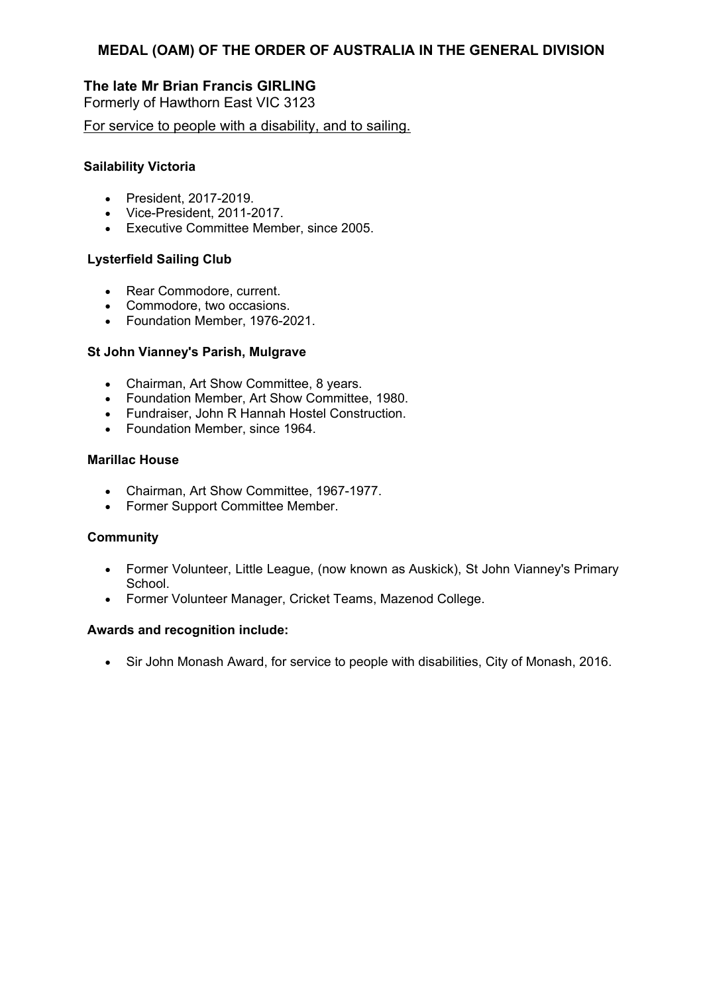# **The late Mr Brian Francis GIRLING**

Formerly of Hawthorn East VIC 3123

For service to people with a disability, and to sailing.

#### **Sailability Victoria**

- President, 2017-2019.
- Vice-President, 2011-2017.
- Executive Committee Member, since 2005.

## **Lysterfield Sailing Club**

- Rear Commodore, current.
- Commodore, two occasions.
- Foundation Member, 1976-2021.

#### **St John Vianney's Parish, Mulgrave**

- Chairman, Art Show Committee, 8 years.
- Foundation Member, Art Show Committee, 1980.
- Fundraiser, John R Hannah Hostel Construction.
- Foundation Member, since 1964.

#### **Marillac House**

- Chairman, Art Show Committee, 1967-1977.
- Former Support Committee Member.

#### **Community**

- Former Volunteer, Little League, (now known as Auskick), St John Vianney's Primary School.
- Former Volunteer Manager, Cricket Teams, Mazenod College.

## **Awards and recognition include:**

Sir John Monash Award, for service to people with disabilities, City of Monash, 2016.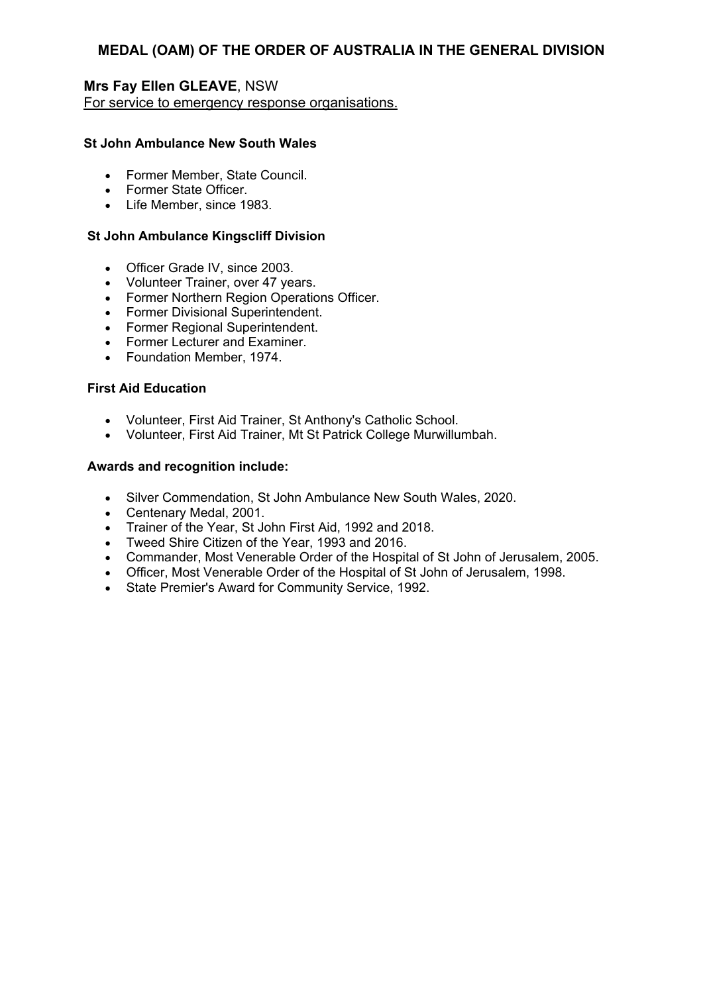## **Mrs Fay Ellen GLEAVE**, NSW For service to emergency response organisations.

## **St John Ambulance New South Wales**

- Former Member, State Council.
- Former State Officer.
- Life Member, since 1983.

#### **St John Ambulance Kingscliff Division**

- Officer Grade IV, since 2003.
- Volunteer Trainer, over 47 years.
- Former Northern Region Operations Officer.
- Former Divisional Superintendent.
- Former Regional Superintendent.
- Former Lecturer and Examiner.
- Foundation Member, 1974.

#### **First Aid Education**

- Volunteer, First Aid Trainer, St Anthony's Catholic School.
- Volunteer, First Aid Trainer, Mt St Patrick College Murwillumbah.

- Silver Commendation, St John Ambulance New South Wales, 2020.
- Centenary Medal, 2001.
- Trainer of the Year, St John First Aid, 1992 and 2018.
- Tweed Shire Citizen of the Year, 1993 and 2016.
- Commander, Most Venerable Order of the Hospital of St John of Jerusalem, 2005.
- Officer, Most Venerable Order of the Hospital of St John of Jerusalem, 1998.
- State Premier's Award for Community Service, 1992.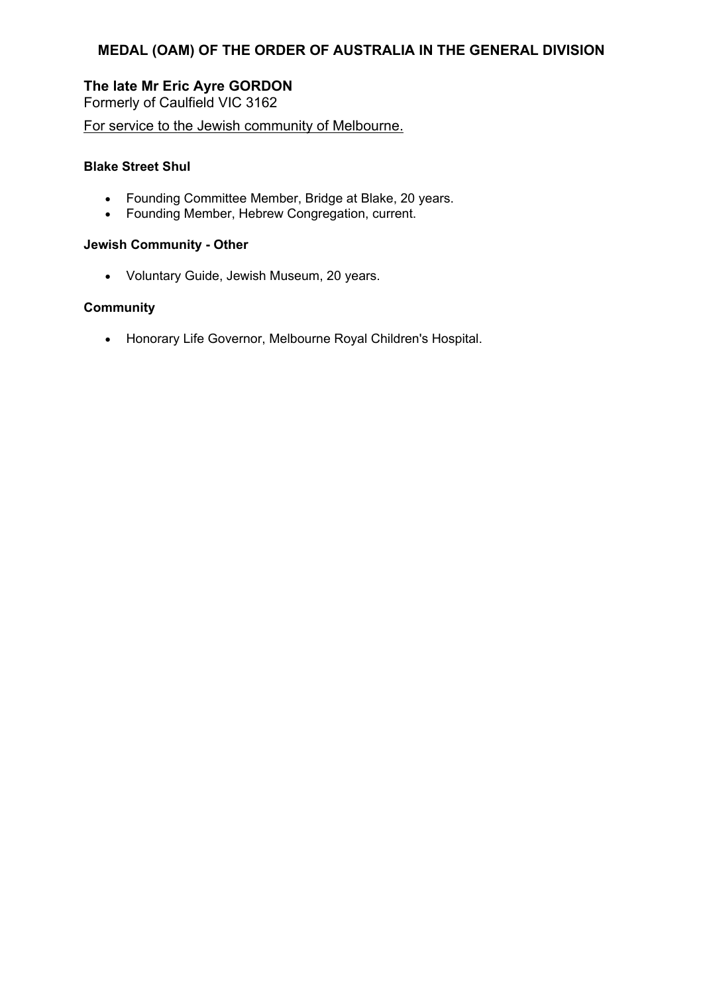# **The late Mr Eric Ayre GORDON**

Formerly of Caulfield VIC 3162

For service to the Jewish community of Melbourne.

## **Blake Street Shul**

- Founding Committee Member, Bridge at Blake, 20 years.
- Founding Member, Hebrew Congregation, current.

## **Jewish Community - Other**

Voluntary Guide, Jewish Museum, 20 years.

# **Community**

Honorary Life Governor, Melbourne Royal Children's Hospital.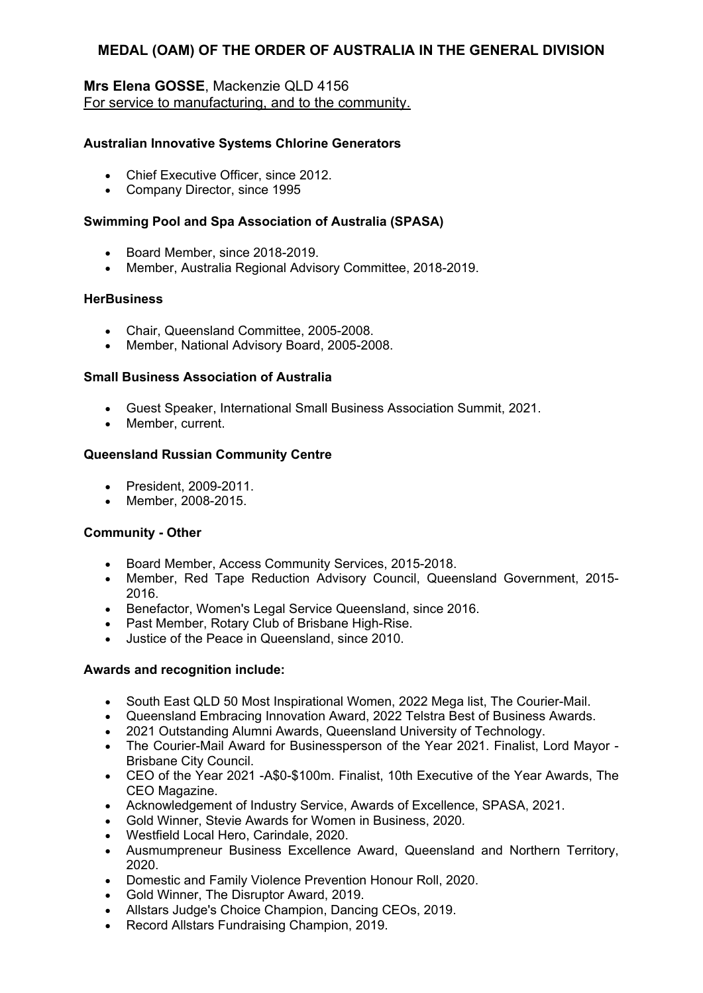# **Mrs Elena GOSSE**, Mackenzie QLD 4156 For service to manufacturing, and to the community.

## **Australian Innovative Systems Chlorine Generators**

- Chief Executive Officer, since 2012.
- Company Director, since 1995

#### **Swimming Pool and Spa Association of Australia (SPASA)**

- Board Member, since 2018-2019.
- Member, Australia Regional Advisory Committee, 2018-2019.

#### **HerBusiness**

- Chair, Queensland Committee, 2005-2008.
- Member, National Advisory Board, 2005-2008.

#### **Small Business Association of Australia**

- Guest Speaker, International Small Business Association Summit, 2021.
- Member, current.

#### **Queensland Russian Community Centre**

- President, 2009-2011.
- Member, 2008-2015.

## **Community - Other**

- Board Member, Access Community Services, 2015-2018.
- Member, Red Tape Reduction Advisory Council, Queensland Government, 2015- 2016.
- **Benefactor, Women's Legal Service Queensland, since 2016.**
- Past Member, Rotary Club of Brisbane High-Rise.
- Justice of the Peace in Queensland, since 2010.

- South East QLD 50 Most Inspirational Women, 2022 Mega list, The Courier-Mail.
- Queensland Embracing Innovation Award, 2022 Telstra Best of Business Awards.
- 2021 Outstanding Alumni Awards, Queensland University of Technology.
- The Courier-Mail Award for Businessperson of the Year 2021. Finalist, Lord Mayor Brisbane City Council.
- CEO of the Year 2021 -A\$0-\$100m. Finalist, 10th Executive of the Year Awards, The CEO Magazine.
- Acknowledgement of Industry Service, Awards of Excellence, SPASA, 2021.
- Gold Winner, Stevie Awards for Women in Business, 2020*.*
- Westfield Local Hero, Carindale, 2020.
- Ausmumpreneur Business Excellence Award, Queensland and Northern Territory, 2020.
- Domestic and Family Violence Prevention Honour Roll, 2020.
- Gold Winner, The Disruptor Award, 2019.
- Allstars Judge's Choice Champion, Dancing CEOs, 2019.
- Record Allstars Fundraising Champion, 2019.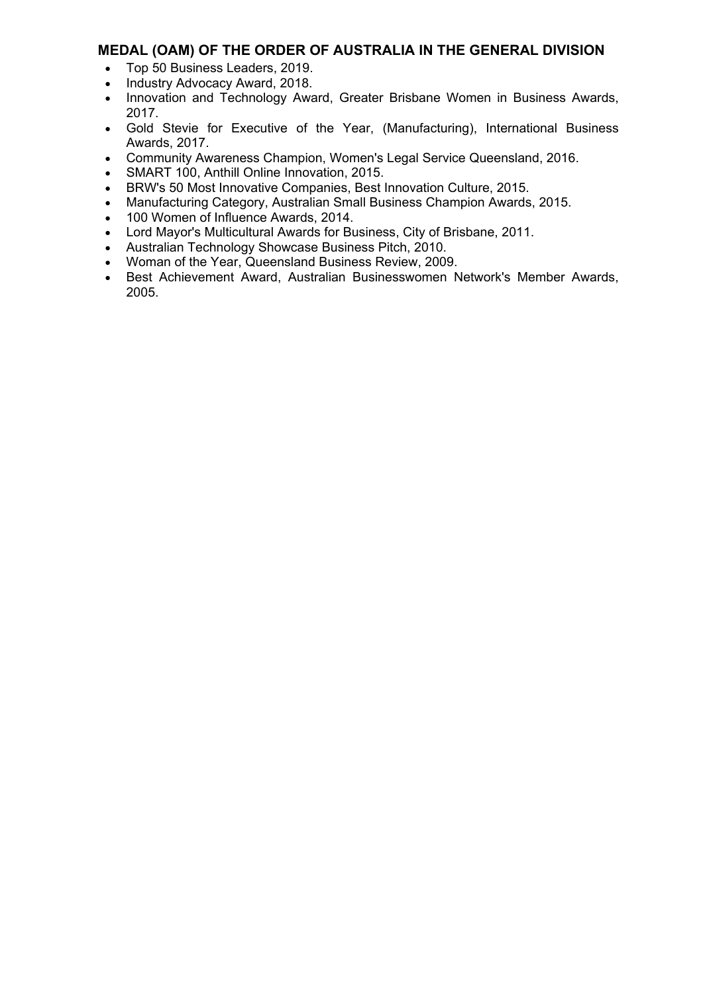- Top 50 Business Leaders, 2019.
- Industry Advocacy Award, 2018.
- Innovation and Technology Award, Greater Brisbane Women in Business Awards, 2017.
- Gold Stevie for Executive of the Year, (Manufacturing), International Business Awards, 2017.
- Community Awareness Champion, Women's Legal Service Queensland, 2016.
- SMART 100, Anthill Online Innovation, 2015.
- BRW's 50 Most Innovative Companies, Best Innovation Culture, 2015.
- Manufacturing Category, Australian Small Business Champion Awards, 2015.
- 100 Women of Influence Awards, 2014.
- Lord Mayor's Multicultural Awards for Business, City of Brisbane, 2011.
- Australian Technology Showcase Business Pitch, 2010.
- Woman of the Year, Queensland Business Review, 2009.
- Best Achievement Award, Australian Businesswomen Network's Member Awards, 2005.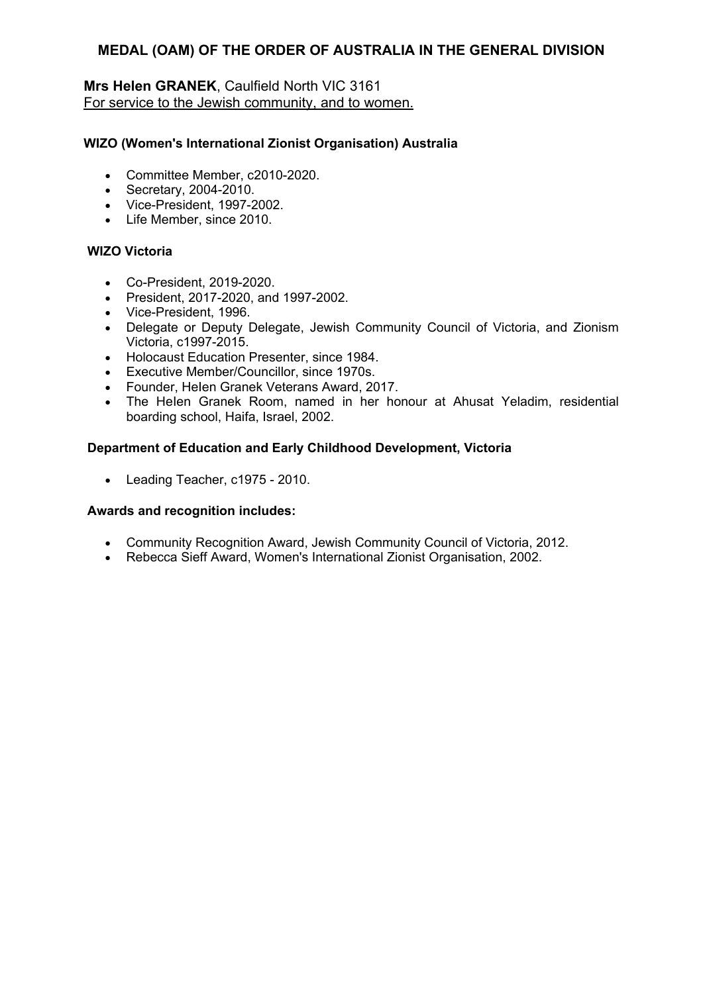# **Mrs Helen GRANEK**, Caulfield North VIC 3161 For service to the Jewish community, and to women.

## **WIZO (Women's International Zionist Organisation) Australia**

- Committee Member, c2010-2020.
- Secretary, 2004-2010.
- Vice-President, 1997-2002.
- Life Member, since 2010.

# **WIZO Victoria**

- Co-President, 2019-2020.
- President, 2017-2020, and 1997-2002.
- Vice-President, 1996.
- Delegate or Deputy Delegate, Jewish Community Council of Victoria, and Zionism Victoria, c1997-2015.
- Holocaust Education Presenter, since 1984.
- Executive Member/Councillor, since 1970s.
- Founder, HeIen Granek Veterans Award, 2017.
- The Helen Granek Room, named in her honour at Ahusat Yeladim, residential boarding school, Haifa, Israel, 2002.

# **Department of Education and Early Childhood Development, Victoria**

• Leading Teacher, c1975 - 2010.

- Community Recognition Award, Jewish Community Council of Victoria, 2012.
- Rebecca Sieff Award, Women's International Zionist Organisation, 2002.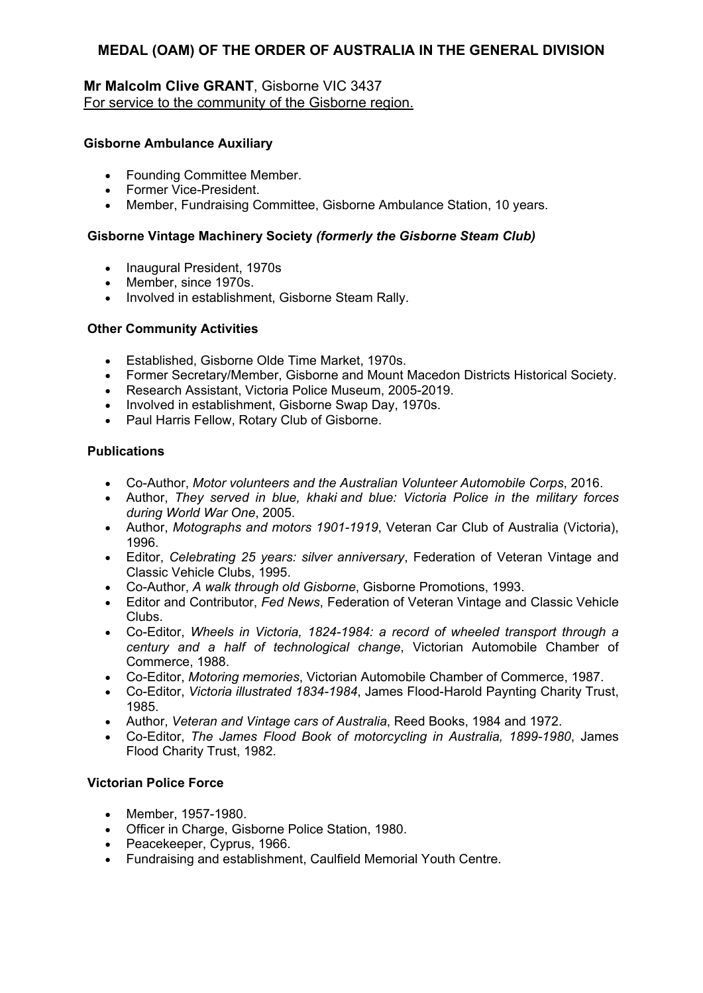# **Mr Malcolm Clive GRANT**, Gisborne VIC 3437 For service to the community of the Gisborne region.

## **Gisborne Ambulance Auxiliary**

- Founding Committee Member.
- Former Vice-President.
- Member, Fundraising Committee, Gisborne Ambulance Station, 10 years.

#### **Gisborne Vintage Machinery Society** *(formerly the Gisborne Steam Club)*

- Inaugural President, 1970s
- Member, since 1970s.
- Involved in establishment, Gisborne Steam Rally.

#### **Other Community Activities**

- Established, Gisborne Olde Time Market, 1970s.
- Former Secretary/Member, Gisborne and Mount Macedon Districts Historical Society.
- Research Assistant, Victoria Police Museum, 2005-2019.
- Involved in establishment, Gisborne Swap Day, 1970s.
- Paul Harris Fellow, Rotary Club of Gisborne.

#### **Publications**

- Co-Author, *Motor volunteers and the Australian Volunteer Automobile Corps*, 2016.
- Author, *They served in blue, khaki and blue: Victoria Police in the military forces during World War One*, 2005.
- Author, *Motographs and motors 1901-1919*, Veteran Car Club of Australia (Victoria), 1996.
- Editor, *Celebrating 25 years: silver anniversary*, Federation of Veteran Vintage and Classic Vehicle Clubs, 1995.
- Co-Author, *A walk through old Gisborne*, Gisborne Promotions, 1993.
- Editor and Contributor, *Fed News*, Federation of Veteran Vintage and Classic Vehicle Clubs.
- Co-Editor, *Wheels in Victoria, 1824-1984: a record of wheeled transport through a century and a half of technological change*, Victorian Automobile Chamber of Commerce, 1988.
- Co-Editor, *Motoring memories*, Victorian Automobile Chamber of Commerce, 1987.
- Co-Editor, *Victoria illustrated 1834-1984*, James Flood-Harold Paynting Charity Trust, 1985.
- Author, *Veteran and Vintage cars of Australia*, Reed Books, 1984 and 1972.
- Co-Editor, *The James Flood Book of motorcycling in Australia, 1899-1980*, James Flood Charity Trust, 1982.

## **Victorian Police Force**

- Member, 1957-1980.
- Officer in Charge, Gisborne Police Station, 1980.
- Peacekeeper, Cyprus, 1966.
- Fundraising and establishment, Caulfield Memorial Youth Centre.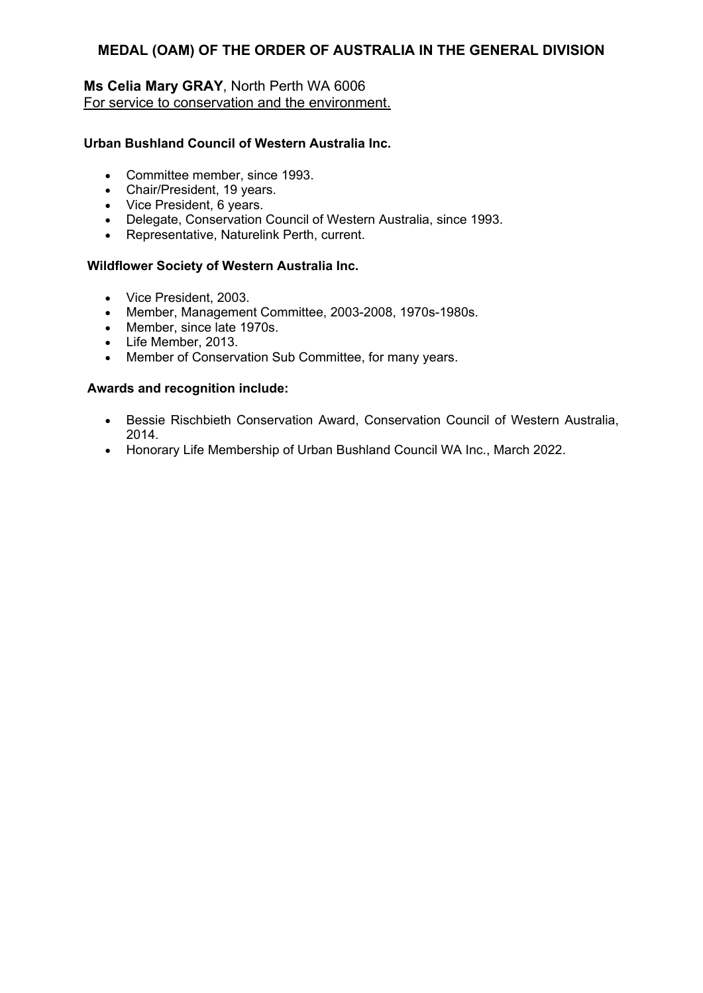# **Ms Celia Mary GRAY**, North Perth WA 6006 For service to conservation and the environment.

## **Urban Bushland Council of Western Australia Inc.**

- Committee member, since 1993.
- Chair/President, 19 years.
- Vice President, 6 years.
- Delegate, Conservation Council of Western Australia, since 1993.
- Representative, Naturelink Perth, current.

#### **Wildflower Society of Western Australia Inc.**

- Vice President, 2003.
- Member, Management Committee, 2003-2008, 1970s-1980s.
- Member, since late 1970s.
- Life Member, 2013.
- Member of Conservation Sub Committee, for many years.

- Bessie Rischbieth Conservation Award, Conservation Council of Western Australia, 2014.
- Honorary Life Membership of Urban Bushland Council WA Inc., March 2022.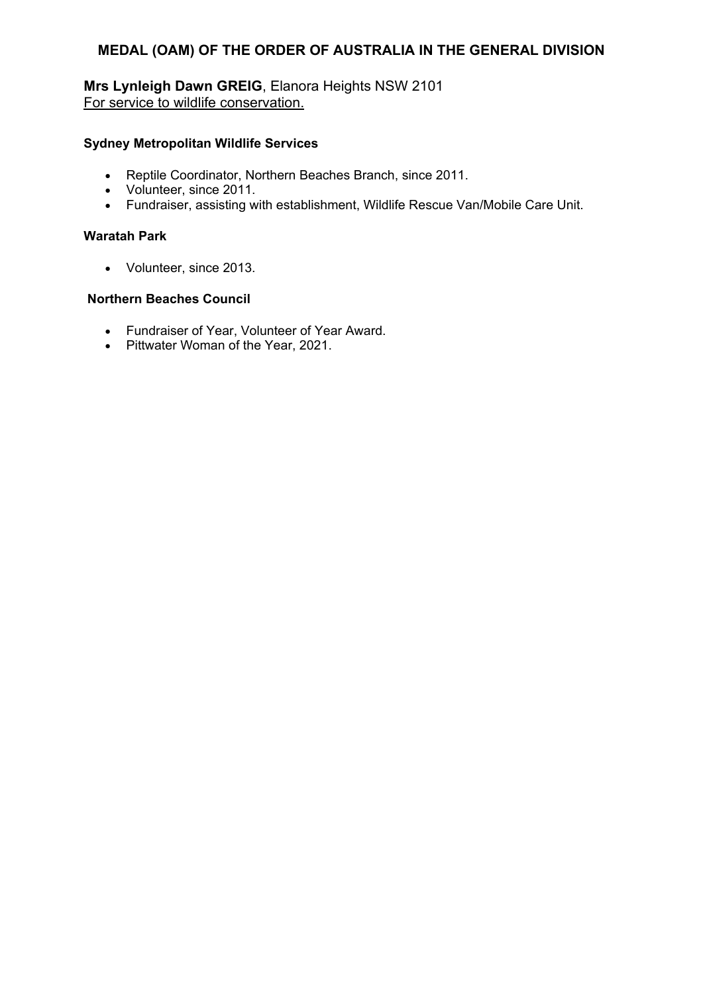**Mrs Lynleigh Dawn GREIG**, Elanora Heights NSW 2101 For service to wildlife conservation.

## **Sydney Metropolitan Wildlife Services**

- Reptile Coordinator, Northern Beaches Branch, since 2011.
- Volunteer, since 2011.
- Fundraiser, assisting with establishment, Wildlife Rescue Van/Mobile Care Unit.

## **Waratah Park**

Volunteer, since 2013.

# **Northern Beaches Council**

- Fundraiser of Year, Volunteer of Year Award.
- Pittwater Woman of the Year, 2021.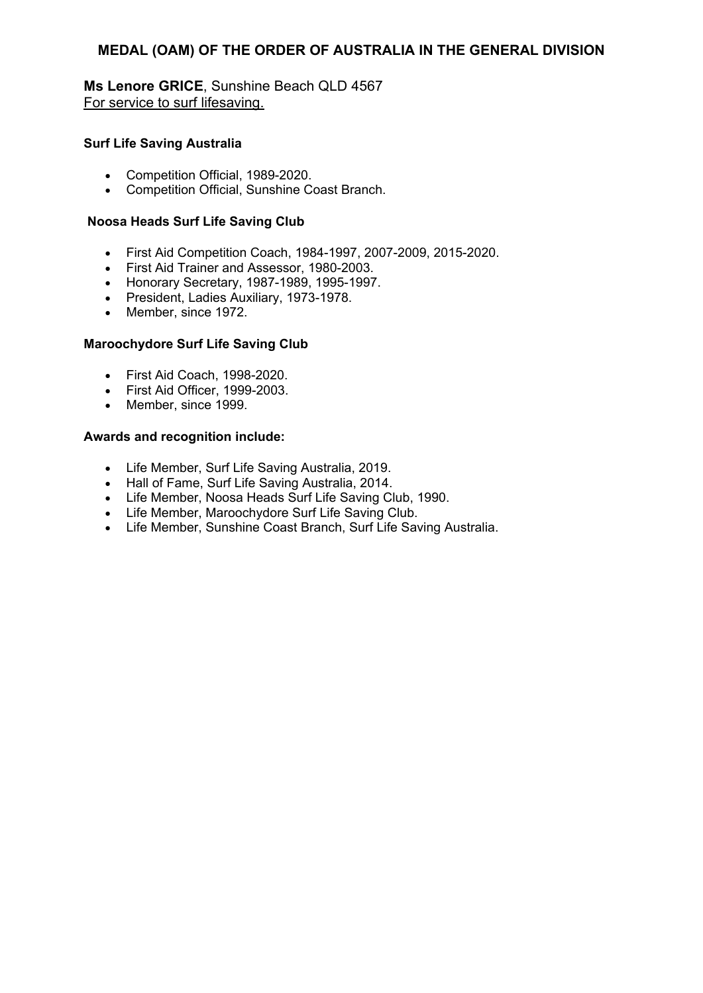**Ms Lenore GRICE**, Sunshine Beach QLD 4567 For service to surf lifesaving.

#### **Surf Life Saving Australia**

- Competition Official, 1989-2020.
- Competition Official, Sunshine Coast Branch.

#### **Noosa Heads Surf Life Saving Club**

- First Aid Competition Coach, 1984-1997, 2007-2009, 2015-2020.
- First Aid Trainer and Assessor, 1980-2003.
- Honorary Secretary, 1987-1989, 1995-1997.
- President, Ladies Auxiliary, 1973-1978.
- Member, since 1972.

#### **Maroochydore Surf Life Saving Club**

- First Aid Coach, 1998-2020.
- First Aid Officer, 1999-2003.
- Member, since 1999.

- Life Member, Surf Life Saving Australia, 2019.
- Hall of Fame, Surf Life Saving Australia, 2014.
- Life Member, Noosa Heads Surf Life Saving Club, 1990.
- Life Member, Maroochydore Surf Life Saving Club.
- Life Member, Sunshine Coast Branch, Surf Life Saving Australia.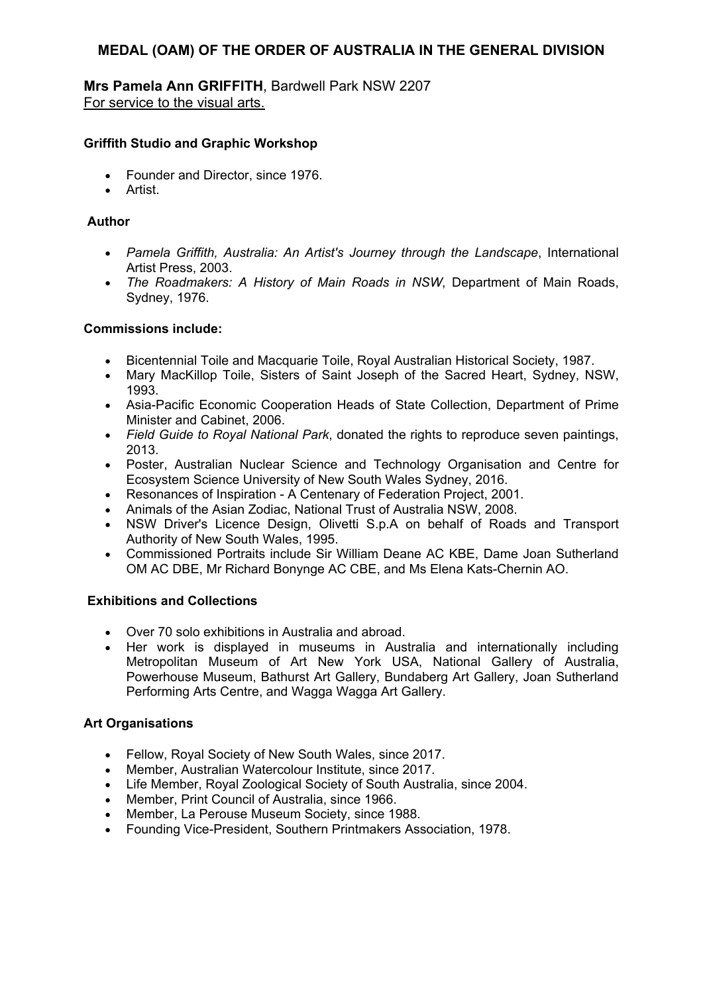**Mrs Pamela Ann GRIFFITH**, Bardwell Park NSW 2207 For service to the visual arts.

## **Griffith Studio and Graphic Workshop**

- Founder and Director, since 1976.
- **Artist**

# **Author**

- *Pamela Griffith, Australia: An Artist's Journey through the Landscape*, International Artist Press, 2003.
- *The Roadmakers: A History of Main Roads in NSW*, Department of Main Roads, Sydney, 1976.

# **Commissions include:**

- Bicentennial Toile and Macquarie Toile, Royal Australian Historical Society, 1987.
- Mary MacKillop Toile, Sisters of Saint Joseph of the Sacred Heart, Sydney, NSW, 1993.
- Asia-Pacific Economic Cooperation Heads of State Collection, Department of Prime Minister and Cabinet, 2006.
- *Field Guide to Royal National Park*, donated the rights to reproduce seven paintings, 2013.
- Poster, Australian Nuclear Science and Technology Organisation and Centre for Ecosystem Science University of New South Wales Sydney, 2016.
- Resonances of Inspiration A Centenary of Federation Project, 2001.
- Animals of the Asian Zodiac, National Trust of Australia NSW, 2008.
- NSW Driver's Licence Design, Olivetti S.p.A on behalf of Roads and Transport Authority of New South Wales, 1995.
- Commissioned Portraits include Sir William Deane AC KBE, Dame Joan Sutherland OM AC DBE, Mr Richard Bonynge AC CBE, and Ms Elena Kats-Chernin AO.

## **Exhibitions and Collections**

- Over 70 solo exhibitions in Australia and abroad.
- Her work is displayed in museums in Australia and internationally including Metropolitan Museum of Art New York USA, National Gallery of Australia, Powerhouse Museum, Bathurst Art Gallery, Bundaberg Art Gallery, Joan Sutherland Performing Arts Centre, and Wagga Wagga Art Gallery.

# **Art Organisations**

- Fellow, Royal Society of New South Wales, since 2017.
- Member, Australian Watercolour Institute, since 2017.
- Life Member, Royal Zoological Society of South Australia, since 2004.
- Member, Print Council of Australia, since 1966.
- Member, La Perouse Museum Society, since 1988.
- Founding Vice-President, Southern Printmakers Association, 1978.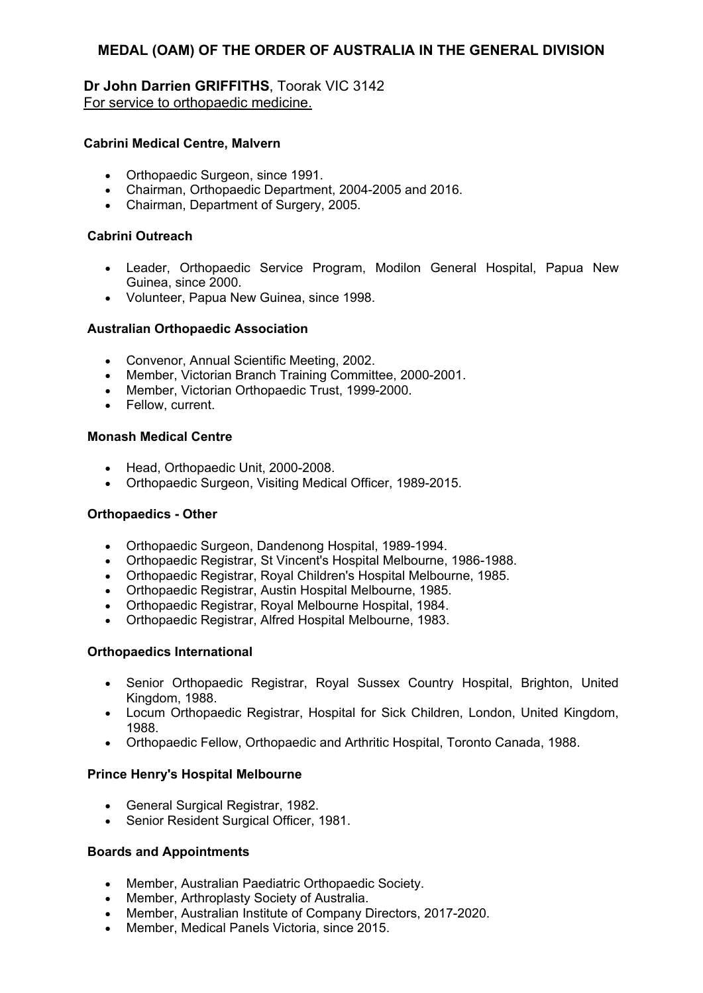# **Dr John Darrien GRIFFITHS**, Toorak VIC 3142 For service to orthopaedic medicine.

### **Cabrini Medical Centre, Malvern**

- Orthopaedic Surgeon, since 1991.
- Chairman, Orthopaedic Department, 2004-2005 and 2016.
- Chairman, Department of Surgery, 2005.

#### **Cabrini Outreach**

- Leader, Orthopaedic Service Program, Modilon General Hospital, Papua New Guinea, since 2000.
- Volunteer, Papua New Guinea, since 1998.

#### **Australian Orthopaedic Association**

- Convenor, Annual Scientific Meeting, 2002.
- Member, Victorian Branch Training Committee, 2000-2001.
- Member, Victorian Orthopaedic Trust, 1999-2000.
- Fellow, current.

#### **Monash Medical Centre**

- Head, Orthopaedic Unit, 2000-2008.
- Orthopaedic Surgeon, Visiting Medical Officer, 1989-2015.

#### **Orthopaedics - Other**

- Orthopaedic Surgeon, Dandenong Hospital, 1989-1994.
- Orthopaedic Registrar, St Vincent's Hospital Melbourne, 1986-1988.
- Orthopaedic Registrar, Royal Children's Hospital Melbourne, 1985.
- Orthopaedic Registrar, Austin Hospital Melbourne, 1985.
- Orthopaedic Registrar, Royal Melbourne Hospital, 1984.
- Orthopaedic Registrar, Alfred Hospital Melbourne, 1983.

#### **Orthopaedics International**

- Senior Orthopaedic Registrar, Royal Sussex Country Hospital, Brighton, United Kingdom, 1988.
- Locum Orthopaedic Registrar, Hospital for Sick Children, London, United Kingdom, 1988.
- Orthopaedic Fellow, Orthopaedic and Arthritic Hospital, Toronto Canada, 1988.

#### **Prince Henry's Hospital Melbourne**

- General Surgical Registrar, 1982.
- Senior Resident Surgical Officer, 1981.

### **Boards and Appointments**

- Member, Australian Paediatric Orthopaedic Society.
- Member, Arthroplasty Society of Australia.
- Member, Australian Institute of Company Directors, 2017-2020.
- Member, Medical Panels Victoria, since 2015.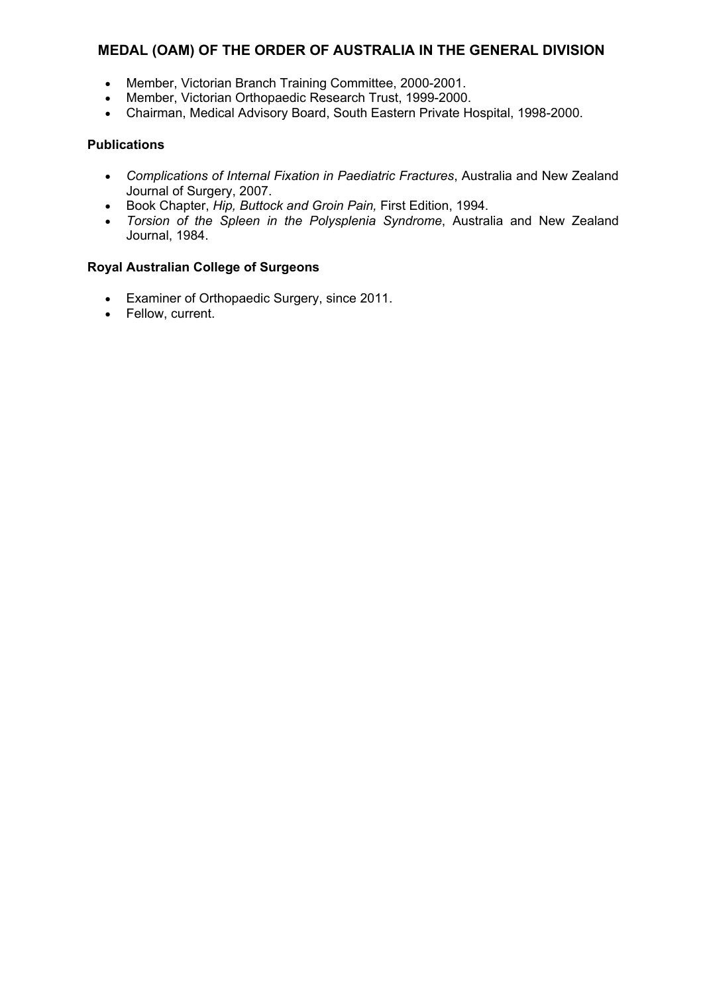- Member, Victorian Branch Training Committee, 2000-2001.
- Member, Victorian Orthopaedic Research Trust, 1999-2000.
- Chairman, Medical Advisory Board, South Eastern Private Hospital, 1998-2000.

### **Publications**

- *Complications of Internal Fixation in Paediatric Fractures*, Australia and New Zealand Journal of Surgery, 2007.
- Book Chapter, *Hip, Buttock and Groin Pain,* First Edition, 1994.
- *Torsion of the Spleen in the Polysplenia Syndrome*, Australia and New Zealand Journal, 1984.

### **Royal Australian College of Surgeons**

- Examiner of Orthopaedic Surgery, since 2011.
- Fellow, current.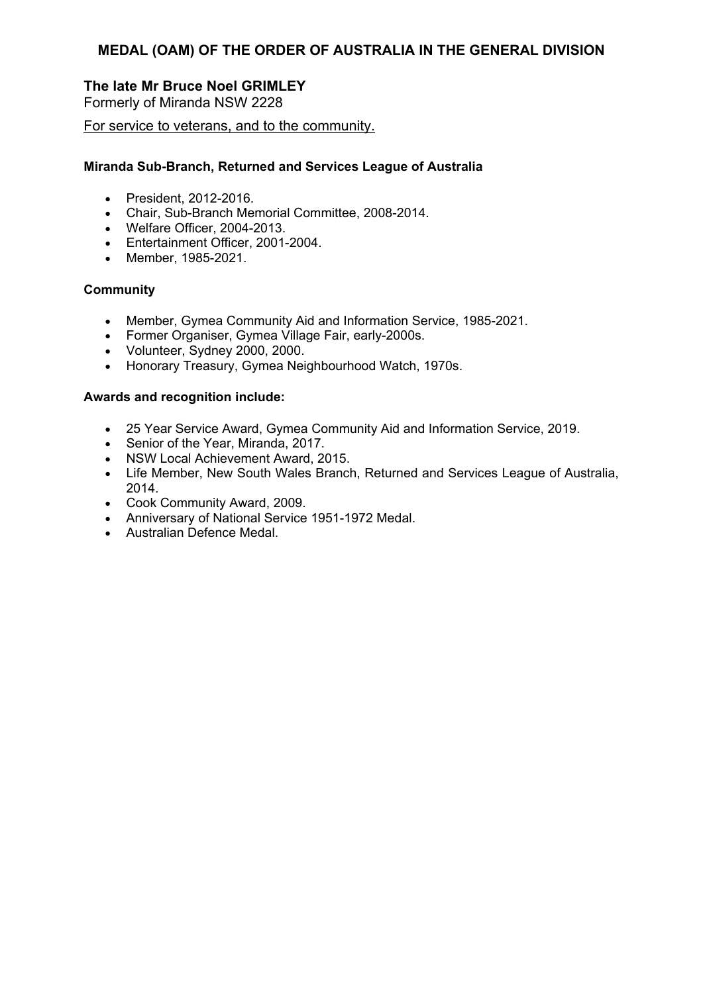# **The late Mr Bruce Noel GRIMLEY**

Formerly of Miranda NSW 2228

For service to veterans, and to the community.

### **Miranda Sub-Branch, Returned and Services League of Australia**

- President, 2012-2016.
- Chair, Sub-Branch Memorial Committee, 2008-2014.
- Welfare Officer, 2004-2013.
- Entertainment Officer, 2001-2004.
- Member, 1985-2021.

### **Community**

- Member, Gymea Community Aid and Information Service, 1985-2021.
- Former Organiser, Gymea Village Fair, early-2000s.
- Volunteer, Sydney 2000, 2000.
- Honorary Treasury, Gymea Neighbourhood Watch, 1970s.

- 25 Year Service Award, Gymea Community Aid and Information Service, 2019.
- Senior of the Year, Miranda, 2017.
- NSW Local Achievement Award, 2015.
- Life Member, New South Wales Branch, Returned and Services League of Australia, 2014.
- Cook Community Award, 2009.
- Anniversary of National Service 1951-1972 Medal.
- Australian Defence Medal.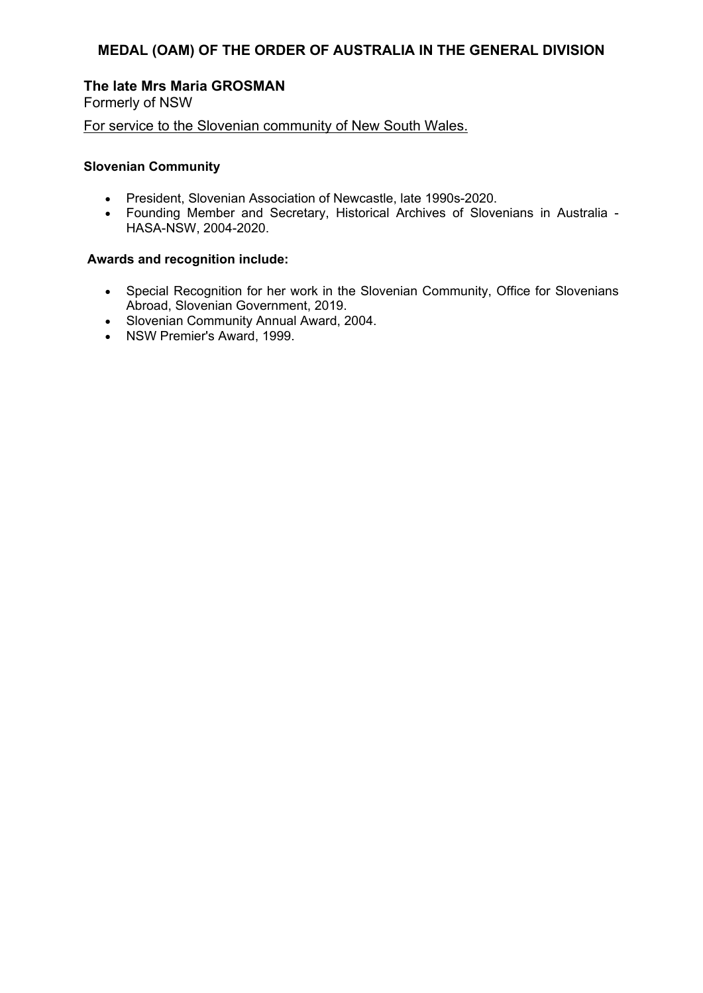### **The late Mrs Maria GROSMAN**

Formerly of NSW

For service to the Slovenian community of New South Wales.

#### **Slovenian Community**

- President, Slovenian Association of Newcastle, late 1990s-2020.
- Founding Member and Secretary, Historical Archives of Slovenians in Australia HASA-NSW, 2004-2020.

- Special Recognition for her work in the Slovenian Community, Office for Slovenians Abroad, Slovenian Government, 2019.
- Slovenian Community Annual Award, 2004.
- NSW Premier's Award, 1999.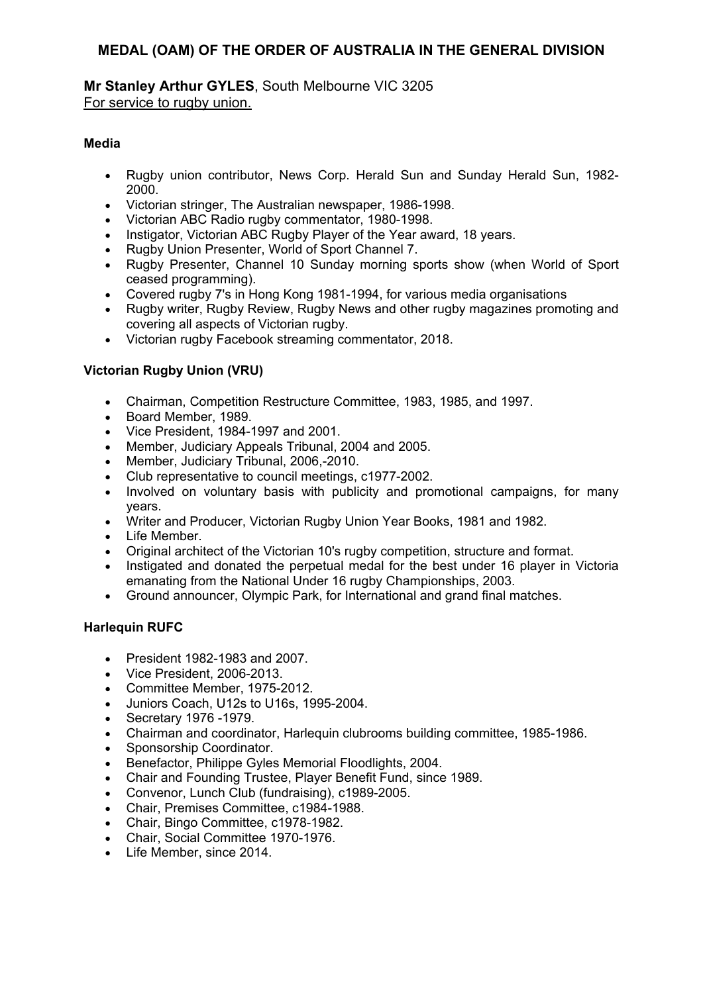### **Mr Stanley Arthur GYLES**, South Melbourne VIC 3205 For service to rugby union.

### **Media**

- Rugby union contributor, News Corp. Herald Sun and Sunday Herald Sun, 1982- 2000.
- Victorian stringer, The Australian newspaper, 1986-1998.
- Victorian ABC Radio rugby commentator, 1980-1998.
- Instigator, Victorian ABC Rugby Player of the Year award, 18 years.
- Rugby Union Presenter, World of Sport Channel 7.
- Rugby Presenter, Channel 10 Sunday morning sports show (when World of Sport ceased programming).
- Covered rugby 7's in Hong Kong 1981-1994, for various media organisations
- Rugby writer, Rugby Review, Rugby News and other rugby magazines promoting and covering all aspects of Victorian rugby.
- Victorian rugby Facebook streaming commentator, 2018.

### **Victorian Rugby Union (VRU)**

- Chairman, Competition Restructure Committee, 1983, 1985, and 1997.
- **Board Member, 1989.**
- Vice President, 1984-1997 and 2001.
- Member, Judiciary Appeals Tribunal, 2004 and 2005.
- Member, Judiciary Tribunal, 2006,-2010.
- Club representative to council meetings, c1977-2002.
- Involved on voluntary basis with publicity and promotional campaigns, for many years.
- Writer and Producer, Victorian Rugby Union Year Books, 1981 and 1982.
- Life Member.
- Original architect of the Victorian 10's rugby competition, structure and format.
- Instigated and donated the perpetual medal for the best under 16 player in Victoria emanating from the National Under 16 rugby Championships, 2003.
- Ground announcer, Olympic Park, for International and grand final matches.

### **Harlequin RUFC**

- President 1982-1983 and 2007.
- Vice President, 2006-2013.
- Committee Member, 1975-2012.
- Juniors Coach, U12s to U16s, 1995-2004.
- Secretary 1976 -1979.
- Chairman and coordinator, Harlequin clubrooms building committee, 1985-1986.
- Sponsorship Coordinator.
- Benefactor, Philippe Gyles Memorial Floodlights, 2004.
- Chair and Founding Trustee, Player Benefit Fund, since 1989.
- Convenor, Lunch Club (fundraising), c1989-2005.
- Chair, Premises Committee, c1984-1988.
- Chair, Bingo Committee, c1978-1982.
- Chair, Social Committee 1970-1976.
- Life Member, since 2014.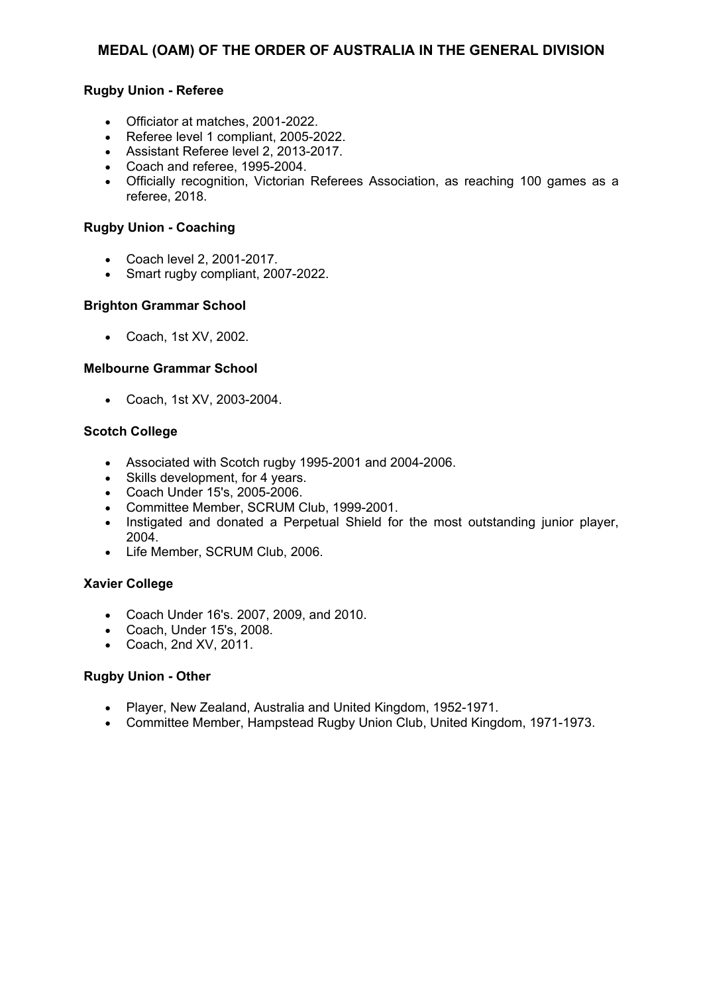### **Rugby Union - Referee**

- Officiator at matches, 2001-2022.
- Referee level 1 compliant, 2005-2022.
- Assistant Referee level 2, 2013-2017.
- Coach and referee, 1995-2004.
- Officially recognition, Victorian Referees Association, as reaching 100 games as a referee, 2018.

#### **Rugby Union - Coaching**

- Coach level 2, 2001-2017.
- Smart rugby compliant, 2007-2022.

#### **Brighton Grammar School**

Coach, 1st XV, 2002.

#### **Melbourne Grammar School**

Coach, 1st XV, 2003-2004.

#### **Scotch College**

- Associated with Scotch rugby 1995-2001 and 2004-2006.
- Skills development, for 4 years.
- Coach Under 15's, 2005-2006.
- Committee Member, SCRUM Club, 1999-2001.
- Instigated and donated a Perpetual Shield for the most outstanding junior player, 2004.
- Life Member, SCRUM Club, 2006.

### **Xavier College**

- Coach Under 16's. 2007, 2009, and 2010.
- Coach, Under 15's, 2008.
- Coach, 2nd XV, 2011.

#### **Rugby Union - Other**

- Player, New Zealand, Australia and United Kingdom, 1952-1971.
- Committee Member, Hampstead Rugby Union Club, United Kingdom, 1971-1973.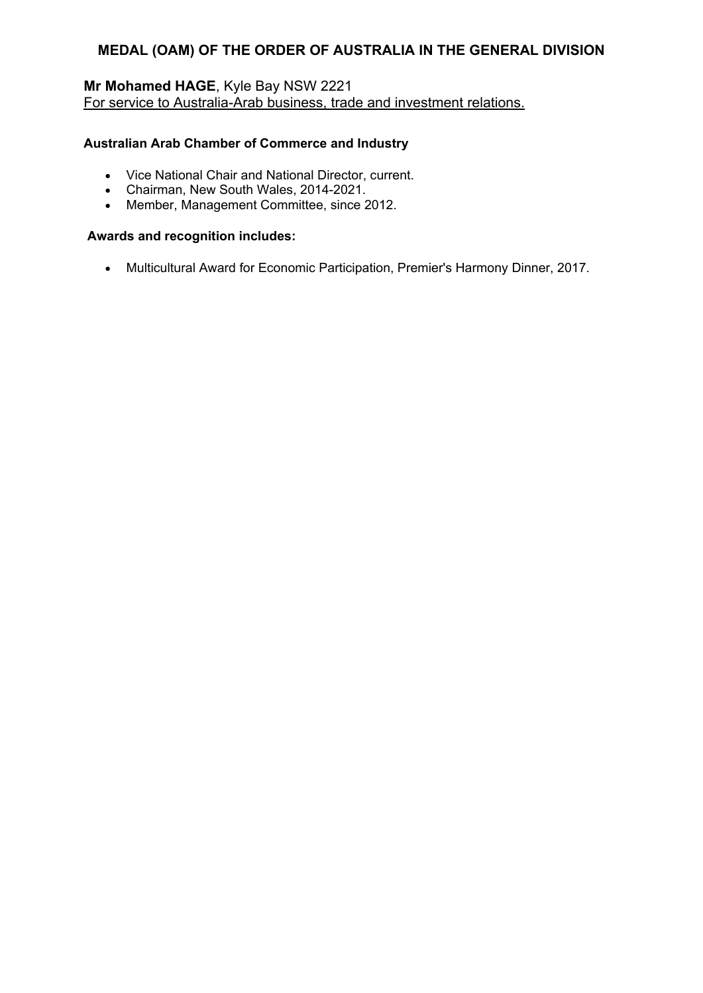# **Mr Mohamed HAGE**, Kyle Bay NSW 2221 For service to Australia-Arab business, trade and investment relations.

### **Australian Arab Chamber of Commerce and Industry**

- Vice National Chair and National Director, current.
- Chairman, New South Wales, 2014-2021.
- Member, Management Committee, since 2012.

### **Awards and recognition includes:**

Multicultural Award for Economic Participation, Premier's Harmony Dinner, 2017.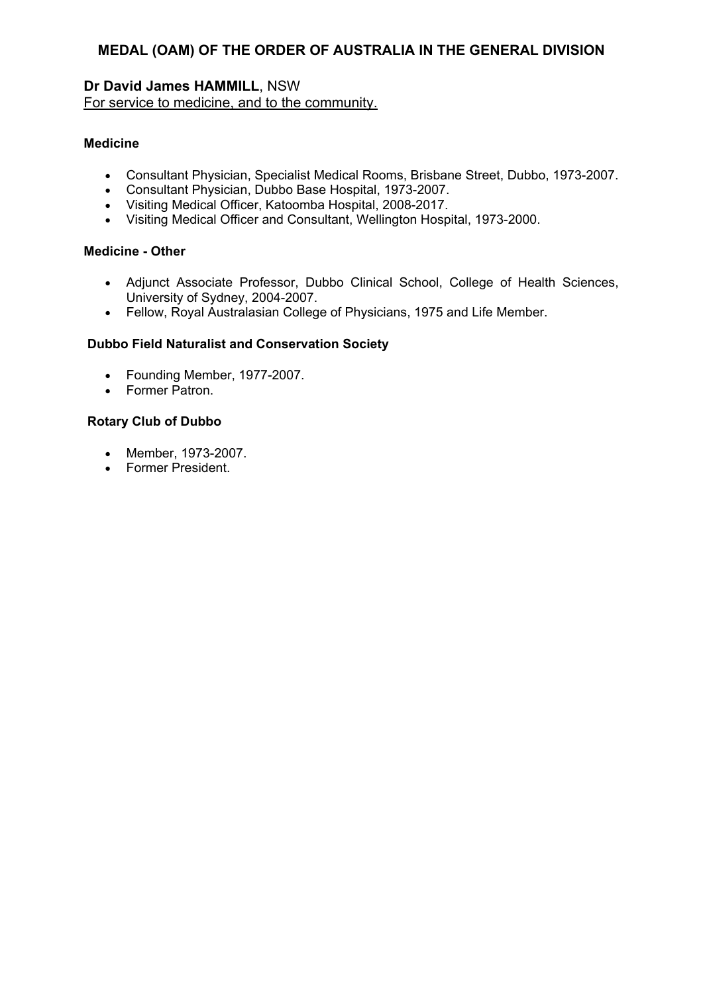### **Dr David James HAMMILL**, NSW For service to medicine, and to the community.

#### **Medicine**

- Consultant Physician, Specialist Medical Rooms, Brisbane Street, Dubbo, 1973-2007.
- Consultant Physician, Dubbo Base Hospital, 1973-2007.
- Visiting Medical Officer, Katoomba Hospital, 2008-2017.
- Visiting Medical Officer and Consultant, Wellington Hospital, 1973-2000.

#### **Medicine - Other**

- Adjunct Associate Professor, Dubbo Clinical School, College of Health Sciences, University of Sydney, 2004-2007.
- Fellow, Royal Australasian College of Physicians, 1975 and Life Member.

#### **Dubbo Field Naturalist and Conservation Society**

- Founding Member, 1977-2007.
- Former Patron.

### **Rotary Club of Dubbo**

- Member, 1973-2007.
- Former President.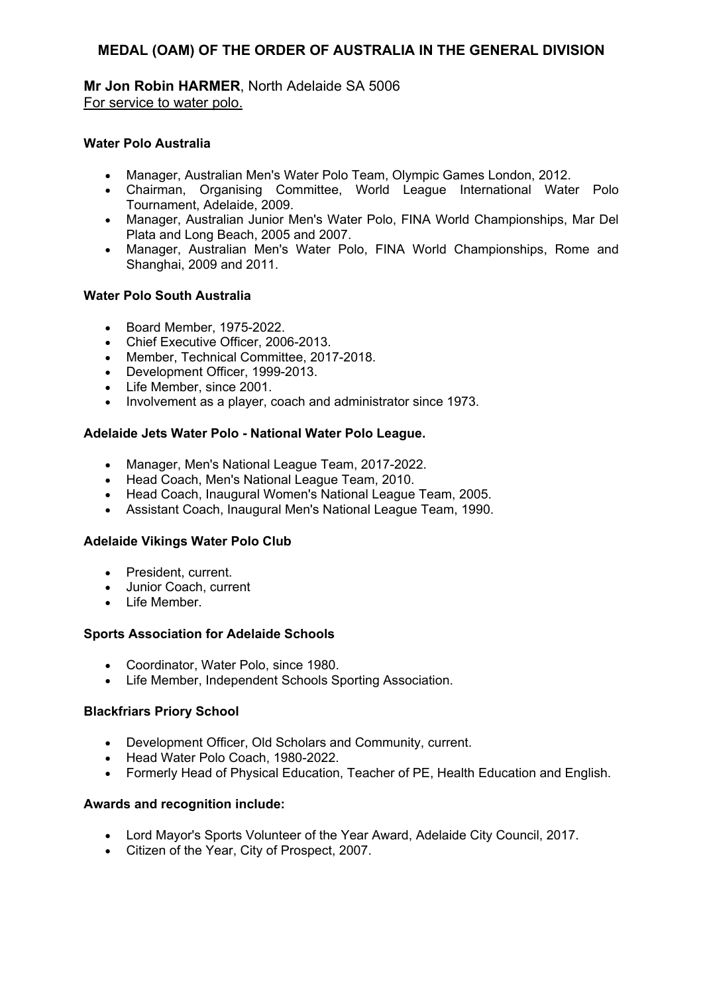**Mr Jon Robin HARMER**, North Adelaide SA 5006 For service to water polo.

### **Water Polo Australia**

- Manager, Australian Men's Water Polo Team, Olympic Games London, 2012.
- Chairman, Organising Committee, World League International Water Polo Tournament, Adelaide, 2009.
- Manager, Australian Junior Men's Water Polo, FINA World Championships, Mar Del Plata and Long Beach, 2005 and 2007.
- Manager, Australian Men's Water Polo, FINA World Championships, Rome and Shanghai, 2009 and 2011.

### **Water Polo South Australia**

- Board Member, 1975-2022.
- Chief Executive Officer, 2006-2013.
- Member, Technical Committee, 2017-2018.
- Development Officer, 1999-2013.
- Life Member, since 2001.
- Involvement as a player, coach and administrator since 1973.

#### **Adelaide Jets Water Polo - National Water Polo League.**

- Manager, Men's National League Team, 2017-2022.
- Head Coach, Men's National League Team, 2010.
- Head Coach, Inaugural Women's National League Team, 2005.
- Assistant Coach, Inaugural Men's National League Team, 1990.

### **Adelaide Vikings Water Polo Club**

- President, current.
- Junior Coach, current
- Life Member.

### **Sports Association for Adelaide Schools**

- Coordinator, Water Polo, since 1980.
- Life Member, Independent Schools Sporting Association.

#### **Blackfriars Priory School**

- Development Officer, Old Scholars and Community, current.
- Head Water Polo Coach, 1980-2022.
- Formerly Head of Physical Education, Teacher of PE, Health Education and English.

- Lord Mayor's Sports Volunteer of the Year Award, Adelaide City Council, 2017.
- Citizen of the Year, City of Prospect, 2007.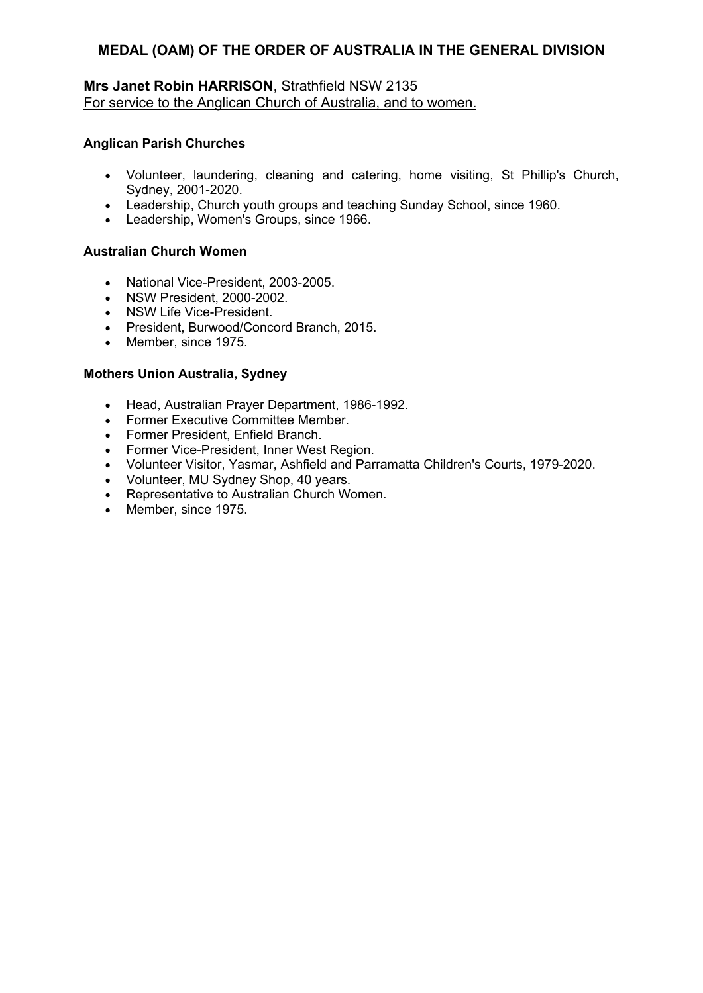### **Mrs Janet Robin HARRISON**, Strathfield NSW 2135 For service to the Anglican Church of Australia, and to women.

### **Anglican Parish Churches**

- Volunteer, laundering, cleaning and catering, home visiting, St Phillip's Church, Sydney, 2001-2020.
- Leadership, Church youth groups and teaching Sunday School, since 1960.
- Leadership, Women's Groups, since 1966.

### **Australian Church Women**

- National Vice-President, 2003-2005.
- NSW President, 2000-2002.
- NSW Life Vice-President.
- President, Burwood/Concord Branch, 2015.
- Member, since 1975.

#### **Mothers Union Australia, Sydney**

- Head, Australian Prayer Department, 1986-1992.
- Former Executive Committee Member.
- Former President, Enfield Branch.
- Former Vice-President, Inner West Region.
- Volunteer Visitor, Yasmar, Ashfield and Parramatta Children's Courts, 1979-2020.
- Volunteer, MU Sydney Shop, 40 years.
- Representative to Australian Church Women.
- Member, since 1975.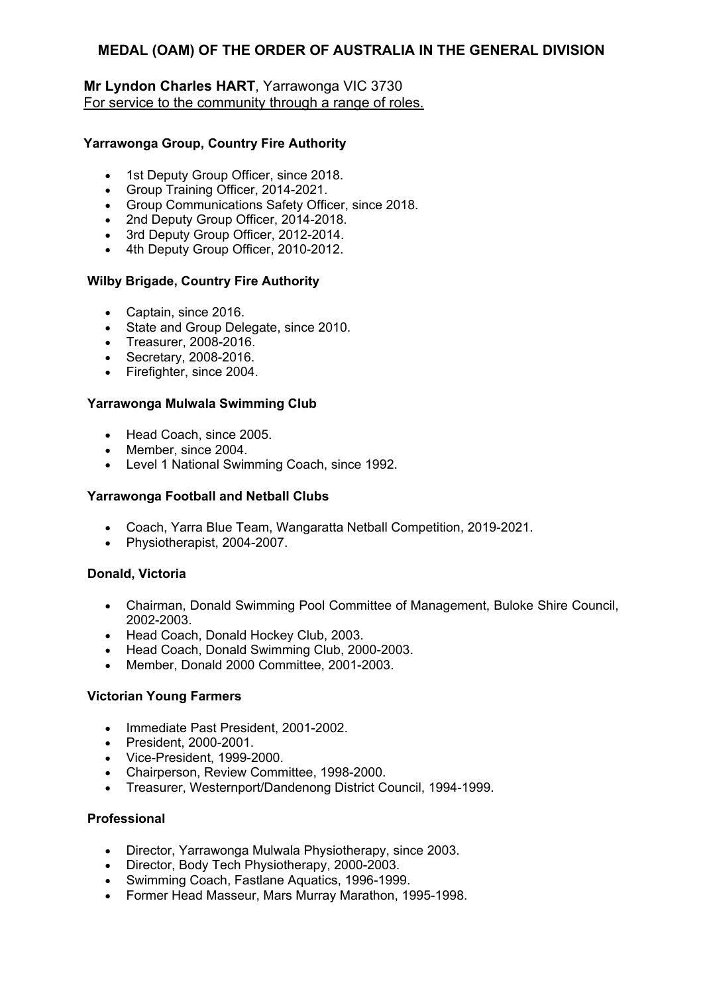### **Mr Lyndon Charles HART**, Yarrawonga VIC 3730 For service to the community through a range of roles.

### **Yarrawonga Group, Country Fire Authority**

- 1st Deputy Group Officer, since 2018.
- Group Training Officer, 2014-2021.
- Group Communications Safety Officer, since 2018.
- 2nd Deputy Group Officer, 2014-2018.
- 3rd Deputy Group Officer, 2012-2014.
- 4th Deputy Group Officer, 2010-2012.

#### **Wilby Brigade, Country Fire Authority**

- Captain, since 2016.
- State and Group Delegate, since 2010.
- Treasurer, 2008-2016.
- Secretary, 2008-2016.
- Firefighter, since 2004.

#### **Yarrawonga Mulwala Swimming Club**

- Head Coach, since 2005.
- Member, since 2004.
- Level 1 National Swimming Coach, since 1992.

#### **Yarrawonga Football and Netball Clubs**

- Coach, Yarra Blue Team, Wangaratta Netball Competition, 2019-2021.
- Physiotherapist, 2004-2007.

#### **Donald, Victoria**

- Chairman, Donald Swimming Pool Committee of Management, Buloke Shire Council, 2002-2003.
- Head Coach, Donald Hockey Club, 2003.
- Head Coach, Donald Swimming Club, 2000-2003.
- Member, Donald 2000 Committee, 2001-2003.

### **Victorian Young Farmers**

- Immediate Past President, 2001-2002.
- President, 2000-2001.
- Vice-President, 1999-2000.
- Chairperson, Review Committee, 1998-2000.
- Treasurer, Westernport/Dandenong District Council, 1994-1999.

#### **Professional**

- Director, Yarrawonga Mulwala Physiotherapy, since 2003.
- Director, Body Tech Physiotherapy, 2000-2003.
- Swimming Coach, Fastlane Aquatics, 1996-1999.
- Former Head Masseur, Mars Murray Marathon, 1995-1998.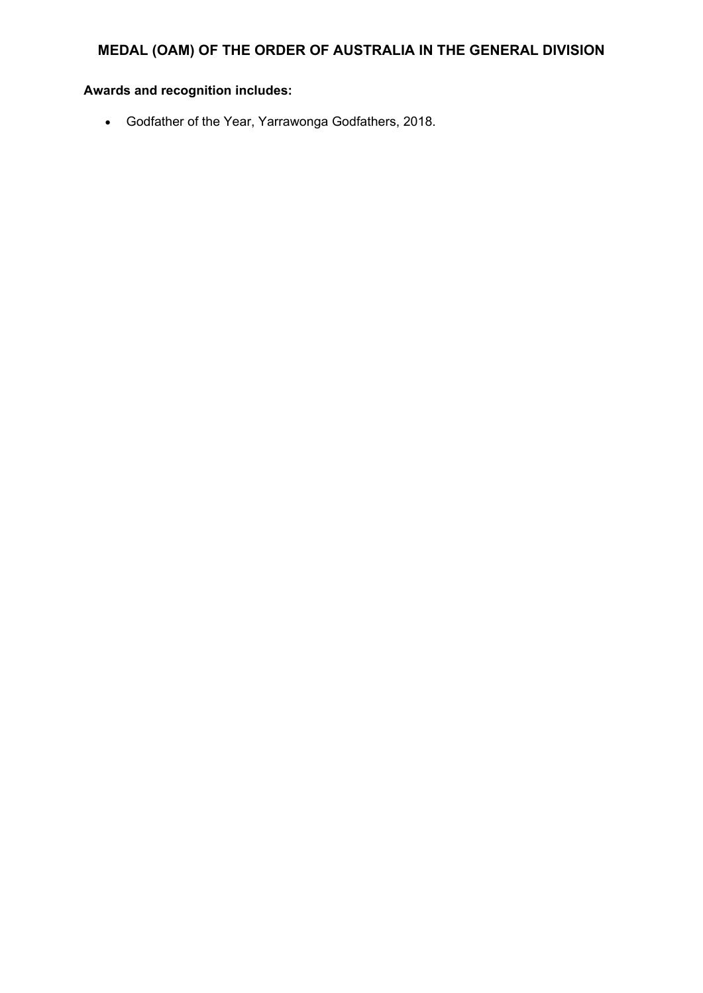# **Awards and recognition includes:**

Godfather of the Year, Yarrawonga Godfathers, 2018.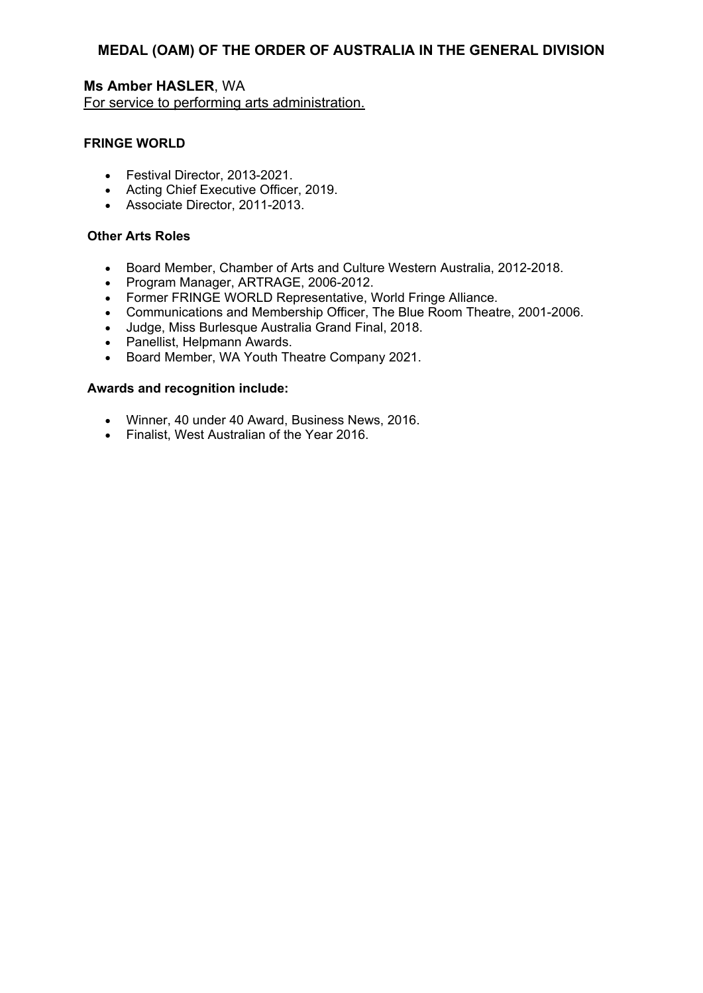**Ms Amber HASLER**, WA For service to performing arts administration.

### **FRINGE WORLD**

- Festival Director, 2013-2021.
- Acting Chief Executive Officer, 2019.
- Associate Director, 2011-2013.

#### **Other Arts Roles**

- Board Member, Chamber of Arts and Culture Western Australia, 2012-2018.
- Program Manager, ARTRAGE, 2006-2012.
- Former FRINGE WORLD Representative, World Fringe Alliance.
- Communications and Membership Officer, The Blue Room Theatre, 2001-2006.
- Judge, Miss Burlesque Australia Grand Final, 2018.
- Panellist, Helpmann Awards.
- Board Member, WA Youth Theatre Company 2021.

- Winner, 40 under 40 Award, Business News, 2016.
- Finalist, West Australian of the Year 2016.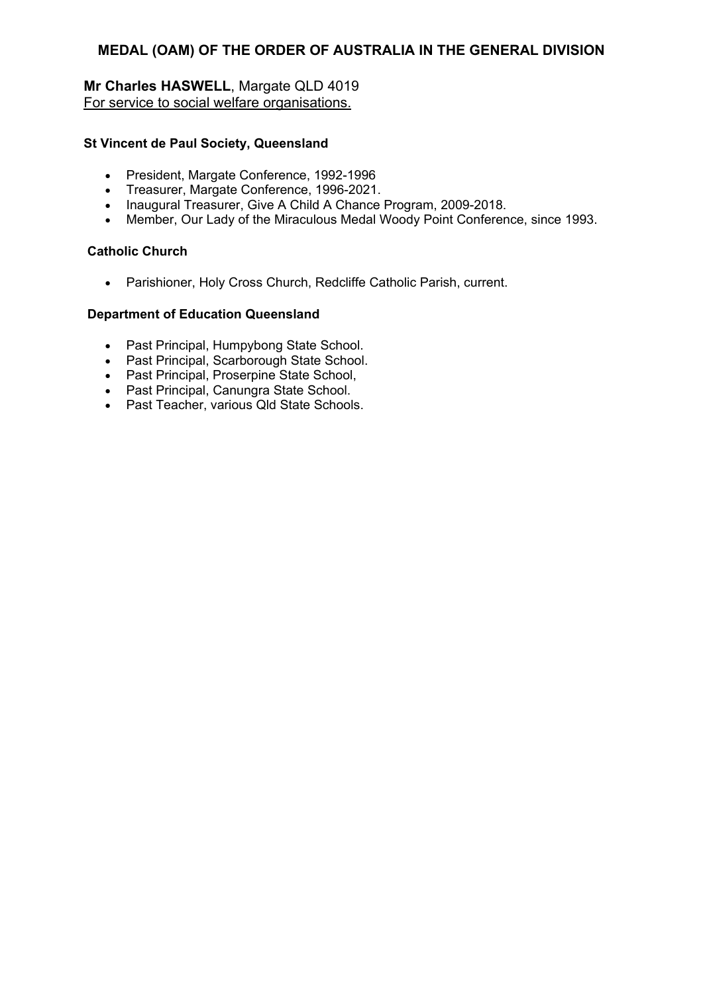# **Mr Charles HASWELL**, Margate QLD 4019 For service to social welfare organisations.

### **St Vincent de Paul Society, Queensland**

- President, Margate Conference, 1992-1996
- Treasurer, Margate Conference, 1996-2021.
- Inaugural Treasurer, Give A Child A Chance Program, 2009-2018.
- Member, Our Lady of the Miraculous Medal Woody Point Conference, since 1993.

### **Catholic Church**

Parishioner, Holy Cross Church, Redcliffe Catholic Parish, current.

### **Department of Education Queensland**

- Past Principal, Humpybong State School.
- Past Principal, Scarborough State School.
- Past Principal, Proserpine State School,
- Past Principal, Canungra State School.
- Past Teacher, various Qld State Schools.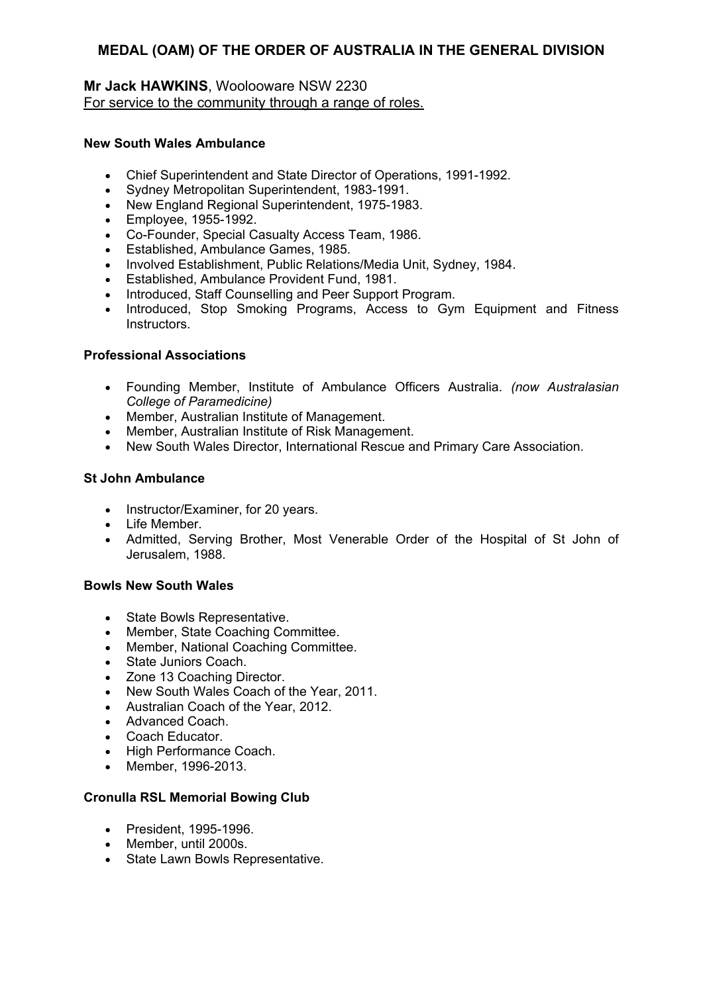### **Mr Jack HAWKINS**, Woolooware NSW 2230 For service to the community through a range of roles.

### **New South Wales Ambulance**

- Chief Superintendent and State Director of Operations, 1991-1992.
- Sydney Metropolitan Superintendent, 1983-1991.
- New England Regional Superintendent, 1975-1983.
- Employee, 1955-1992.
- Co-Founder, Special Casualty Access Team, 1986.
- Established, Ambulance Games, 1985.
- Involved Establishment, Public Relations/Media Unit, Sydney, 1984.
- **Established, Ambulance Provident Fund, 1981.**
- Introduced, Staff Counselling and Peer Support Program.
- Introduced, Stop Smoking Programs, Access to Gym Equipment and Fitness Instructors.

### **Professional Associations**

- Founding Member, Institute of Ambulance Officers Australia. *(now Australasian College of Paramedicine)*
- Member, Australian Institute of Management.
- Member, Australian Institute of Risk Management.
- New South Wales Director, International Rescue and Primary Care Association.

### **St John Ambulance**

- Instructor/Examiner, for 20 years.
- Life Member.
- Admitted, Serving Brother, Most Venerable Order of the Hospital of St John of Jerusalem, 1988.

### **Bowls New South Wales**

- State Bowls Representative.
- Member, State Coaching Committee.
- Member, National Coaching Committee.
- State Juniors Coach.
- Zone 13 Coaching Director.
- New South Wales Coach of the Year, 2011.
- Australian Coach of the Year, 2012.
- Advanced Coach.
- Coach Educator.
- High Performance Coach.
- Member, 1996-2013.

### **Cronulla RSL Memorial Bowing Club**

- President, 1995-1996.
- Member, until 2000s.
- State Lawn Bowls Representative.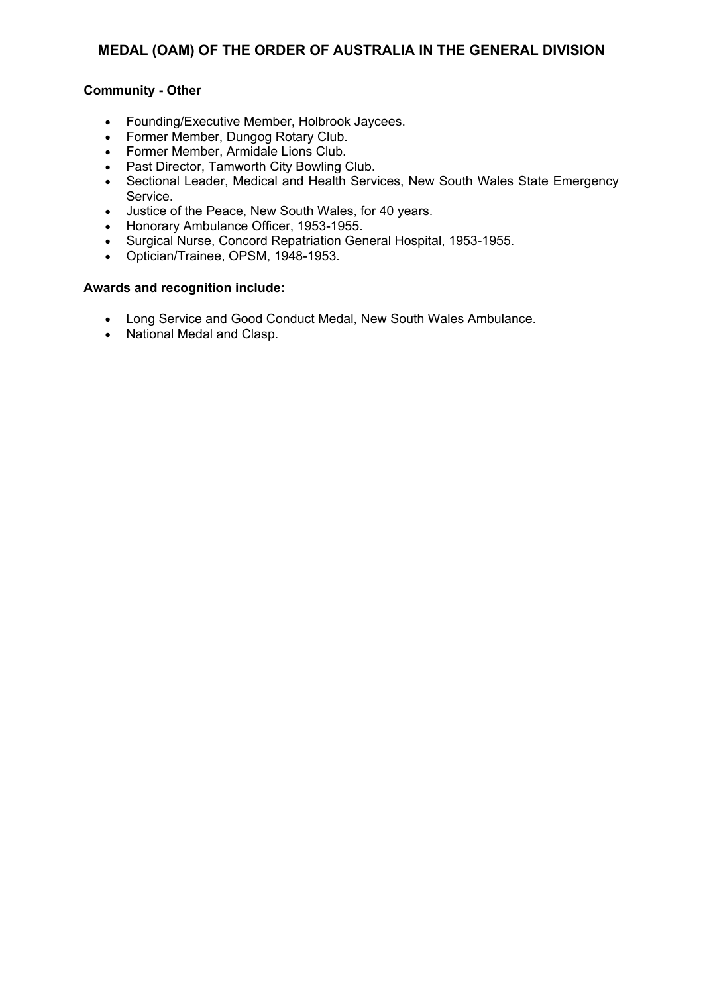### **Community - Other**

- Founding/Executive Member, Holbrook Jaycees.
- Former Member, Dungog Rotary Club.
- Former Member, Armidale Lions Club.
- Past Director, Tamworth City Bowling Club.
- Sectional Leader, Medical and Health Services, New South Wales State Emergency Service.
- Justice of the Peace, New South Wales, for 40 years.
- Honorary Ambulance Officer, 1953-1955.
- Surgical Nurse, Concord Repatriation General Hospital, 1953-1955.
- Optician/Trainee, OPSM, 1948-1953.

- Long Service and Good Conduct Medal, New South Wales Ambulance.
- National Medal and Clasp.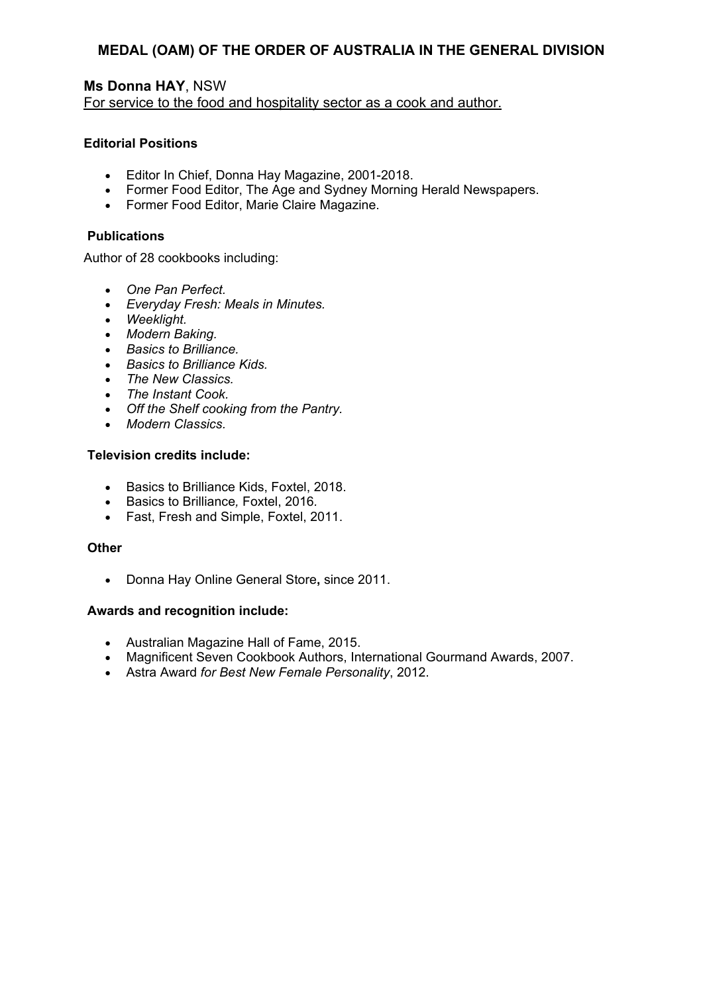### **Ms Donna HAY**, NSW For service to the food and hospitality sector as a cook and author.

#### **Editorial Positions**

- Editor In Chief, Donna Hay Magazine, 2001-2018.
- Former Food Editor, The Age and Sydney Morning Herald Newspapers.
- Former Food Editor, Marie Claire Magazine.

#### **Publications**

Author of 28 cookbooks including:

- *One Pan Perfect.*
- *Everyday Fresh: Meals in Minutes.*
- *Weeklight.*
- *Modern Baking.*
- *Basics to Brilliance.*
- *Basics to Brilliance Kids.*
- *The New Classics.*
- *The Instant Cook.*
- *Off the Shelf cooking from the Pantry.*
- *Modern Classics.*

### **Television credits include:**

- Basics to Brilliance Kids, Foxtel, 2018.
- Basics to Brilliance*,* Foxtel, 2016*.*
- Fast, Fresh and Simple, Foxtel, 2011.

#### **Other**

Donna Hay Online General Store**,** since 2011.

- Australian Magazine Hall of Fame, 2015.
- Magnificent Seven Cookbook Authors, International Gourmand Awards, 2007.
- Astra Award *for Best New Female Personality*, 2012.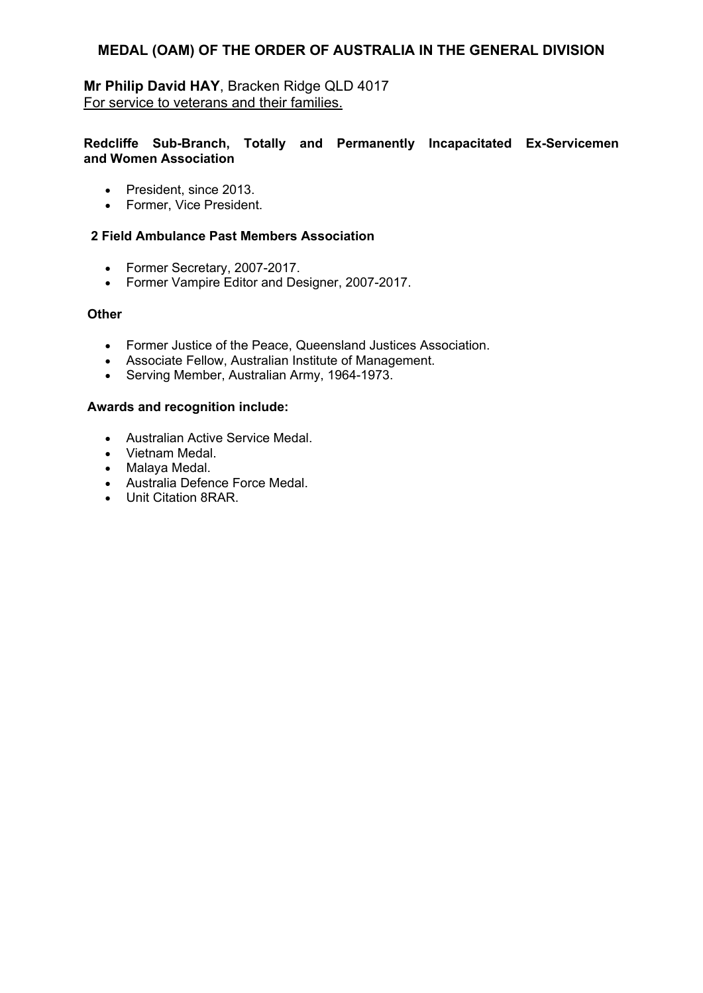**Mr Philip David HAY**, Bracken Ridge QLD 4017 For service to veterans and their families.

### **Redcliffe Sub-Branch, Totally and Permanently Incapacitated Ex-Servicemen and Women Association**

- President, since 2013.
- Former, Vice President.

### **2 Field Ambulance Past Members Association**

- Former Secretary, 2007-2017.
- Former Vampire Editor and Designer, 2007-2017.

### **Other**

- Former Justice of the Peace, Queensland Justices Association.
- Associate Fellow, Australian Institute of Management.
- Serving Member, Australian Army, 1964-1973.

- Australian Active Service Medal.
- Vietnam Medal.
- Malaya Medal.
- Australia Defence Force Medal.
- Unit Citation 8RAR.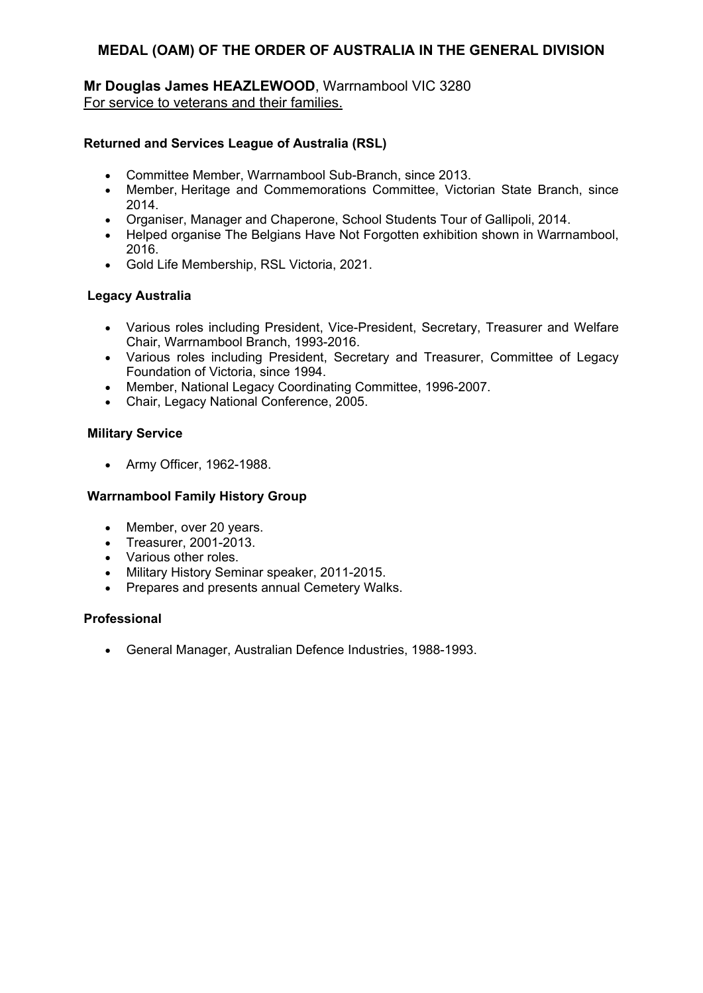**Mr Douglas James HEAZLEWOOD**, Warrnambool VIC 3280 For service to veterans and their families.

### **Returned and Services League of Australia (RSL)**

- Committee Member, Warrnambool Sub-Branch, since 2013.
- Member, Heritage and Commemorations Committee, Victorian State Branch, since 2014.
- Organiser, Manager and Chaperone, School Students Tour of Gallipoli, 2014.
- Helped organise The Belgians Have Not Forgotten exhibition shown in Warrnambool, 2016.
- Gold Life Membership, RSL Victoria, 2021.

### **Legacy Australia**

- Various roles including President, Vice-President, Secretary, Treasurer and Welfare Chair, Warrnambool Branch, 1993-2016.
- Various roles including President, Secretary and Treasurer, Committee of Legacy Foundation of Victoria, since 1994.
- Member, National Legacy Coordinating Committee, 1996-2007.
- Chair, Legacy National Conference, 2005.

### **Military Service**

Army Officer, 1962-1988.

### **Warrnambool Family History Group**

- Member, over 20 years.
- Treasurer, 2001-2013.
- Various other roles.
- Military History Seminar speaker, 2011-2015.
- Prepares and presents annual Cemetery Walks.

### **Professional**

General Manager, Australian Defence Industries, 1988-1993.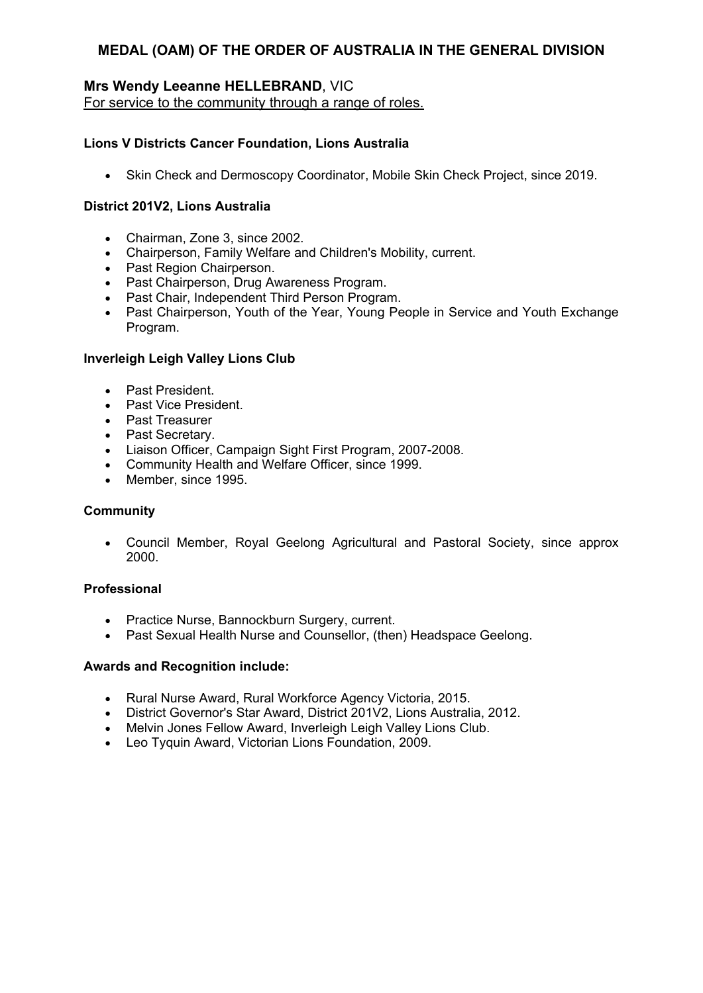# **Mrs Wendy Leeanne HELLEBRAND**, VIC

For service to the community through a range of roles.

### **Lions V Districts Cancer Foundation, Lions Australia**

Skin Check and Dermoscopy Coordinator, Mobile Skin Check Project, since 2019.

### **District 201V2, Lions Australia**

- Chairman, Zone 3, since 2002.
- Chairperson, Family Welfare and Children's Mobility, current.
- Past Region Chairperson.
- Past Chairperson, Drug Awareness Program.
- Past Chair, Independent Third Person Program.
- Past Chairperson, Youth of the Year, Young People in Service and Youth Exchange Program.

### **Inverleigh Leigh Valley Lions Club**

- Past President.
- Past Vice President.
- Past Treasurer
- Past Secretary.
- Liaison Officer, Campaign Sight First Program, 2007-2008.
- Community Health and Welfare Officer, since 1999.
- Member, since 1995.

### **Community**

 Council Member, Royal Geelong Agricultural and Pastoral Society, since approx 2000.

### **Professional**

- Practice Nurse, Bannockburn Surgery, current.
- Past Sexual Health Nurse and Counsellor, (then) Headspace Geelong.

- Rural Nurse Award, Rural Workforce Agency Victoria, 2015.
- District Governor's Star Award, District 201V2, Lions Australia, 2012.
- Melvin Jones Fellow Award, Inverleigh Leigh Valley Lions Club.
- Leo Tyquin Award, Victorian Lions Foundation, 2009.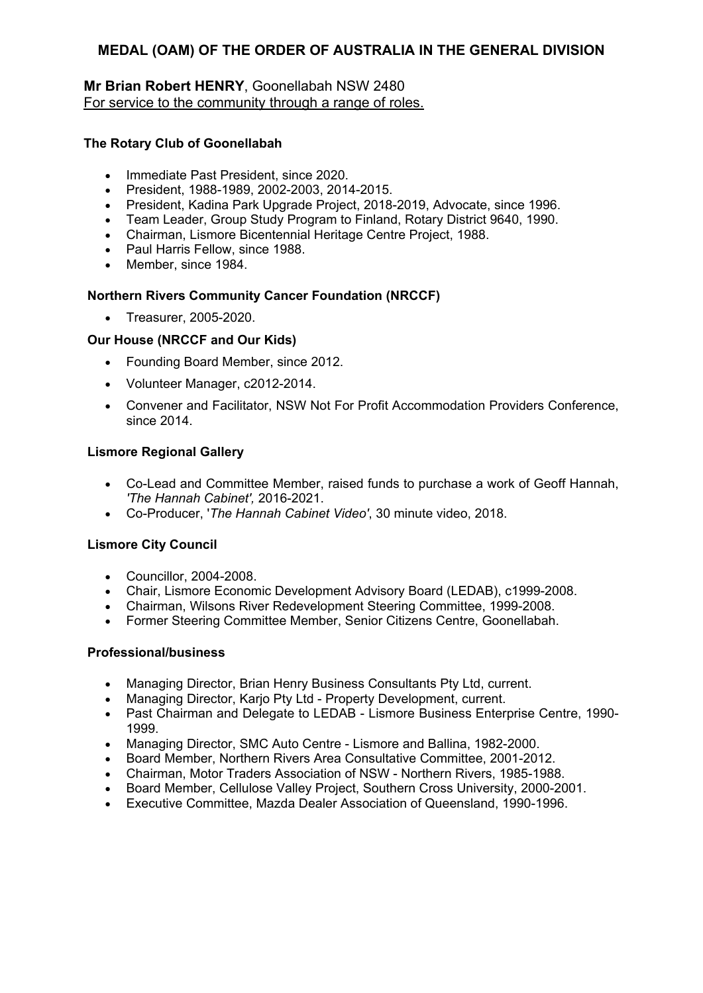### **Mr Brian Robert HENRY**, Goonellabah NSW 2480 For service to the community through a range of roles.

### **The Rotary Club of Goonellabah**

- Immediate Past President, since 2020.
- President, 1988-1989, 2002-2003, 2014-2015.
- President, Kadina Park Upgrade Project, 2018-2019, Advocate, since 1996.
- Team Leader, Group Study Program to Finland, Rotary District 9640, 1990.
- Chairman, Lismore Bicentennial Heritage Centre Project, 1988.
- Paul Harris Fellow, since 1988.
- Member, since 1984.

### **Northern Rivers Community Cancer Foundation (NRCCF)**

• Treasurer, 2005-2020.

### **Our House (NRCCF and Our Kids)**

- Founding Board Member, since 2012.
- Volunteer Manager, c2012-2014.
- Convener and Facilitator, NSW Not For Profit Accommodation Providers Conference, since 2014.

### **Lismore Regional Gallery**

- Co-Lead and Committee Member, raised funds to purchase a work of Geoff Hannah, *'The Hannah Cabinet',* 2016-2021.
- Co-Producer, '*The Hannah Cabinet Video'*, 30 minute video, 2018.

### **Lismore City Council**

- Councillor, 2004-2008.
- Chair, Lismore Economic Development Advisory Board (LEDAB), c1999-2008.
- Chairman, Wilsons River Redevelopment Steering Committee, 1999-2008.
- Former Steering Committee Member, Senior Citizens Centre, Goonellabah.

### **Professional/business**

- Managing Director, Brian Henry Business Consultants Pty Ltd, current.
- Managing Director, Karjo Pty Ltd Property Development, current.
- Past Chairman and Delegate to LEDAB Lismore Business Enterprise Centre, 1990- 1999.
- Managing Director, SMC Auto Centre Lismore and Ballina, 1982-2000.
- Board Member, Northern Rivers Area Consultative Committee, 2001-2012.
- Chairman, Motor Traders Association of NSW Northern Rivers, 1985-1988.
- Board Member, Cellulose Valley Project, Southern Cross University, 2000-2001.
- Executive Committee, Mazda Dealer Association of Queensland, 1990-1996.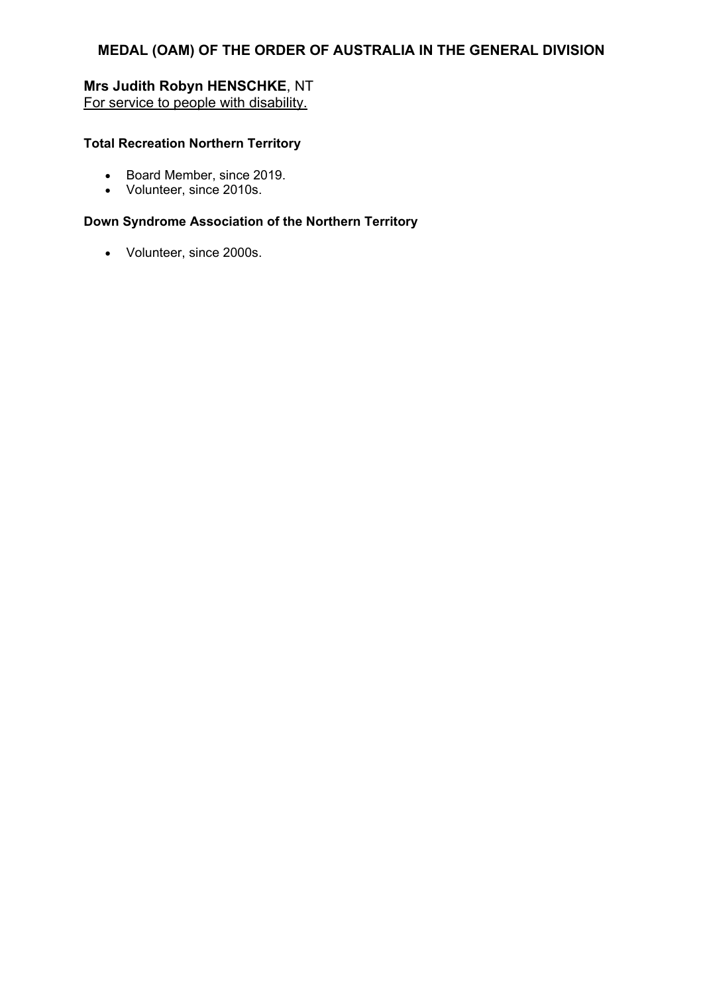# **Mrs Judith Robyn HENSCHKE**, NT For service to people with disability.

### **Total Recreation Northern Territory**

- **Board Member, since 2019.**
- Volunteer, since 2010s.

# **Down Syndrome Association of the Northern Territory**

Volunteer, since 2000s.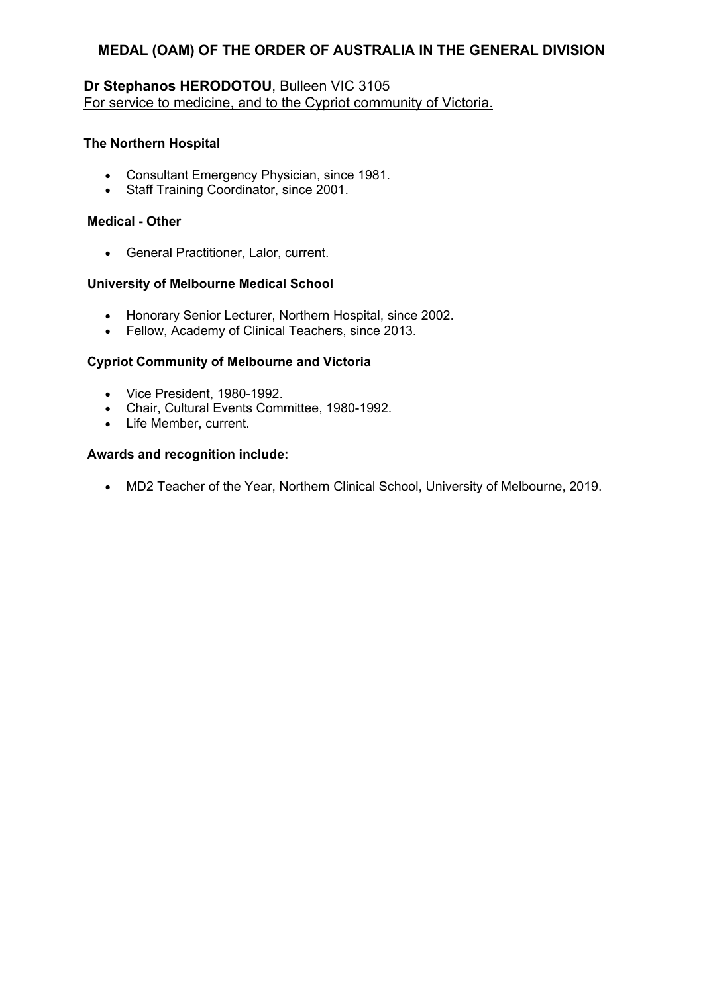# **Dr Stephanos HERODOTOU**, Bulleen VIC 3105 For service to medicine, and to the Cypriot community of Victoria.

### **The Northern Hospital**

- Consultant Emergency Physician, since 1981.
- Staff Training Coordinator, since 2001.

#### **Medical - Other**

General Practitioner, Lalor, current.

#### **University of Melbourne Medical School**

- Honorary Senior Lecturer, Northern Hospital, since 2002.
- Fellow, Academy of Clinical Teachers, since 2013.

#### **Cypriot Community of Melbourne and Victoria**

- Vice President, 1980-1992.
- Chair, Cultural Events Committee, 1980-1992.
- Life Member, current.

#### **Awards and recognition include:**

MD2 Teacher of the Year, Northern Clinical School, University of Melbourne, 2019.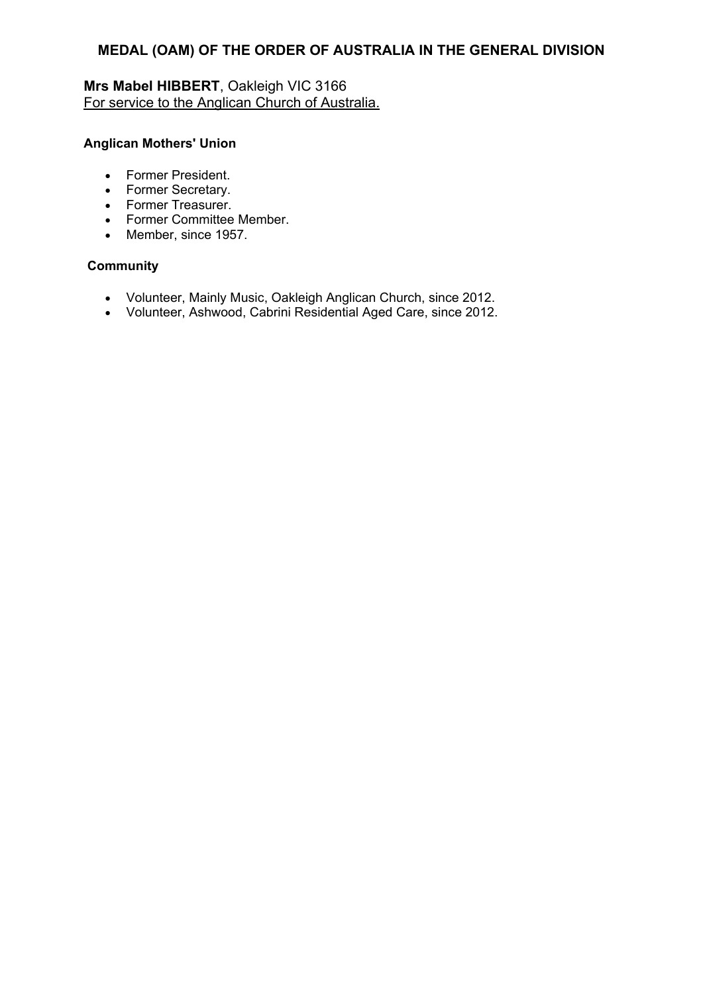# **Mrs Mabel HIBBERT**, Oakleigh VIC 3166 For service to the Anglican Church of Australia.

### **Anglican Mothers' Union**

- Former President.
- Former Secretary.
- Former Treasurer.
- Former Committee Member.
- Member, since 1957.

# **Community**

- Volunteer, Mainly Music, Oakleigh Anglican Church, since 2012.
- Volunteer, Ashwood, Cabrini Residential Aged Care, since 2012.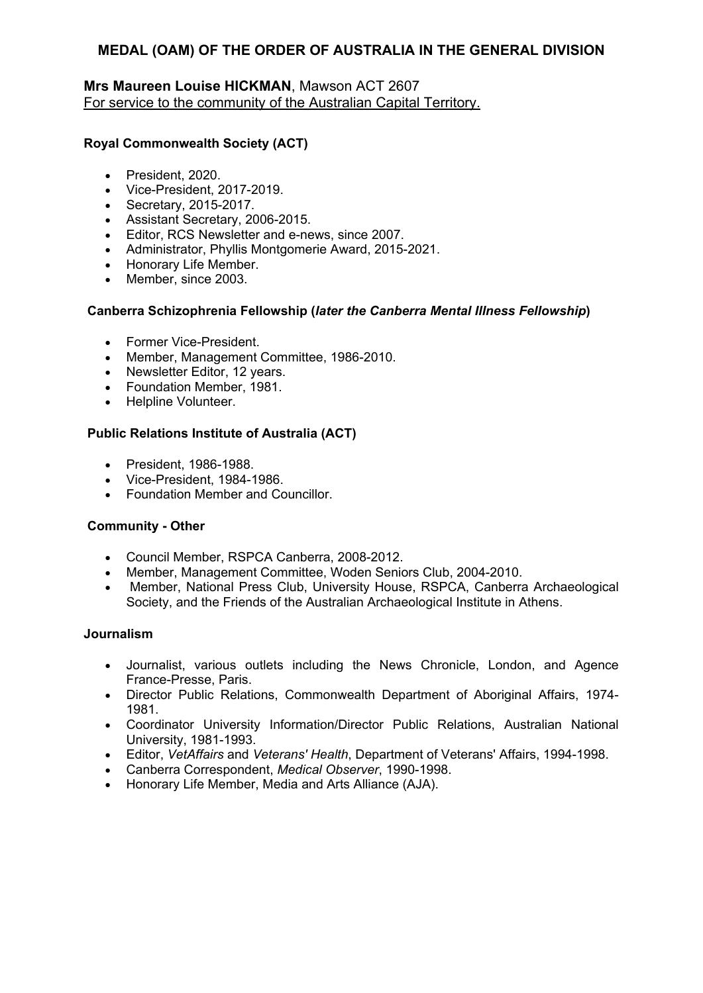### **Mrs Maureen Louise HICKMAN**, Mawson ACT 2607 For service to the community of the Australian Capital Territory.

### **Royal Commonwealth Society (ACT)**

- President, 2020.
- Vice-President, 2017-2019.
- Secretary, 2015-2017.
- Assistant Secretary, 2006-2015.
- Editor, RCS Newsletter and e-news, since 2007.
- Administrator, Phyllis Montgomerie Award, 2015-2021.
- Honorary Life Member.
- Member, since 2003.

### **Canberra Schizophrenia Fellowship (***later the Canberra Mental Illness Fellowship***)**

- Former Vice-President.
- Member, Management Committee, 1986-2010.
- Newsletter Editor, 12 years.
- Foundation Member, 1981.
- Helpline Volunteer.

### **Public Relations Institute of Australia (ACT)**

- President, 1986-1988.
- Vice-President, 1984-1986.
- Foundation Member and Councillor.

## **Community - Other**

- Council Member, RSPCA Canberra, 2008-2012.
- Member, Management Committee, Woden Seniors Club, 2004-2010.
- Member, National Press Club, University House, RSPCA, Canberra Archaeological Society, and the Friends of the Australian Archaeological Institute in Athens.

### **Journalism**

- Journalist, various outlets including the News Chronicle, London, and Agence France-Presse, Paris.
- Director Public Relations, Commonwealth Department of Aboriginal Affairs, 1974- 1981.
- Coordinator University Information/Director Public Relations, Australian National University, 1981-1993.
- Editor, *VetAffairs* and *Veterans' Health*, Department of Veterans' Affairs, 1994-1998.
- Canberra Correspondent, *Medical Observer*, 1990-1998.
- Honorary Life Member, Media and Arts Alliance (AJA).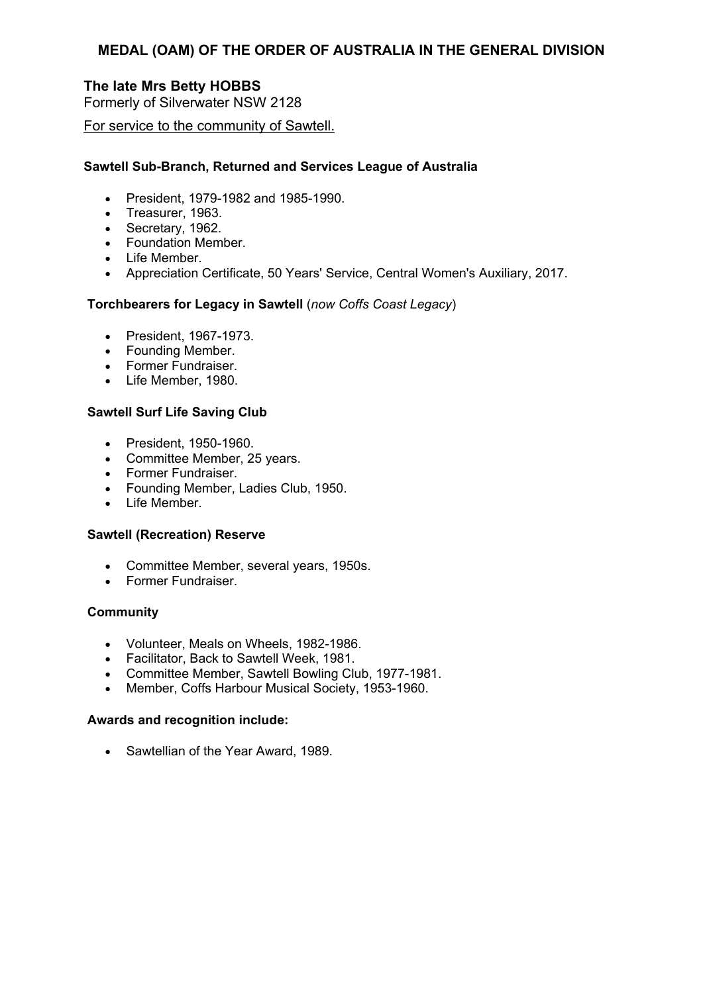# **The late Mrs Betty HOBBS**

Formerly of Silverwater NSW 2128

For service to the community of Sawtell.

### **Sawtell Sub-Branch, Returned and Services League of Australia**

- President, 1979-1982 and 1985-1990.
- Treasurer, 1963.
- Secretary, 1962.
- Foundation Member.
- Life Member.
- Appreciation Certificate, 50 Years' Service, Central Women's Auxiliary, 2017.

## **Torchbearers for Legacy in Sawtell** (*now Coffs Coast Legacy*)

- President, 1967-1973.
- Founding Member.
- Former Fundraiser.
- Life Member, 1980.

### **Sawtell Surf Life Saving Club**

- President, 1950-1960.
- Committee Member, 25 years.
- Former Fundraiser.
- Founding Member, Ladies Club, 1950.
- Life Member.

### **Sawtell (Recreation) Reserve**

- Committee Member, several years, 1950s.
- Former Fundraiser.

### **Community**

- Volunteer, Meals on Wheels, 1982-1986.
- Facilitator, Back to Sawtell Week, 1981.
- Committee Member, Sawtell Bowling Club, 1977-1981.
- Member, Coffs Harbour Musical Society, 1953-1960.

### **Awards and recognition include:**

• Sawtellian of the Year Award, 1989.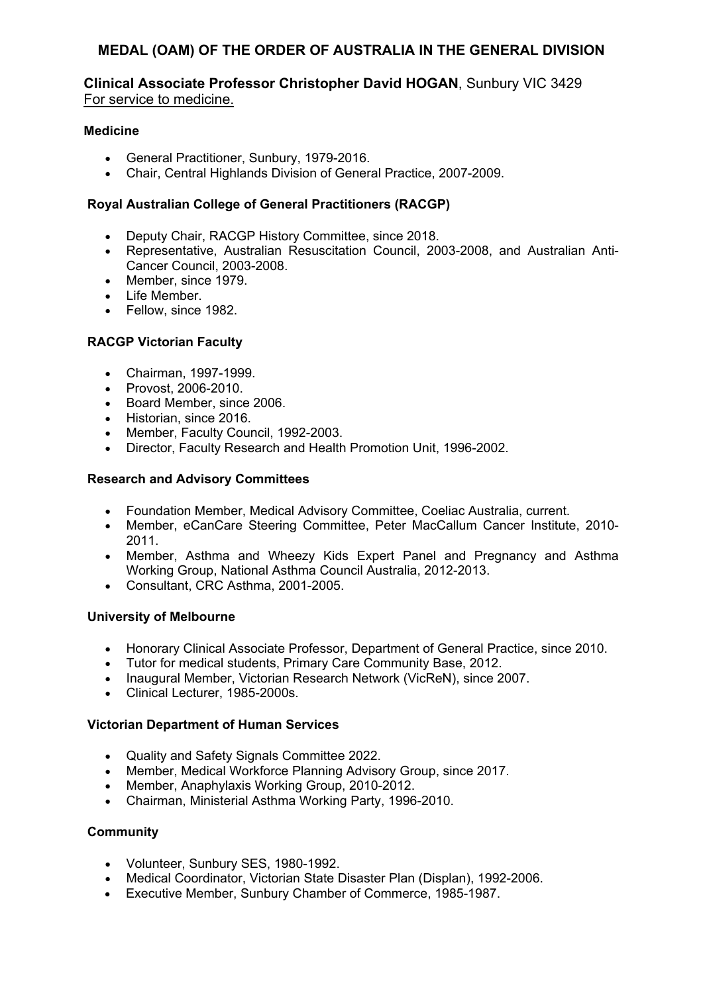### **Clinical Associate Professor Christopher David HOGAN**, Sunbury VIC 3429 For service to medicine.

### **Medicine**

- General Practitioner, Sunbury, 1979-2016.
- Chair, Central Highlands Division of General Practice, 2007-2009.

### **Royal Australian College of General Practitioners (RACGP)**

- Deputy Chair, RACGP History Committee, since 2018.
- Representative, Australian Resuscitation Council, 2003-2008, and Australian Anti-Cancer Council, 2003-2008.
- Member, since 1979.
- $\bullet$  Life Member
- Fellow, since 1982.

### **RACGP Victorian Faculty**

- Chairman, 1997-1999.
- Provost, 2006-2010.
- Board Member, since 2006.
- Historian, since 2016.
- Member, Faculty Council, 1992-2003.
- Director, Faculty Research and Health Promotion Unit, 1996-2002.

### **Research and Advisory Committees**

- Foundation Member, Medical Advisory Committee, Coeliac Australia, current.
- Member, eCanCare Steering Committee, Peter MacCallum Cancer Institute, 2010- 2011.
- Member, Asthma and Wheezy Kids Expert Panel and Pregnancy and Asthma Working Group, National Asthma Council Australia, 2012-2013.
- Consultant, CRC Asthma, 2001-2005.

### **University of Melbourne**

- Honorary Clinical Associate Professor, Department of General Practice, since 2010.
- Tutor for medical students, Primary Care Community Base, 2012.
- Inaugural Member, Victorian Research Network (VicReN), since 2007.
- Clinical Lecturer, 1985-2000s.

### **Victorian Department of Human Services**

- Quality and Safety Signals Committee 2022.
- Member, Medical Workforce Planning Advisory Group, since 2017.
- Member, Anaphylaxis Working Group, 2010-2012.
- Chairman, Ministerial Asthma Working Party, 1996-2010.

### **Community**

- Volunteer, Sunbury SES, 1980-1992.
- Medical Coordinator, Victorian State Disaster Plan (Displan), 1992-2006.
- Executive Member, Sunbury Chamber of Commerce, 1985-1987.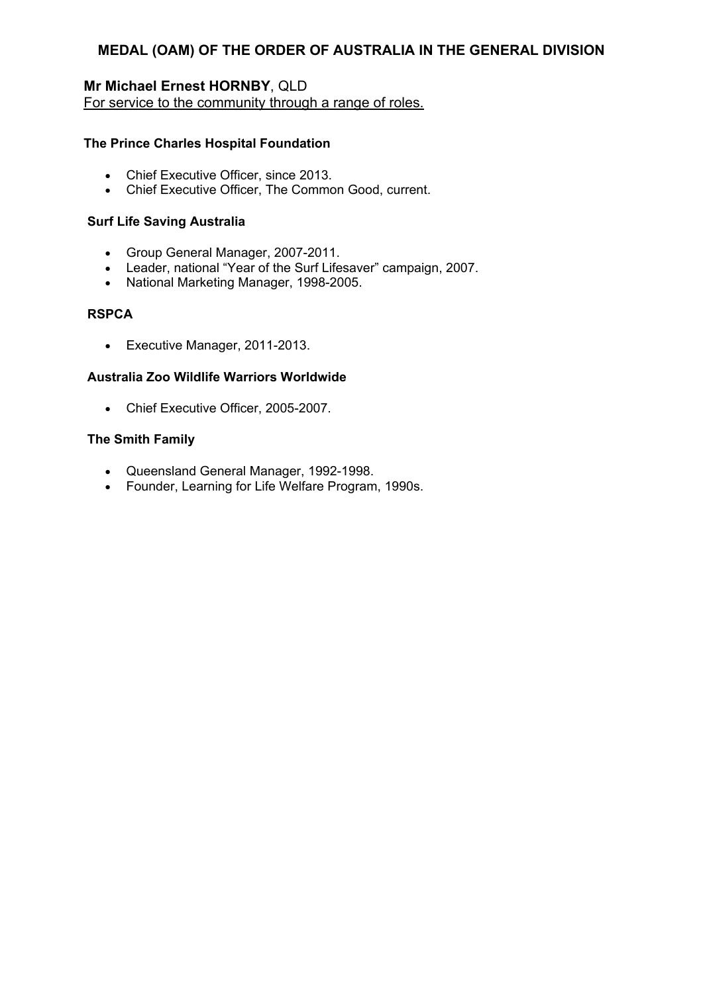# **Mr Michael Ernest HORNBY**, QLD

For service to the community through a range of roles.

### **The Prince Charles Hospital Foundation**

- Chief Executive Officer, since 2013.
- Chief Executive Officer, The Common Good, current.

### **Surf Life Saving Australia**

- Group General Manager, 2007-2011.
- Leader, national "Year of the Surf Lifesaver" campaign, 2007.
- National Marketing Manager, 1998-2005.

### **RSPCA**

Executive Manager, 2011-2013.

### **Australia Zoo Wildlife Warriors Worldwide**

Chief Executive Officer, 2005-2007.

### **The Smith Family**

- Queensland General Manager, 1992-1998.
- Founder, Learning for Life Welfare Program, 1990s.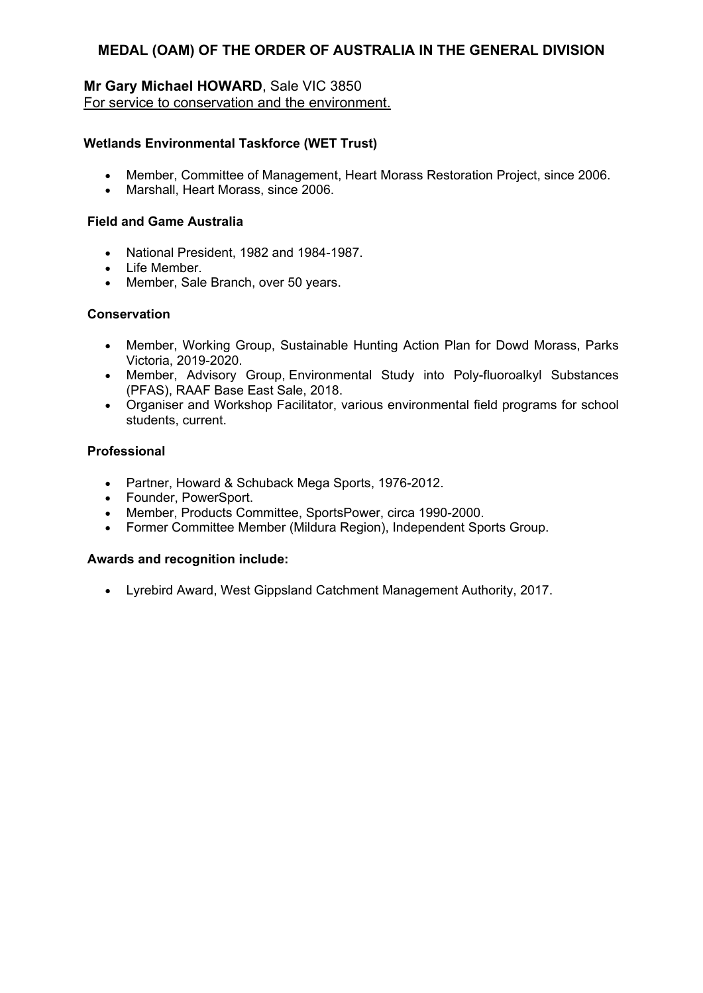### **Mr Gary Michael HOWARD**, Sale VIC 3850 For service to conservation and the environment.

### **Wetlands Environmental Taskforce (WET Trust)**

- Member, Committee of Management, Heart Morass Restoration Project, since 2006.
- Marshall, Heart Morass, since 2006.

### **Field and Game Australia**

- National President, 1982 and 1984-1987.
- $\bullet$  Life Member
- Member, Sale Branch, over 50 years.

### **Conservation**

- Member, Working Group, Sustainable Hunting Action Plan for Dowd Morass, Parks Victoria, 2019-2020.
- Member, Advisory Group, Environmental Study into Poly-fluoroalkyl Substances (PFAS), RAAF Base East Sale, 2018.
- Organiser and Workshop Facilitator, various environmental field programs for school students, current.

### **Professional**

- Partner, Howard & Schuback Mega Sports, 1976-2012.
- Founder, PowerSport.
- Member, Products Committee, SportsPower, circa 1990-2000.
- Former Committee Member (Mildura Region), Independent Sports Group.

### **Awards and recognition include:**

Lyrebird Award, West Gippsland Catchment Management Authority, 2017.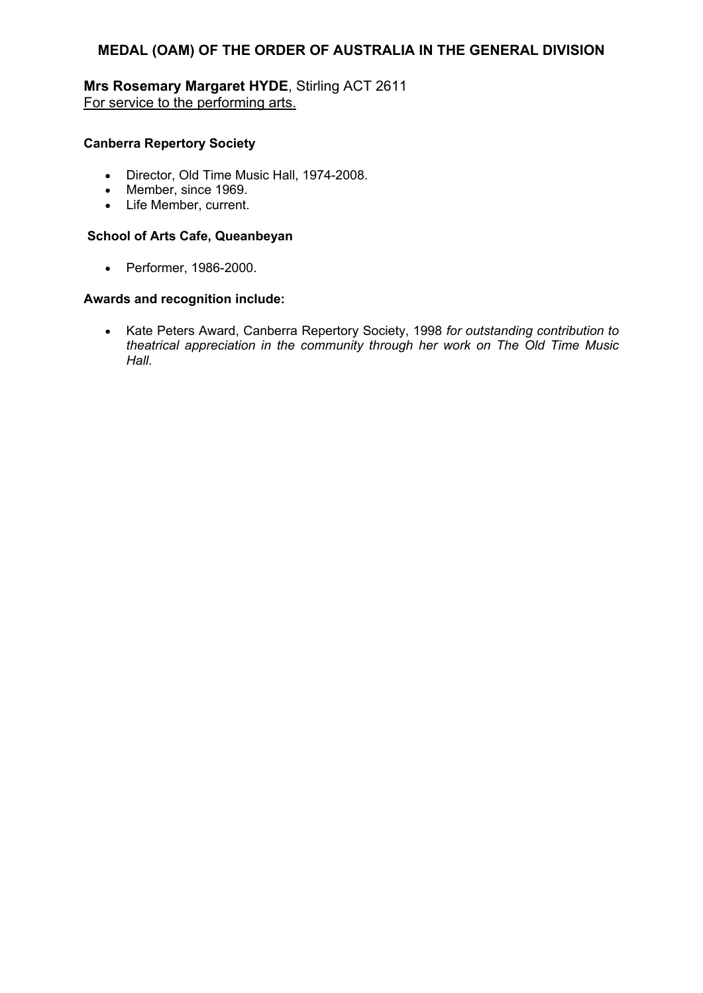# **Mrs Rosemary Margaret HYDE**, Stirling ACT 2611 For service to the performing arts.

# **Canberra Repertory Society**

- Director, Old Time Music Hall, 1974-2008.
- Member, since 1969.
- Life Member, current.

### **School of Arts Cafe, Queanbeyan**

Performer, 1986-2000.

### **Awards and recognition include:**

 Kate Peters Award, Canberra Repertory Society, 1998 *for outstanding contribution to theatrical appreciation in the community through her work on The Old Time Music Hall.*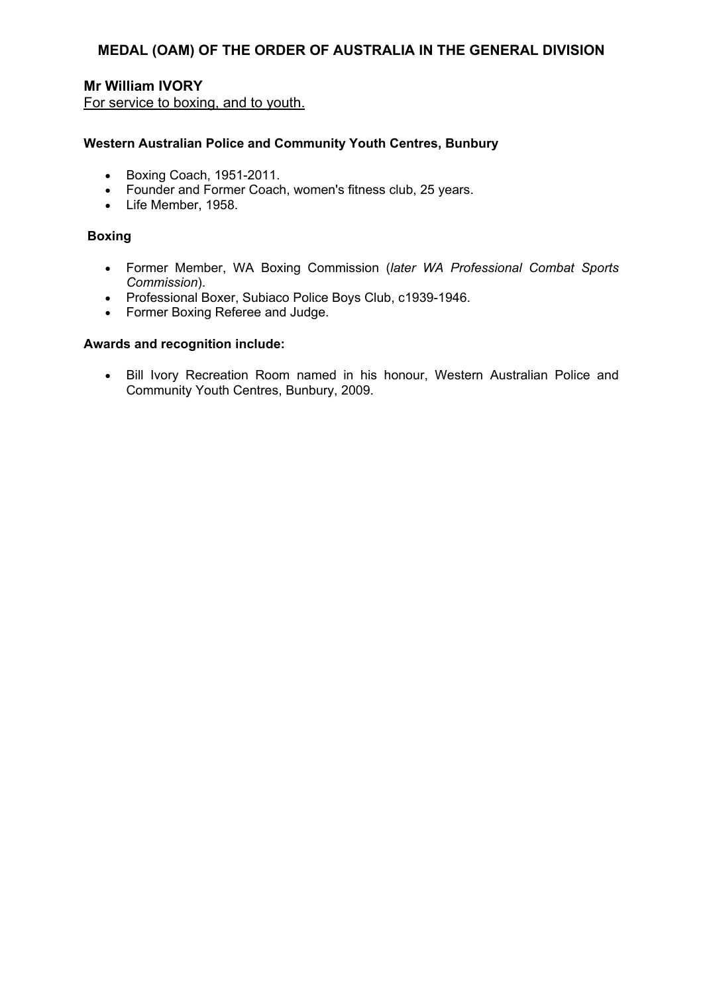# **Mr William IVORY**

For service to boxing, and to youth.

### **Western Australian Police and Community Youth Centres, Bunbury**

- **Boxing Coach, 1951-2011.**
- Founder and Former Coach, women's fitness club, 25 years.
- Life Member, 1958.

#### **Boxing**

- Former Member, WA Boxing Commission (*later WA Professional Combat Sports Commission*).
- Professional Boxer, Subiaco Police Boys Club, c1939-1946.
- Former Boxing Referee and Judge.

#### **Awards and recognition include:**

 Bill Ivory Recreation Room named in his honour, Western Australian Police and Community Youth Centres, Bunbury, 2009.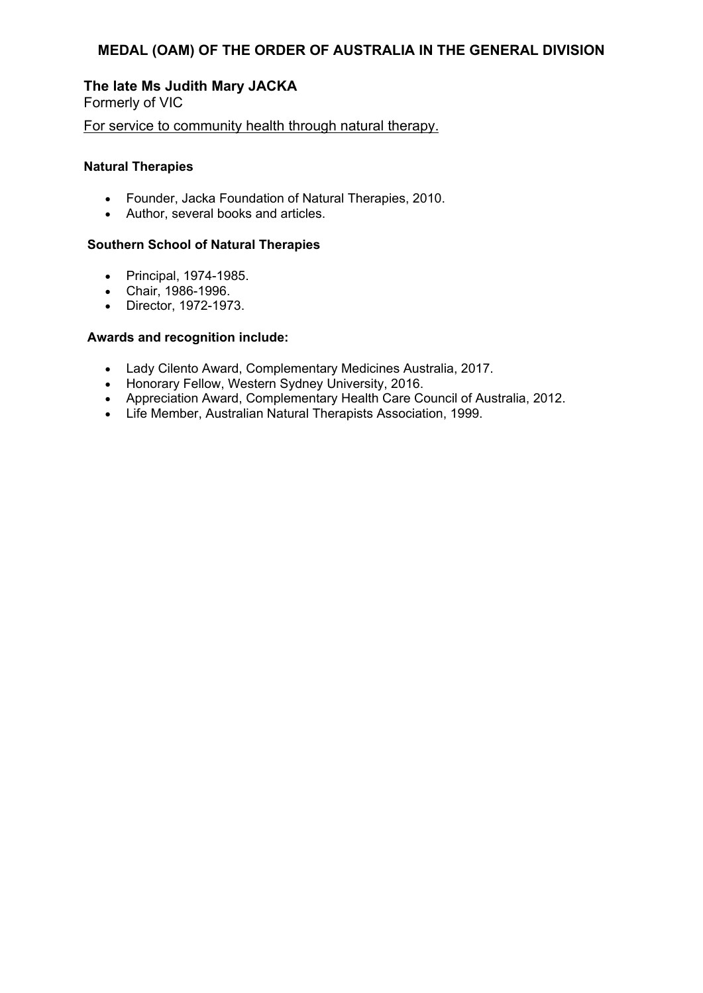# **The late Ms Judith Mary JACKA**

Formerly of VIC

For service to community health through natural therapy.

### **Natural Therapies**

- Founder, Jacka Foundation of Natural Therapies, 2010.
- Author, several books and articles.

### **Southern School of Natural Therapies**

- Principal, 1974-1985.
- Chair, 1986-1996.
- Director, 1972-1973.

- Lady Cilento Award, Complementary Medicines Australia, 2017.
- Honorary Fellow, Western Sydney University, 2016.
- Appreciation Award, Complementary Health Care Council of Australia, 2012.
- Life Member, Australian Natural Therapists Association, 1999.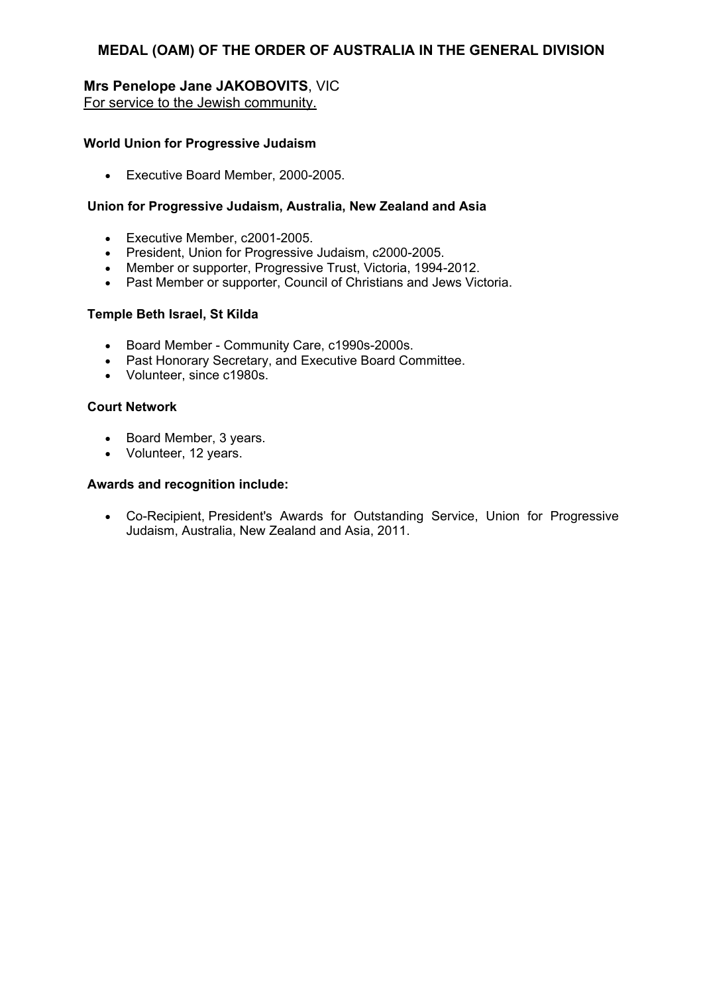### **Mrs Penelope Jane JAKOBOVITS**, VIC For service to the Jewish community.

### **World Union for Progressive Judaism**

Executive Board Member, 2000-2005.

### **Union for Progressive Judaism, Australia, New Zealand and Asia**

- Executive Member, c2001-2005.
- President, Union for Progressive Judaism, c2000-2005.
- Member or supporter, Progressive Trust, Victoria, 1994-2012.
- Past Member or supporter, Council of Christians and Jews Victoria.

### **Temple Beth Israel, St Kilda**

- Board Member Community Care, c1990s-2000s.
- Past Honorary Secretary, and Executive Board Committee.
- Volunteer, since c1980s.

#### **Court Network**

- Board Member, 3 years.
- Volunteer, 12 years.

#### **Awards and recognition include:**

 Co-Recipient, President's Awards for Outstanding Service, Union for Progressive Judaism, Australia, New Zealand and Asia, 2011.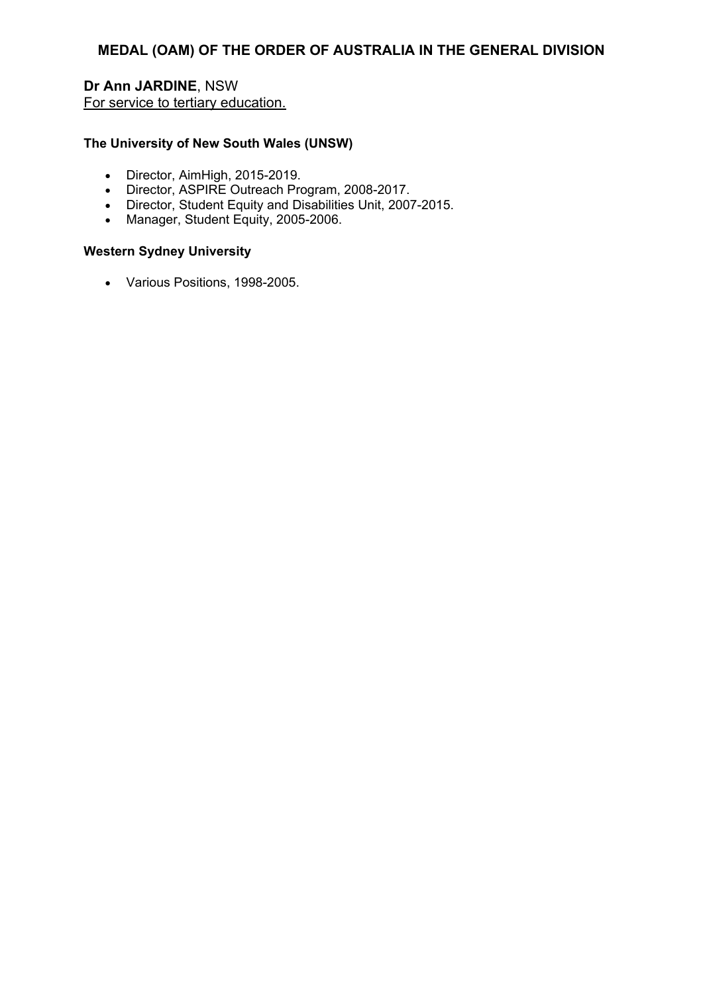# **Dr Ann JARDINE**, NSW For service to tertiary education.

### **The University of New South Wales (UNSW)**

- Director, AimHigh, 2015-2019.
- Director, ASPIRE Outreach Program, 2008-2017.
- Director, Student Equity and Disabilities Unit, 2007-2015.
- Manager, Student Equity, 2005-2006.

#### **Western Sydney University**

Various Positions, 1998-2005.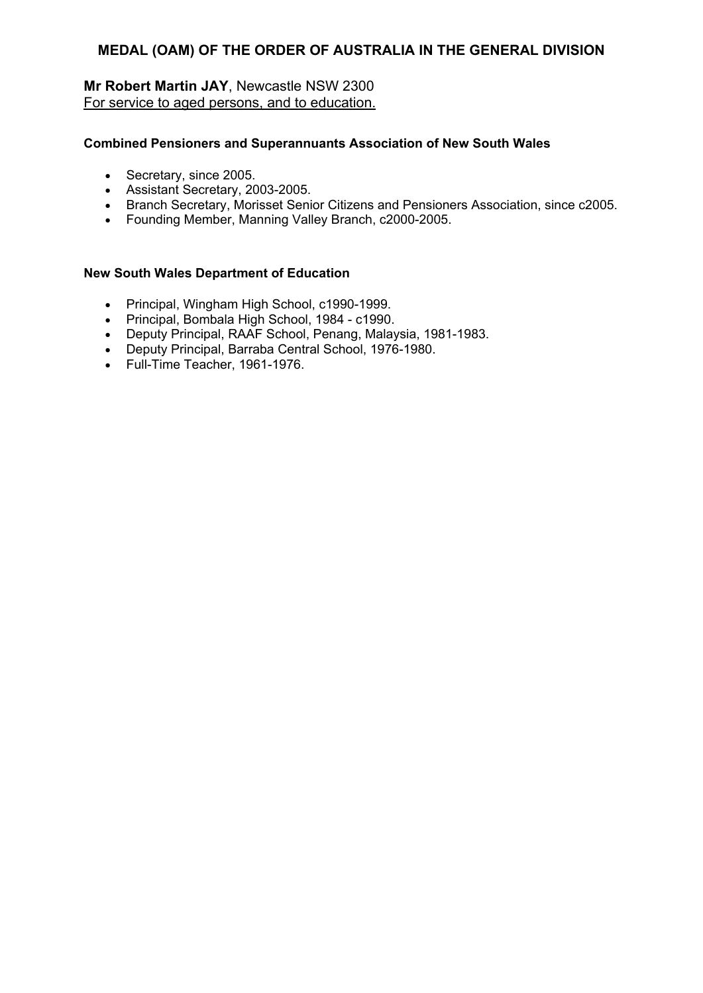# **Mr Robert Martin JAY**, Newcastle NSW 2300 For service to aged persons, and to education.

### **Combined Pensioners and Superannuants Association of New South Wales**

- Secretary, since 2005.
- Assistant Secretary, 2003-2005.
- Branch Secretary, Morisset Senior Citizens and Pensioners Association, since c2005.
- Founding Member, Manning Valley Branch, c2000-2005.

#### **New South Wales Department of Education**

- Principal, Wingham High School, c1990-1999.
- Principal, Bombala High School, 1984 c1990.
- Deputy Principal, RAAF School, Penang, Malaysia, 1981-1983.
- Deputy Principal, Barraba Central School, 1976-1980.
- Full-Time Teacher, 1961-1976.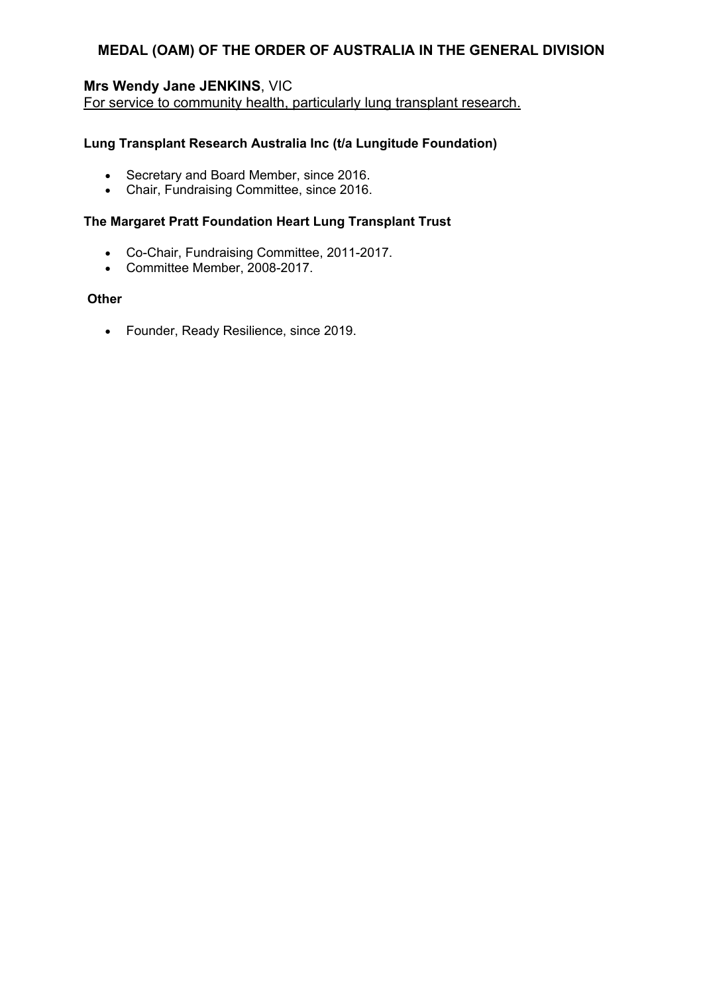# **Mrs Wendy Jane JENKINS**, VIC

For service to community health, particularly lung transplant research.

### **Lung Transplant Research Australia Inc (t/a Lungitude Foundation)**

- Secretary and Board Member, since 2016.
- Chair, Fundraising Committee, since 2016.

### **The Margaret Pratt Foundation Heart Lung Transplant Trust**

- Co-Chair, Fundraising Committee, 2011-2017.
- Committee Member, 2008-2017.

### **Other**

Founder, Ready Resilience, since 2019.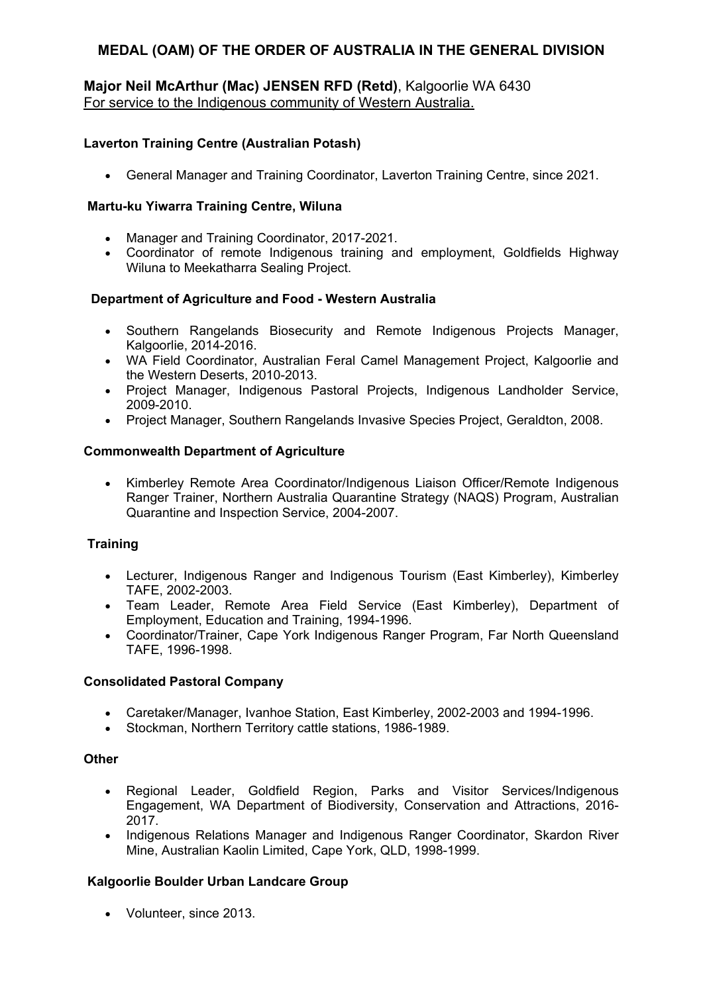# **Major Neil McArthur (Mac) JENSEN RFD (Retd)**, Kalgoorlie WA 6430 For service to the Indigenous community of Western Australia.

# **Laverton Training Centre (Australian Potash)**

General Manager and Training Coordinator, Laverton Training Centre, since 2021.

## **Martu-ku Yiwarra Training Centre, Wiluna**

- Manager and Training Coordinator, 2017-2021.
- Coordinator of remote Indigenous training and employment, Goldfields Highway Wiluna to Meekatharra Sealing Project.

## **Department of Agriculture and Food - Western Australia**

- Southern Rangelands Biosecurity and Remote Indigenous Projects Manager, Kalgoorlie, 2014-2016.
- WA Field Coordinator, Australian Feral Camel Management Project, Kalgoorlie and the Western Deserts, 2010-2013.
- Project Manager, Indigenous Pastoral Projects, Indigenous Landholder Service, 2009-2010.
- Project Manager, Southern Rangelands Invasive Species Project, Geraldton, 2008.

## **Commonwealth Department of Agriculture**

 Kimberley Remote Area Coordinator/Indigenous Liaison Officer/Remote Indigenous Ranger Trainer, Northern Australia Quarantine Strategy (NAQS) Program, Australian Quarantine and Inspection Service, 2004-2007.

# **Training**

- Lecturer, Indigenous Ranger and Indigenous Tourism (East Kimberley), Kimberley TAFE, 2002-2003.
- Team Leader, Remote Area Field Service (East Kimberley), Department of Employment, Education and Training, 1994-1996.
- Coordinator/Trainer, Cape York Indigenous Ranger Program, Far North Queensland TAFE, 1996-1998.

### **Consolidated Pastoral Company**

- Caretaker/Manager, Ivanhoe Station, East Kimberley, 2002-2003 and 1994-1996.
- Stockman, Northern Territory cattle stations, 1986-1989.

### **Other**

- Regional Leader, Goldfield Region, Parks and Visitor Services/Indigenous Engagement, WA Department of Biodiversity, Conservation and Attractions, 2016- 2017.
- Indigenous Relations Manager and Indigenous Ranger Coordinator, Skardon River Mine, Australian Kaolin Limited, Cape York, QLD, 1998-1999.

# **Kalgoorlie Boulder Urban Landcare Group**

• Volunteer, since 2013.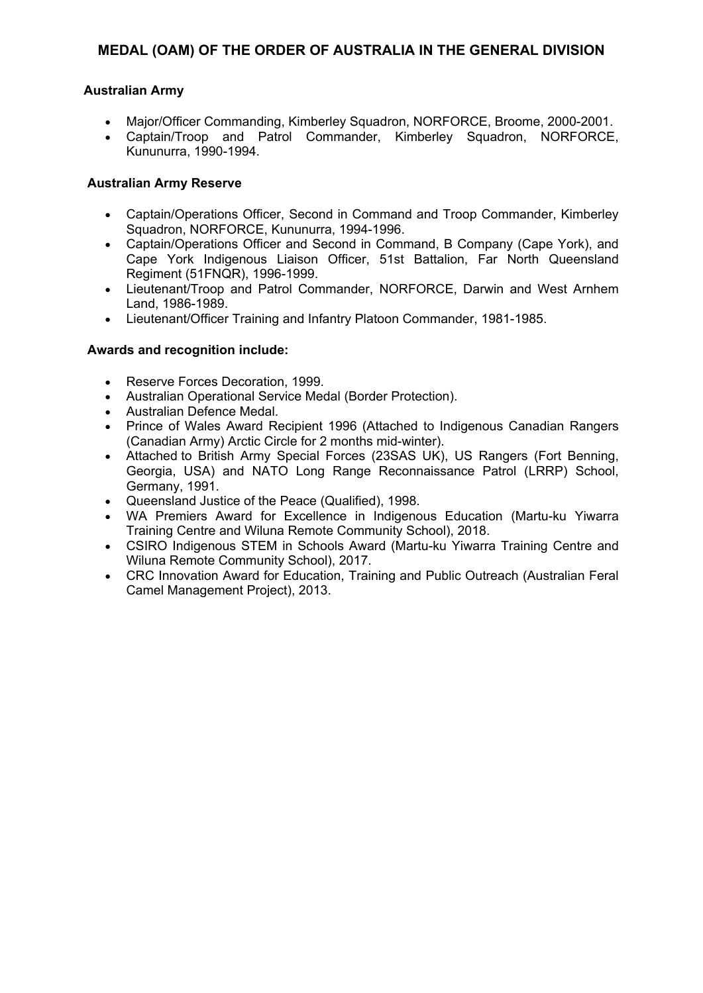### **Australian Army**

- Major/Officer Commanding, Kimberley Squadron, NORFORCE, Broome, 2000-2001.
- Captain/Troop and Patrol Commander, Kimberley Squadron, NORFORCE, Kununurra, 1990-1994.

### **Australian Army Reserve**

- Captain/Operations Officer, Second in Command and Troop Commander, Kimberley Squadron, NORFORCE, Kununurra, 1994-1996.
- Captain/Operations Officer and Second in Command, B Company (Cape York), and Cape York Indigenous Liaison Officer, 51st Battalion, Far North Queensland Regiment (51FNQR), 1996-1999.
- Lieutenant/Troop and Patrol Commander, NORFORCE, Darwin and West Arnhem Land, 1986-1989.
- Lieutenant/Officer Training and Infantry Platoon Commander, 1981-1985.

- Reserve Forces Decoration, 1999.
- Australian Operational Service Medal (Border Protection).
- Australian Defence Medal.
- Prince of Wales Award Recipient 1996 (Attached to Indigenous Canadian Rangers (Canadian Army) Arctic Circle for 2 months mid-winter).
- Attached to British Army Special Forces (23SAS UK), US Rangers (Fort Benning, Georgia, USA) and NATO Long Range Reconnaissance Patrol (LRRP) School, Germany, 1991.
- Queensland Justice of the Peace (Qualified), 1998.
- WA Premiers Award for Excellence in Indigenous Education (Martu-ku Yiwarra Training Centre and Wiluna Remote Community School), 2018.
- CSIRO Indigenous STEM in Schools Award (Martu-ku Yiwarra Training Centre and Wiluna Remote Community School), 2017.
- CRC Innovation Award for Education, Training and Public Outreach (Australian Feral Camel Management Project), 2013.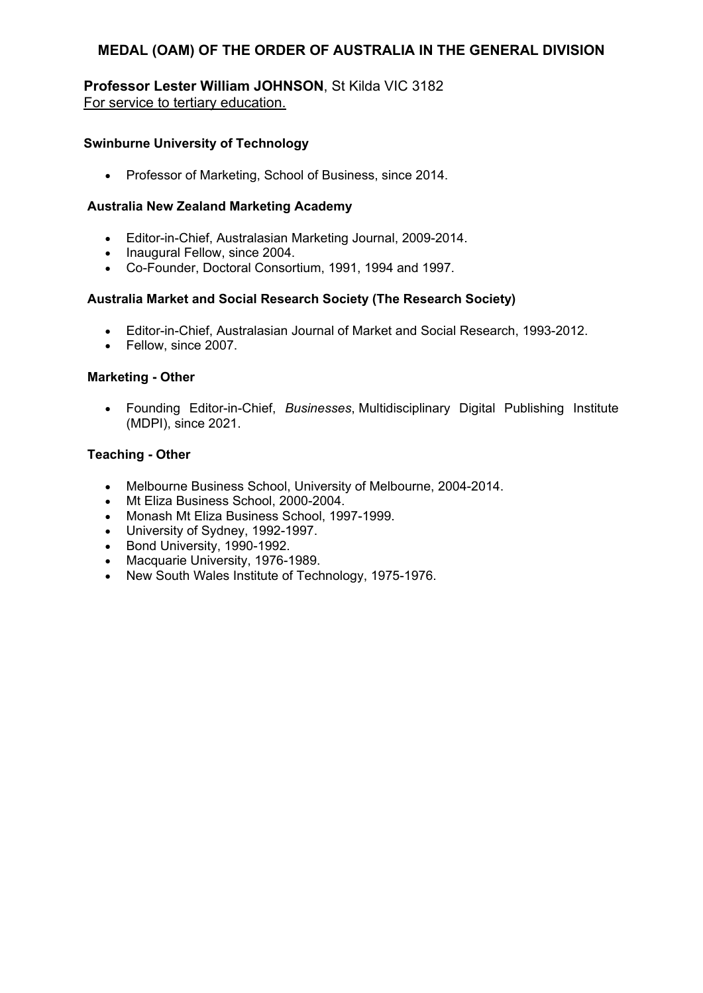### **Professor Lester William JOHNSON**, St Kilda VIC 3182 For service to tertiary education.

## **Swinburne University of Technology**

• Professor of Marketing, School of Business, since 2014.

## **Australia New Zealand Marketing Academy**

- Editor-in-Chief, Australasian Marketing Journal, 2009-2014.
- Inaugural Fellow, since 2004.
- Co-Founder, Doctoral Consortium, 1991, 1994 and 1997.

## **Australia Market and Social Research Society (The Research Society)**

- Editor-in-Chief, Australasian Journal of Market and Social Research, 1993-2012.
- Fellow, since 2007.

## **Marketing - Other**

 Founding Editor-in-Chief, *Businesses*, Multidisciplinary Digital Publishing Institute (MDPI), since 2021.

### **Teaching - Other**

- Melbourne Business School, University of Melbourne, 2004-2014.
- Mt Eliza Business School, 2000-2004.
- Monash Mt Eliza Business School, 1997-1999.
- University of Sydney, 1992-1997.
- Bond University, 1990-1992.
- Macquarie University, 1976-1989.
- New South Wales Institute of Technology, 1975-1976.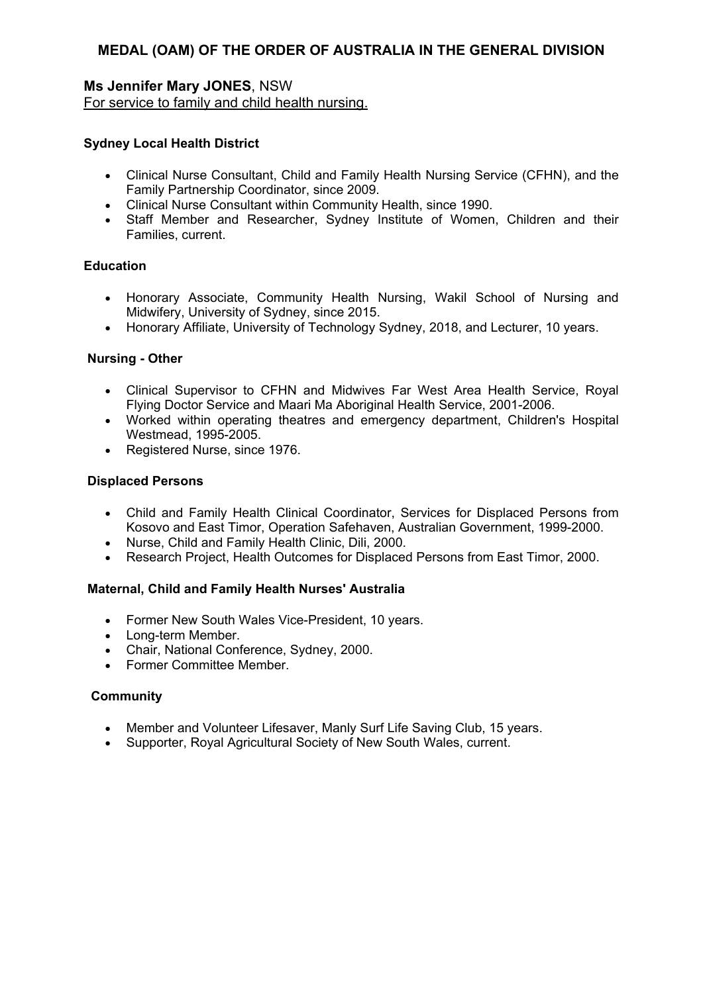# **Ms Jennifer Mary JONES**, NSW

For service to family and child health nursing.

### **Sydney Local Health District**

- Clinical Nurse Consultant, Child and Family Health Nursing Service (CFHN), and the Family Partnership Coordinator, since 2009.
- Clinical Nurse Consultant within Community Health, since 1990.
- Staff Member and Researcher, Sydney Institute of Women, Children and their Families, current.

### **Education**

- Honorary Associate, Community Health Nursing, Wakil School of Nursing and Midwifery, University of Sydney, since 2015.
- Honorary Affiliate, University of Technology Sydney, 2018, and Lecturer, 10 years.

#### **Nursing - Other**

- Clinical Supervisor to CFHN and Midwives Far West Area Health Service, Royal Flying Doctor Service and Maari Ma Aboriginal Health Service, 2001-2006.
- Worked within operating theatres and emergency department, Children's Hospital Westmead, 1995-2005.
- Registered Nurse, since 1976.

### **Displaced Persons**

- Child and Family Health Clinical Coordinator, Services for Displaced Persons from Kosovo and East Timor, Operation Safehaven, Australian Government, 1999-2000.
- Nurse, Child and Family Health Clinic, Dili, 2000.
- Research Project, Health Outcomes for Displaced Persons from East Timor, 2000.

#### **Maternal, Child and Family Health Nurses' Australia**

- Former New South Wales Vice-President, 10 years.
- Long-term Member.
- Chair, National Conference, Sydney, 2000.
- Former Committee Member.

#### **Community**

- Member and Volunteer Lifesaver, Manly Surf Life Saving Club, 15 years.
- Supporter, Royal Agricultural Society of New South Wales, current.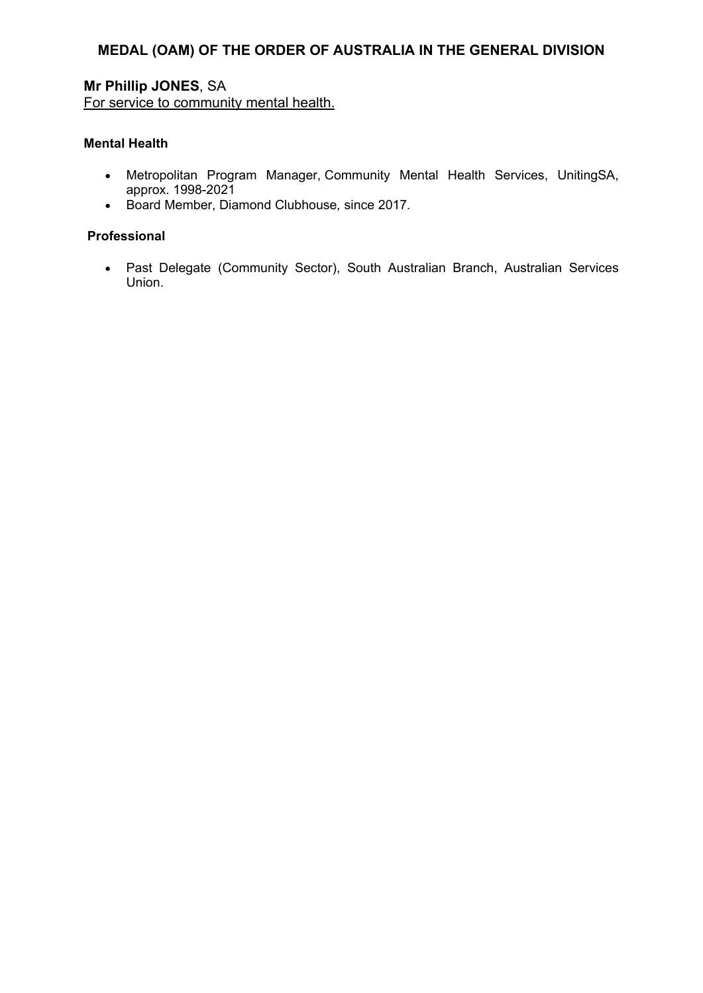# **Mr Phillip JONES**, SA For service to community mental health.

#### **Mental Health**

- Metropolitan Program Manager, Community Mental Health Services, UnitingSA, approx. 1998-2021
- Board Member, Diamond Clubhouse*,* since 2017*.*

#### **Professional**

 Past Delegate (Community Sector), South Australian Branch, Australian Services Union.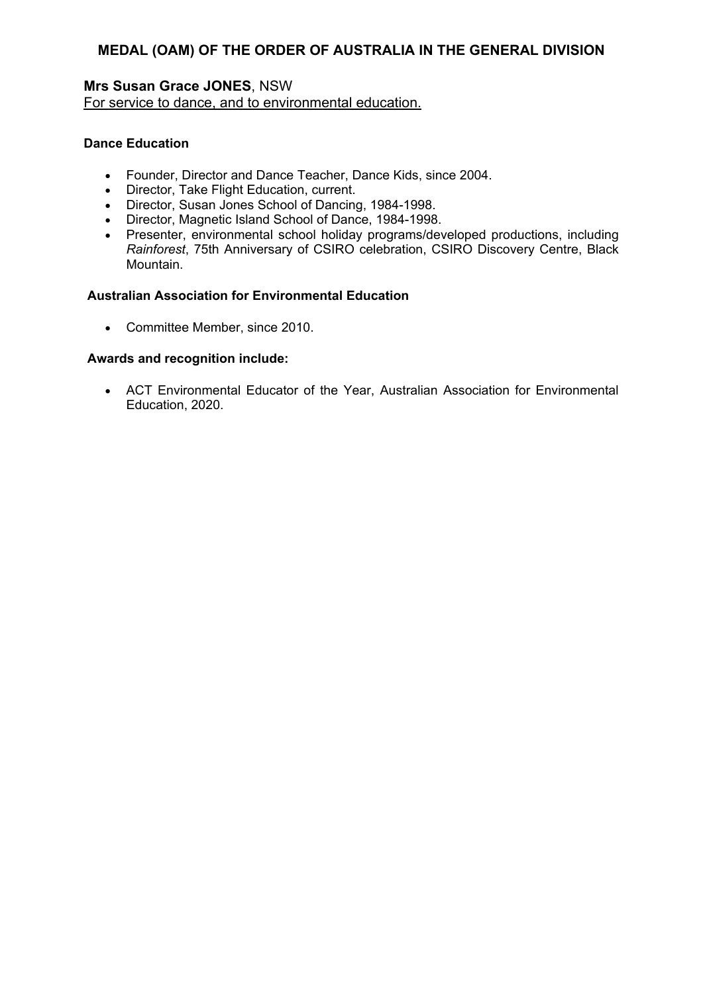## **Mrs Susan Grace JONES**, NSW For service to dance, and to environmental education.

### **Dance Education**

- Founder, Director and Dance Teacher, Dance Kids, since 2004.
- Director, Take Flight Education, current.
- Director, Susan Jones School of Dancing, 1984-1998.
- Director, Magnetic Island School of Dance, 1984-1998.
- Presenter, environmental school holiday programs/developed productions, including *Rainforest*, 75th Anniversary of CSIRO celebration, CSIRO Discovery Centre, Black Mountain.

# **Australian Association for Environmental Education**

• Committee Member, since 2010.

## **Awards and recognition include:**

 ACT Environmental Educator of the Year, Australian Association for Environmental Education, 2020.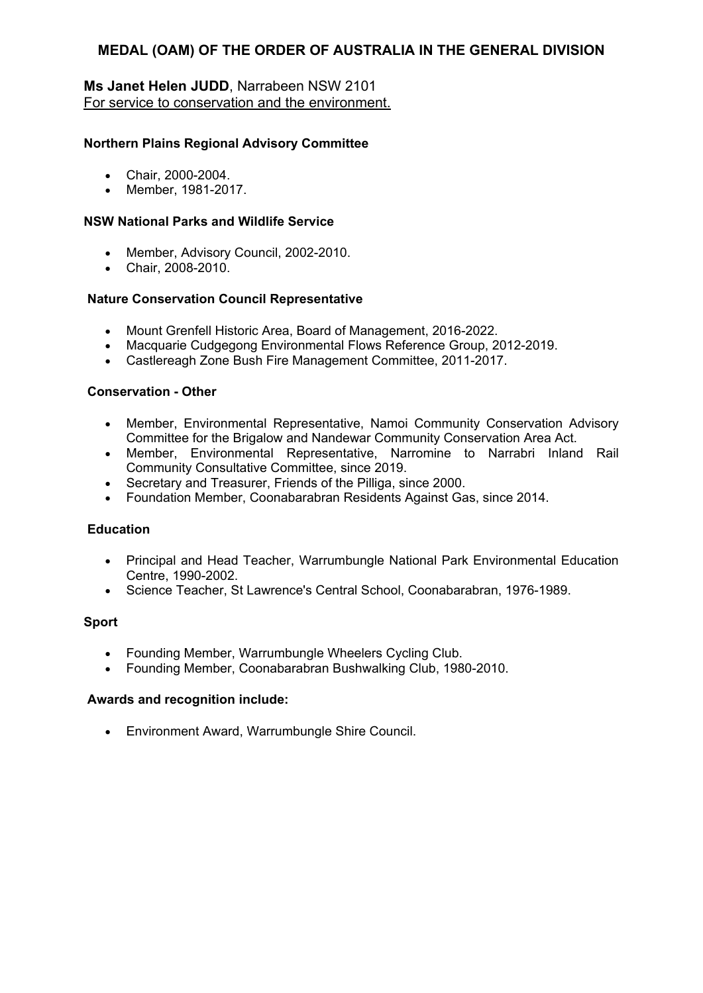## **Ms Janet Helen JUDD**, Narrabeen NSW 2101 For service to conservation and the environment.

### **Northern Plains Regional Advisory Committee**

- Chair, 2000-2004.
- Member, 1981-2017.

### **NSW National Parks and Wildlife Service**

- Member, Advisory Council, 2002-2010.
- Chair, 2008-2010.

#### **Nature Conservation Council Representative**

- Mount Grenfell Historic Area, Board of Management, 2016-2022.
- Macquarie Cudgegong Environmental Flows Reference Group, 2012-2019.
- Castlereagh Zone Bush Fire Management Committee, 2011-2017.

#### **Conservation - Other**

- Member, Environmental Representative, Namoi Community Conservation Advisory Committee for the Brigalow and Nandewar Community Conservation Area Act.
- Member, Environmental Representative, Narromine to Narrabri Inland Rail Community Consultative Committee, since 2019.
- Secretary and Treasurer, Friends of the Pilliga, since 2000.
- Foundation Member, Coonabarabran Residents Against Gas, since 2014.

#### **Education**

- Principal and Head Teacher, Warrumbungle National Park Environmental Education Centre, 1990-2002.
- Science Teacher, St Lawrence's Central School, Coonabarabran, 1976-1989.

#### **Sport**

- Founding Member, Warrumbungle Wheelers Cycling Club.
- Founding Member, Coonabarabran Bushwalking Club, 1980-2010.

#### **Awards and recognition include:**

Environment Award, Warrumbungle Shire Council.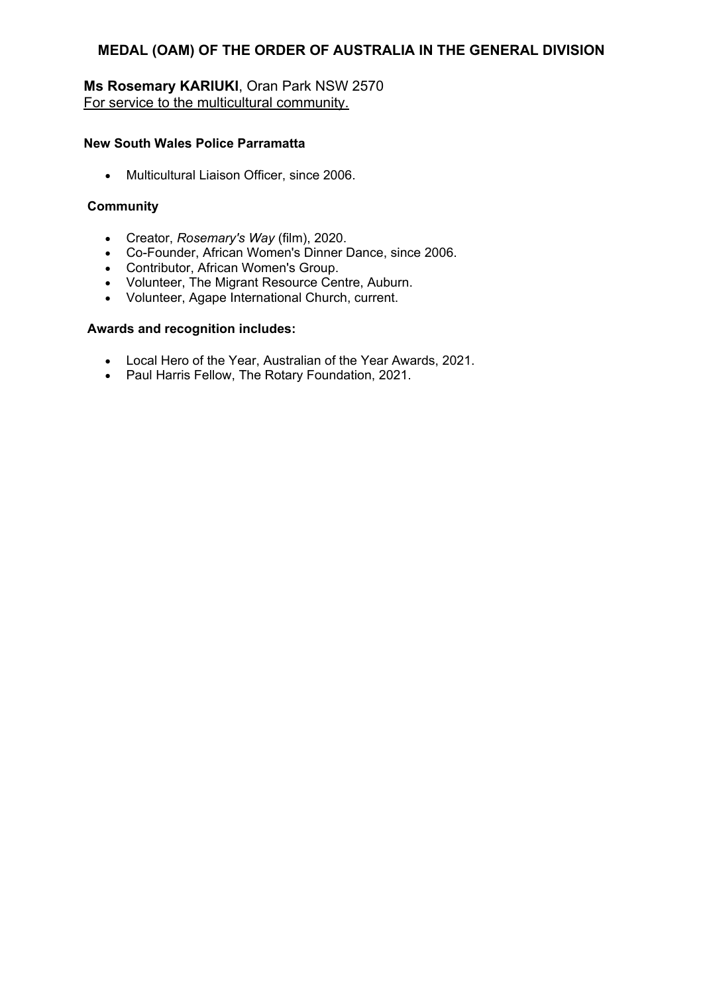# **Ms Rosemary KARIUKI**, Oran Park NSW 2570 For service to the multicultural community.

## **New South Wales Police Parramatta**

• Multicultural Liaison Officer, since 2006.

## **Community**

- Creator, *Rosemary's Way* (film), 2020.
- Co-Founder, African Women's Dinner Dance, since 2006.
- Contributor, African Women's Group.
- Volunteer, The Migrant Resource Centre, Auburn.
- Volunteer, Agape International Church, current.

- Local Hero of the Year, Australian of the Year Awards, 2021.
- Paul Harris Fellow, The Rotary Foundation, 2021.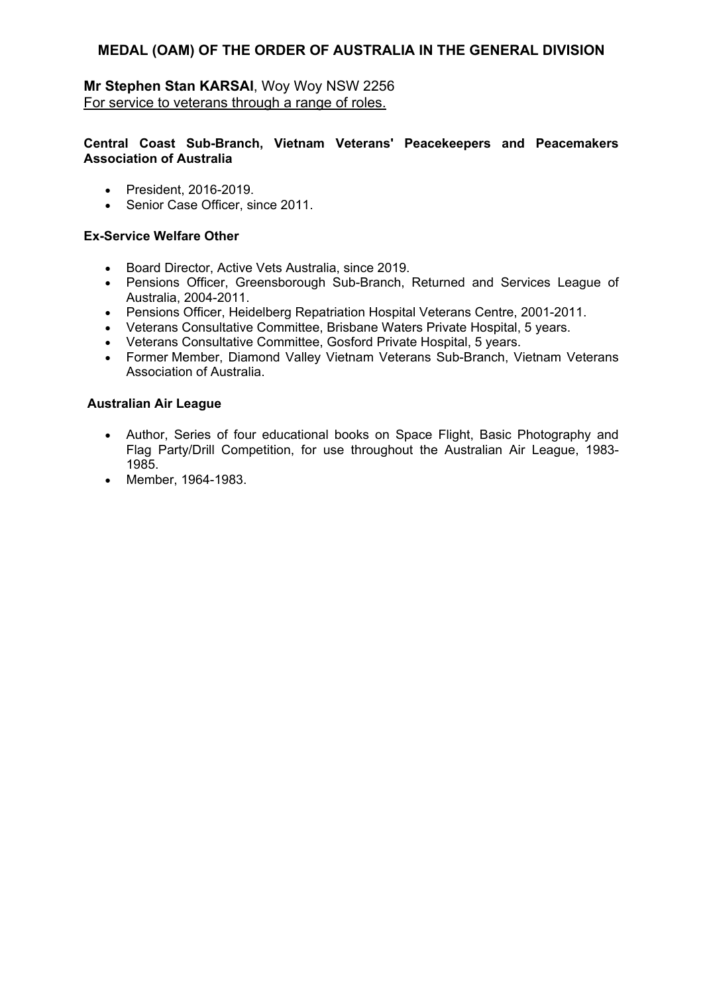# **Mr Stephen Stan KARSAI**, Woy Woy NSW 2256 For service to veterans through a range of roles.

### **Central Coast Sub-Branch, Vietnam Veterans' Peacekeepers and Peacemakers Association of Australia**

- President, 2016-2019.
- Senior Case Officer, since 2011.

## **Ex-Service Welfare Other**

- Board Director, Active Vets Australia, since 2019.
- Pensions Officer, Greensborough Sub-Branch, Returned and Services League of Australia, 2004-2011.
- Pensions Officer, Heidelberg Repatriation Hospital Veterans Centre, 2001-2011.
- Veterans Consultative Committee, Brisbane Waters Private Hospital, 5 years.
- Veterans Consultative Committee, Gosford Private Hospital, 5 years.
- Former Member, Diamond Valley Vietnam Veterans Sub-Branch, Vietnam Veterans Association of Australia.

### **Australian Air League**

- Author, Series of four educational books on Space Flight, Basic Photography and Flag Party/Drill Competition, for use throughout the Australian Air League, 1983- 1985.
- Member, 1964-1983.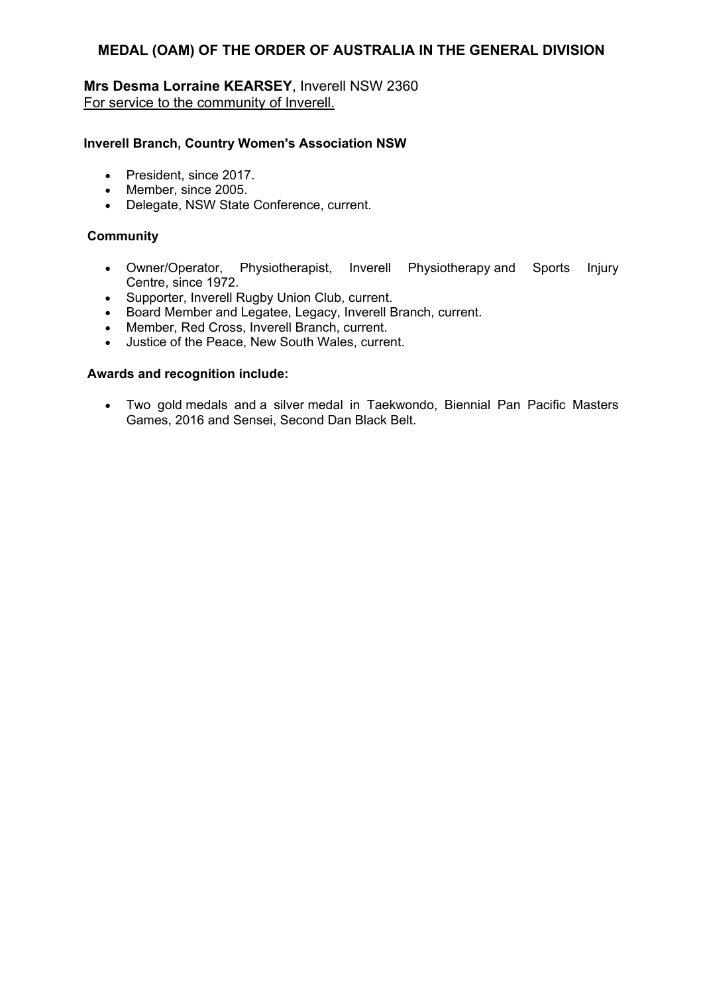# **Mrs Desma Lorraine KEARSEY**, Inverell NSW 2360 For service to the community of Inverell.

#### **Inverell Branch, Country Women's Association NSW**

- President, since 2017.
- Member, since 2005.
- Delegate, NSW State Conference, current.

#### **Community**

- Owner/Operator, Physiotherapist, Inverell Physiotherapy and Sports Injury Centre, since 1972.
- Supporter, Inverell Rugby Union Club, current.
- Board Member and Legatee, Legacy, Inverell Branch, current.
- Member, Red Cross, Inverell Branch, current.
- Justice of the Peace, New South Wales, current.

#### **Awards and recognition include:**

 Two gold medals and a silver medal in Taekwondo, Biennial Pan Pacific Masters Games, 2016 and Sensei, Second Dan Black Belt.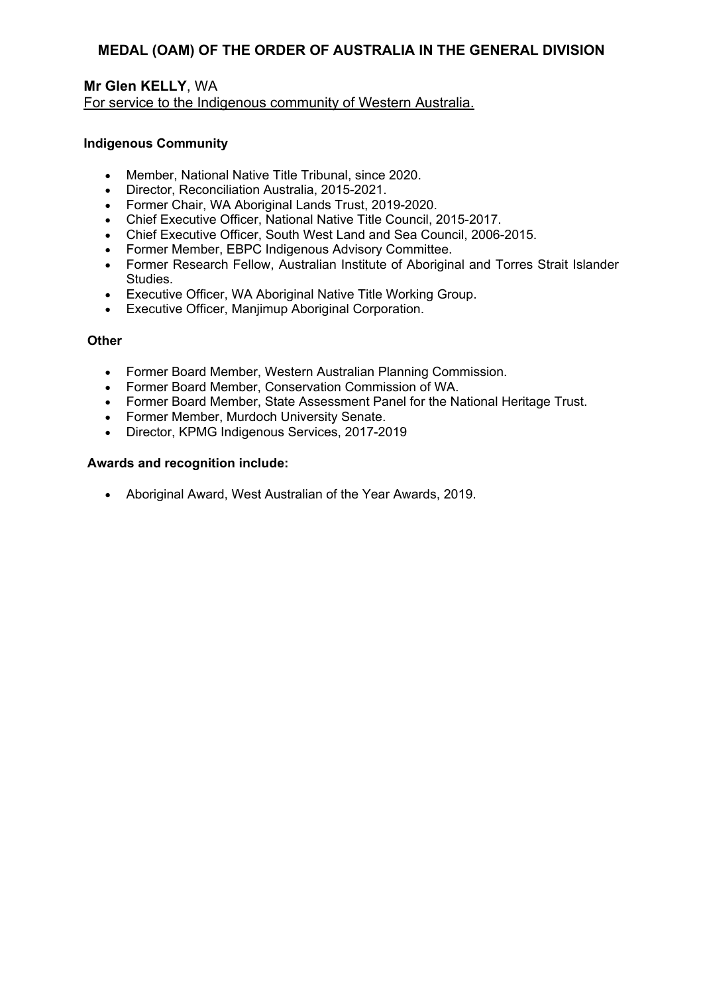## **Mr Glen KELLY**, WA For service to the Indigenous community of Western Australia.

#### **Indigenous Community**

- Member, National Native Title Tribunal, since 2020.
- Director, Reconciliation Australia, 2015-2021.
- Former Chair, WA Aboriginal Lands Trust, 2019-2020.
- Chief Executive Officer, National Native Title Council, 2015-2017.
- Chief Executive Officer, South West Land and Sea Council, 2006-2015.
- Former Member, EBPC Indigenous Advisory Committee.
- Former Research Fellow, Australian Institute of Aboriginal and Torres Strait Islander **Studies**
- Executive Officer, WA Aboriginal Native Title Working Group.
- Executive Officer, Manjimup Aboriginal Corporation.

### **Other**

- Former Board Member, Western Australian Planning Commission.
- Former Board Member, Conservation Commission of WA.
- Former Board Member, State Assessment Panel for the National Heritage Trust.
- Former Member, Murdoch University Senate.
- Director, KPMG Indigenous Services, 2017-2019

### **Awards and recognition include:**

Aboriginal Award, West Australian of the Year Awards, 2019.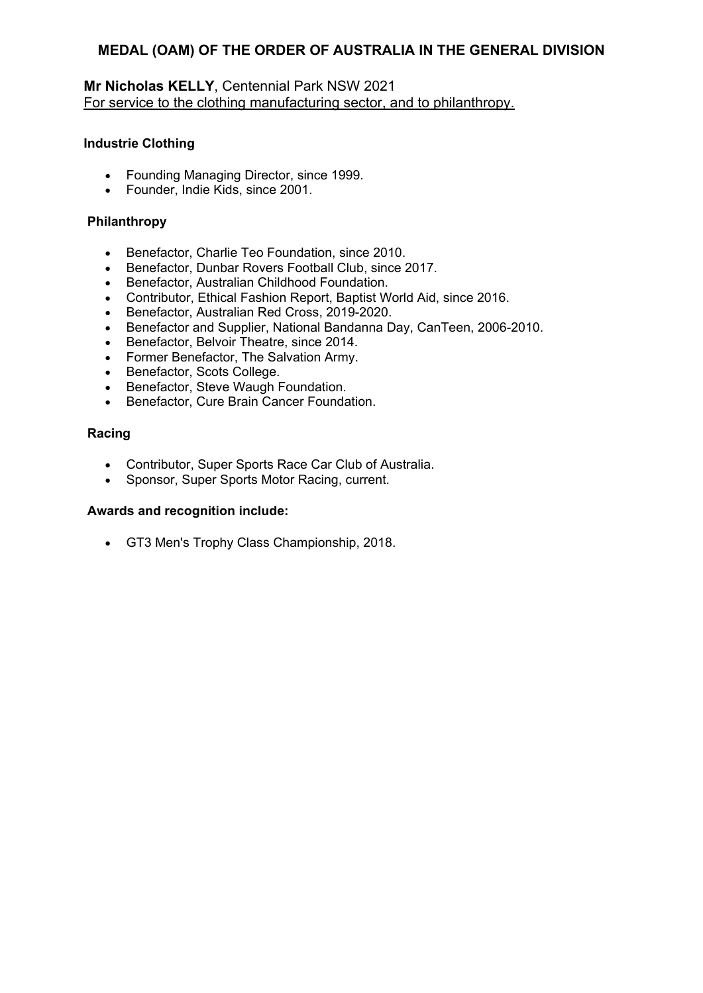# **Mr Nicholas KELLY**, Centennial Park NSW 2021 For service to the clothing manufacturing sector, and to philanthropy.

## **Industrie Clothing**

- Founding Managing Director, since 1999.
- Founder, Indie Kids, since 2001.

## **Philanthropy**

- Benefactor, Charlie Teo Foundation, since 2010.
- Benefactor, Dunbar Rovers Football Club, since 2017.
- Benefactor, Australian Childhood Foundation.
- Contributor, Ethical Fashion Report, Baptist World Aid, since 2016.
- Benefactor, Australian Red Cross, 2019-2020.
- Benefactor and Supplier, National Bandanna Day, CanTeen, 2006-2010.
- **Benefactor, Belvoir Theatre, since 2014.**
- Former Benefactor, The Salvation Army.
- Benefactor, Scots College.
- Benefactor, Steve Waugh Foundation.
- **•** Benefactor, Cure Brain Cancer Foundation.

## **Racing**

- Contributor, Super Sports Race Car Club of Australia.
- Sponsor, Super Sports Motor Racing, current.

### **Awards and recognition include:**

GT3 Men's Trophy Class Championship, 2018.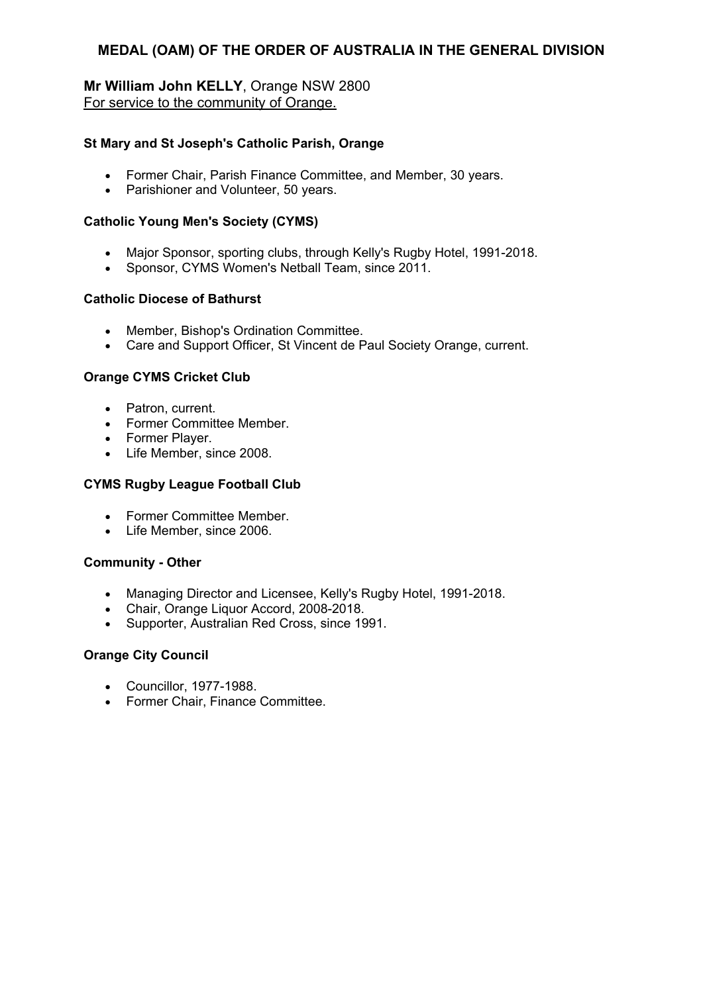# **Mr William John KELLY**, Orange NSW 2800 For service to the community of Orange.

### **St Mary and St Joseph's Catholic Parish, Orange**

- Former Chair, Parish Finance Committee, and Member, 30 years.
- Parishioner and Volunteer, 50 years.

## **Catholic Young Men's Society (CYMS)**

- Major Sponsor, sporting clubs, through Kelly's Rugby Hotel, 1991-2018.
- Sponsor, CYMS Women's Netball Team, since 2011.

## **Catholic Diocese of Bathurst**

- Member, Bishop's Ordination Committee.
- Care and Support Officer, St Vincent de Paul Society Orange, current.

## **Orange CYMS Cricket Club**

- Patron, current.
- Former Committee Member.
- Former Player.
- Life Member, since 2008.

## **CYMS Rugby League Football Club**

- Former Committee Member.
- Life Member, since 2006.

### **Community - Other**

- Managing Director and Licensee, Kelly's Rugby Hotel, 1991-2018.
- Chair, Orange Liquor Accord, 2008-2018.
- Supporter, Australian Red Cross, since 1991.

### **Orange City Council**

- Councillor, 1977-1988.
- Former Chair, Finance Committee.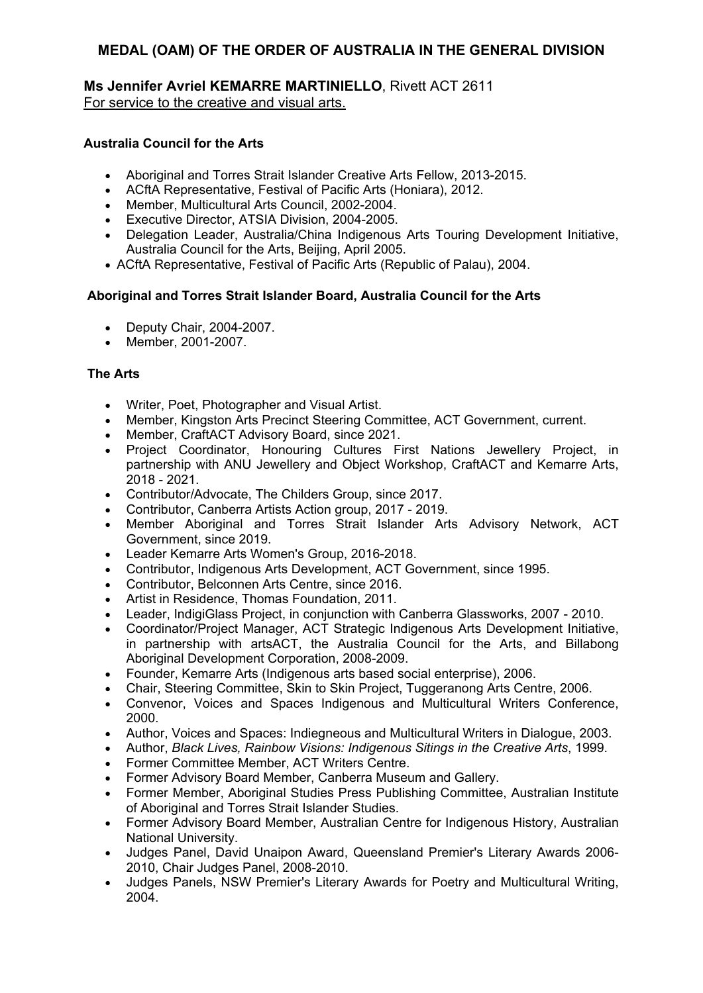## **Ms Jennifer Avriel KEMARRE MARTINIELLO**, Rivett ACT 2611 For service to the creative and visual arts.

## **Australia Council for the Arts**

- Aboriginal and Torres Strait Islander Creative Arts Fellow, 2013-2015.
- ACftA Representative, Festival of Pacific Arts (Honiara), 2012.
- Member, Multicultural Arts Council, 2002-2004.
- Executive Director, ATSIA Division, 2004-2005.
- Delegation Leader, Australia/China Indigenous Arts Touring Development Initiative, Australia Council for the Arts, Beijing, April 2005.
- ACftA Representative, Festival of Pacific Arts (Republic of Palau), 2004.

## **Aboriginal and Torres Strait Islander Board, Australia Council for the Arts**

- Deputy Chair, 2004-2007.
- Member, 2001-2007.

## **The Arts**

- Writer, Poet, Photographer and Visual Artist.
- Member, Kingston Arts Precinct Steering Committee, ACT Government, current.
- Member, CraftACT Advisory Board, since 2021.
- Project Coordinator, Honouring Cultures First Nations Jewellery Project, in partnership with ANU Jewellery and Object Workshop, CraftACT and Kemarre Arts, 2018 - 2021.
- Contributor/Advocate, The Childers Group, since 2017.
- Contributor, Canberra Artists Action group, 2017 2019.
- Member Aboriginal and Torres Strait Islander Arts Advisory Network, ACT Government, since 2019.
- Leader Kemarre Arts Women's Group, 2016-2018.
- Contributor, Indigenous Arts Development, ACT Government, since 1995.
- Contributor, Belconnen Arts Centre, since 2016.
- Artist in Residence, Thomas Foundation, 2011.
- Leader, IndigiGlass Project, in conjunction with Canberra Glassworks, 2007 2010.
- Coordinator/Project Manager, ACT Strategic Indigenous Arts Development Initiative, in partnership with artsACT, the Australia Council for the Arts, and Billabong Aboriginal Development Corporation, 2008-2009.
- Founder, Kemarre Arts (Indigenous arts based social enterprise), 2006.
- Chair, Steering Committee, Skin to Skin Project, Tuggeranong Arts Centre, 2006.
- Convenor, Voices and Spaces Indigenous and Multicultural Writers Conference, 2000.
- Author, Voices and Spaces: Indiegneous and Multicultural Writers in Dialogue, 2003.
- Author, *Black Lives, Rainbow Visions: Indigenous Sitings in the Creative Arts*, 1999.
- Former Committee Member, ACT Writers Centre.
- Former Advisory Board Member, Canberra Museum and Gallery.
- Former Member, Aboriginal Studies Press Publishing Committee, Australian Institute of Aboriginal and Torres Strait Islander Studies.
- Former Advisory Board Member, Australian Centre for Indigenous History, Australian National University.
- Judges Panel, David Unaipon Award, Queensland Premier's Literary Awards 2006- 2010, Chair Judges Panel, 2008-2010.
- Judges Panels, NSW Premier's Literary Awards for Poetry and Multicultural Writing, 2004.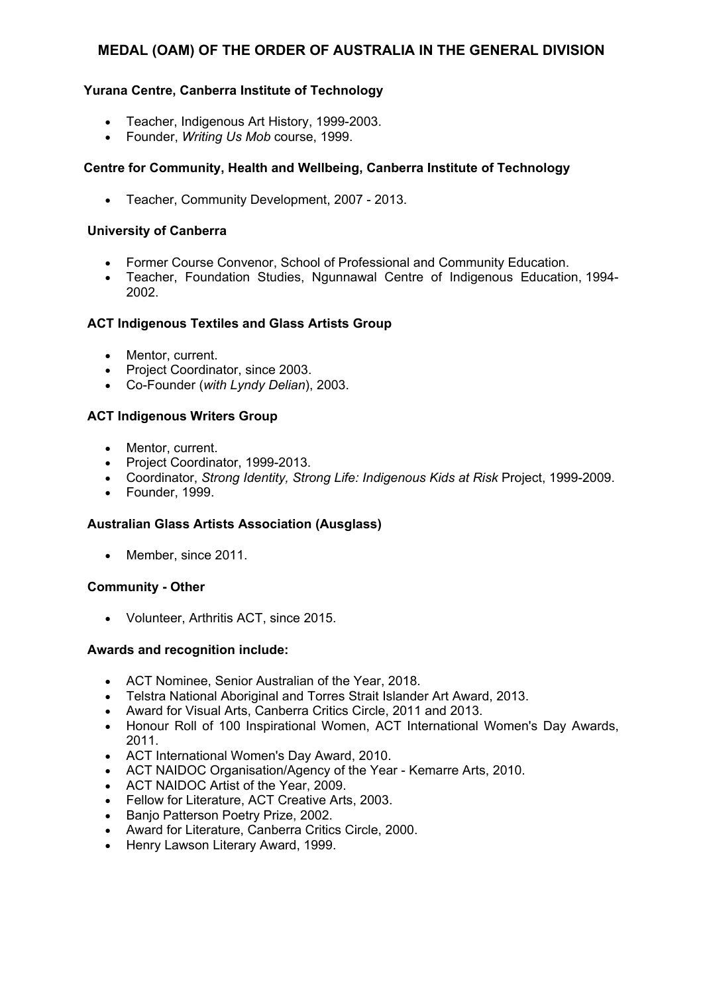## **Yurana Centre, Canberra Institute of Technology**

- Teacher, Indigenous Art History, 1999-2003.
- Founder, *Writing Us Mob* course, 1999.

## **Centre for Community, Health and Wellbeing, Canberra Institute of Technology**

Teacher, Community Development, 2007 - 2013.

### **University of Canberra**

- Former Course Convenor, School of Professional and Community Education.
- Teacher, Foundation Studies, Ngunnawal Centre of Indigenous Education, 1994- 2002.

## **ACT Indigenous Textiles and Glass Artists Group**

- Mentor, current.
- Project Coordinator, since 2003.
- Co-Founder (*with Lyndy Delian*), 2003.

### **ACT Indigenous Writers Group**

- Mentor, current.
- Project Coordinator, 1999-2013.
- Coordinator, *Strong Identity, Strong Life: Indigenous Kids at Risk* Project, 1999-2009.
- Founder, 1999.

### **Australian Glass Artists Association (Ausglass)**

• Member, since 2011.

### **Community - Other**

Volunteer, Arthritis ACT, since 2015.

- ACT Nominee, Senior Australian of the Year, 2018.
- Telstra National Aboriginal and Torres Strait Islander Art Award, 2013.
- Award for Visual Arts, Canberra Critics Circle, 2011 and 2013.
- Honour Roll of 100 Inspirational Women, ACT International Women's Day Awards, 2011.
- ACT International Women's Day Award, 2010.
- ACT NAIDOC Organisation/Agency of the Year Kemarre Arts, 2010.
- ACT NAIDOC Artist of the Year, 2009.
- Fellow for Literature, ACT Creative Arts, 2003.
- Banjo Patterson Poetry Prize, 2002.
- Award for Literature, Canberra Critics Circle, 2000.
- Henry Lawson Literary Award, 1999.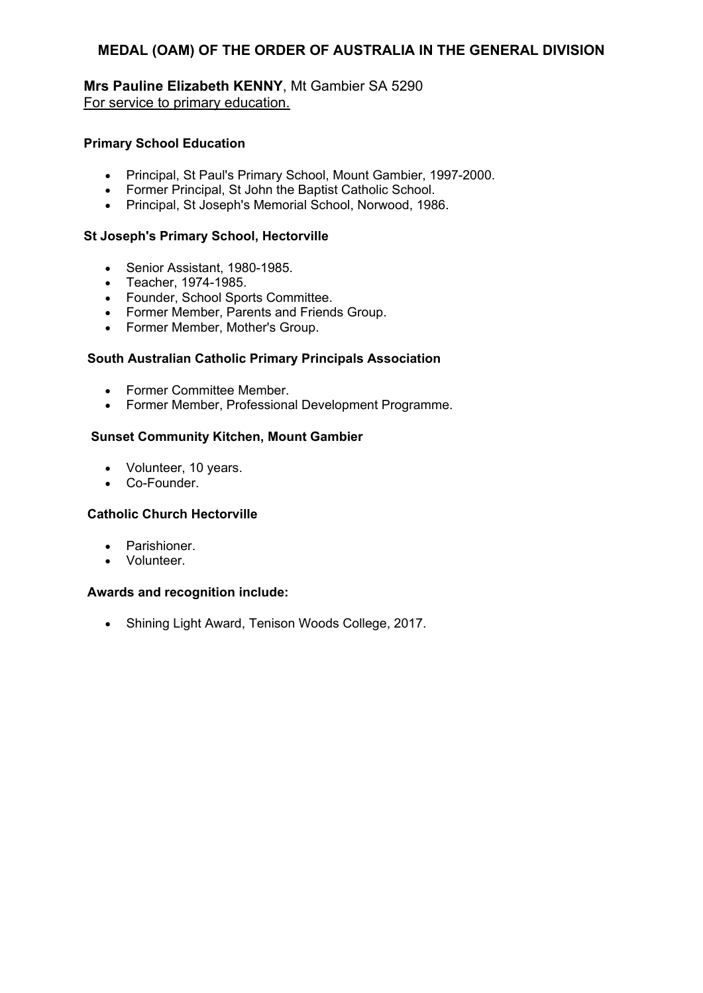**Mrs Pauline Elizabeth KENNY**, Mt Gambier SA 5290 For service to primary education.

### **Primary School Education**

- Principal, St Paul's Primary School, Mount Gambier, 1997-2000.
- Former Principal, St John the Baptist Catholic School.
- Principal, St Joseph's Memorial School, Norwood, 1986.

#### **St Joseph's Primary School, Hectorville**

- Senior Assistant, 1980-1985.
- Teacher, 1974-1985.
- Founder, School Sports Committee.
- Former Member, Parents and Friends Group.
- Former Member, Mother's Group.

#### **South Australian Catholic Primary Principals Association**

- Former Committee Member.
- Former Member, Professional Development Programme.

#### **Sunset Community Kitchen, Mount Gambier**

- Volunteer, 10 years.
- Co-Founder.

#### **Catholic Church Hectorville**

- Parishioner.
- Volunteer.

#### **Awards and recognition include:**

• Shining Light Award, Tenison Woods College, 2017.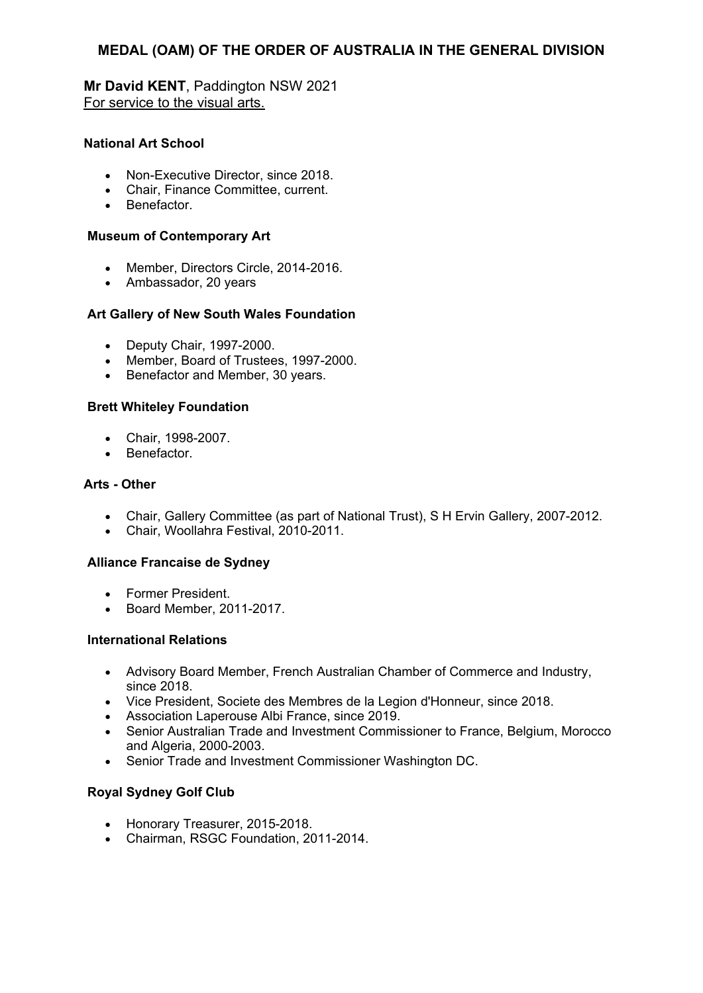**Mr David KENT**, Paddington NSW 2021 For service to the visual arts.

## **National Art School**

- Non-Executive Director, since 2018.
- Chair, Finance Committee, current.
- **•** Benefactor

## **Museum of Contemporary Art**

- Member, Directors Circle, 2014-2016.
- Ambassador, 20 years

## **Art Gallery of New South Wales Foundation**

- Deputy Chair, 1997-2000.
- Member, Board of Trustees, 1997-2000.
- Benefactor and Member, 30 years.

## **Brett WhiteIey Foundation**

- Chair, 1998-2007.
- Benefactor.

### **Arts - Other**

- Chair, Gallery Committee (as part of National Trust), S H Ervin Gallery, 2007-2012.
- Chair, Woollahra Festival, 2010-2011.

### **Alliance Francaise de Sydney**

- Former President.
- Board Member, 2011-2017.

### **International Relations**

- Advisory Board Member, French Australian Chamber of Commerce and Industry, since 2018
- Vice President, Societe des Membres de la Legion d'Honneur, since 2018.
- Association Laperouse Albi France, since 2019.
- Senior Australian Trade and Investment Commissioner to France, Belgium, Morocco and Algeria, 2000-2003.
- Senior Trade and Investment Commissioner Washington DC.

### **Royal Sydney Golf Club**

- Honorary Treasurer, 2015-2018.
- Chairman, RSGC Foundation, 2011-2014.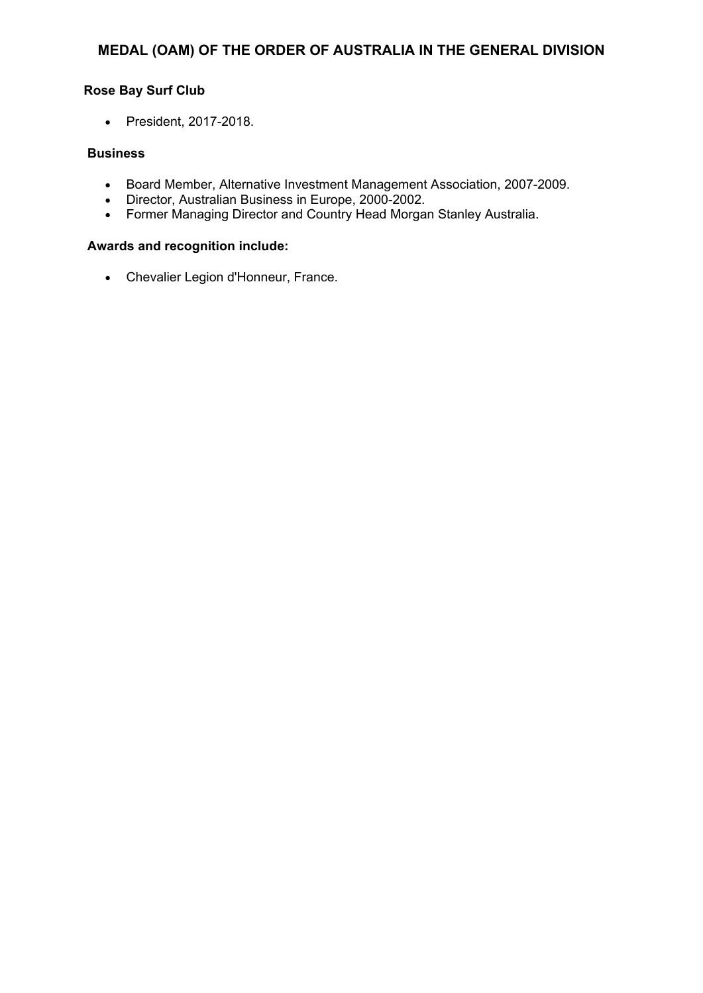## **Rose Bay Surf Club**

President, 2017-2018.

### **Business**

- Board Member, Alternative Investment Management Association, 2007-2009.
- Director, Australian Business in Europe, 2000-2002.
- Former Managing Director and Country Head Morgan Stanley Australia.

### **Awards and recognition include:**

Chevalier Legion d'Honneur, France.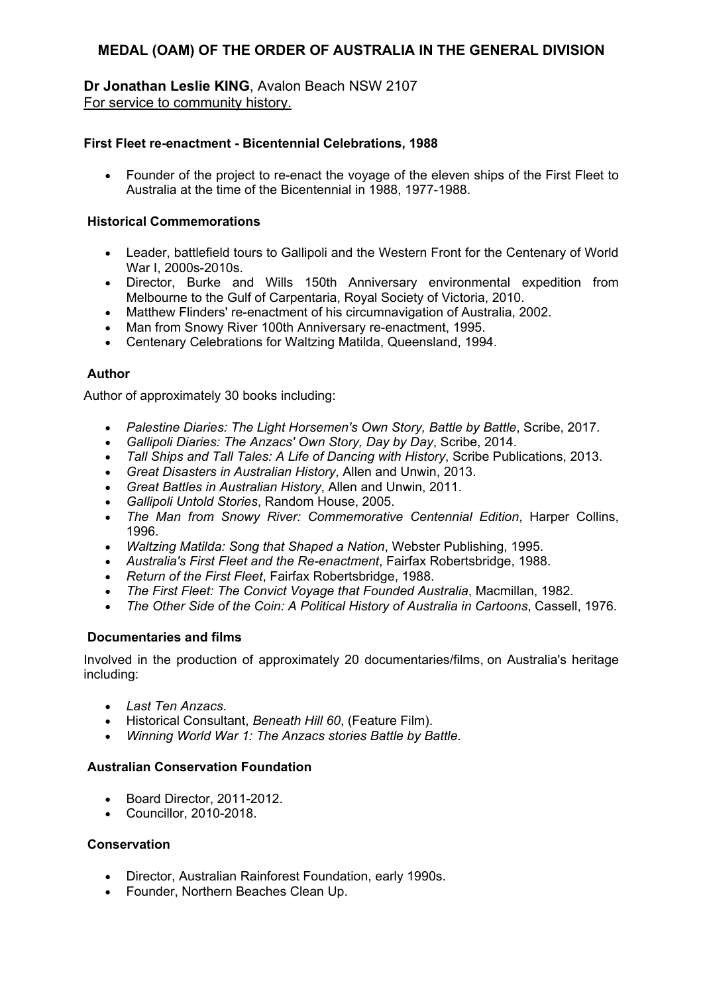**Dr Jonathan Leslie KING**, Avalon Beach NSW 2107 For service to community history.

#### **First Fleet re-enactment - Bicentennial Celebrations, 1988**

• Founder of the project to re-enact the voyage of the eleven ships of the First Fleet to Australia at the time of the Bicentennial in 1988, 1977-1988.

#### **Historical Commemorations**

- Leader, battlefield tours to Gallipoli and the Western Front for the Centenary of World War I, 2000s-2010s.
- Director, Burke and Wills 150th Anniversary environmental expedition from Melbourne to the Gulf of Carpentaria, Royal Society of Victoria, 2010.
- Matthew Flinders' re-enactment of his circumnavigation of Australia, 2002.
- Man from Snowy River 100th Anniversary re-enactment, 1995.
- Centenary Celebrations for Waltzing Matilda, Queensland, 1994.

### **Author**

Author of approximately 30 books including:

- *Palestine Diaries: The Light Horsemen's Own Story, Battle by Battle*, Scribe, 2017.
- *Gallipoli Diaries: The Anzacs' Own Story, Day by Day*, Scribe, 2014.
- *Tall Ships and Tall Tales: A Life of Dancing with History*, Scribe Publications, 2013.
- *Great Disasters in Australian History*, Allen and Unwin, 2013.
- *Great Battles in Australian History*, Allen and Unwin, 2011.
- *Gallipoli Untold Stories*, Random House, 2005.
- *The Man from Snowy River: Commemorative Centennial Edition*, Harper Collins, 1996.
- *Waltzing Matilda: Song that Shaped a Nation*, Webster Publishing, 1995.
- *Australia's First Fleet and the Re-enactment*, Fairfax Robertsbridge, 1988.
- *Return of the First Fleet*, Fairfax Robertsbridge, 1988.
- *The First Fleet: The Convict Voyage that Founded Australia*, Macmillan, 1982.
- *The Other Side of the Coin: A Political History of Australia in Cartoons*, Cassell, 1976.

### **Documentaries and films**

Involved in the production of approximately 20 documentaries/films, on Australia's heritage including:

- *Last Ten Anzacs*.
- Historical Consultant, *Beneath Hill 60*, (Feature Film).
- *Winning World War 1: The Anzacs stories Battle by Battle*.

### **Australian Conservation Foundation**

- Board Director, 2011-2012.
- Councillor, 2010-2018.

### **Conservation**

- Director, Australian Rainforest Foundation, early 1990s.
- Founder, Northern Beaches Clean Up.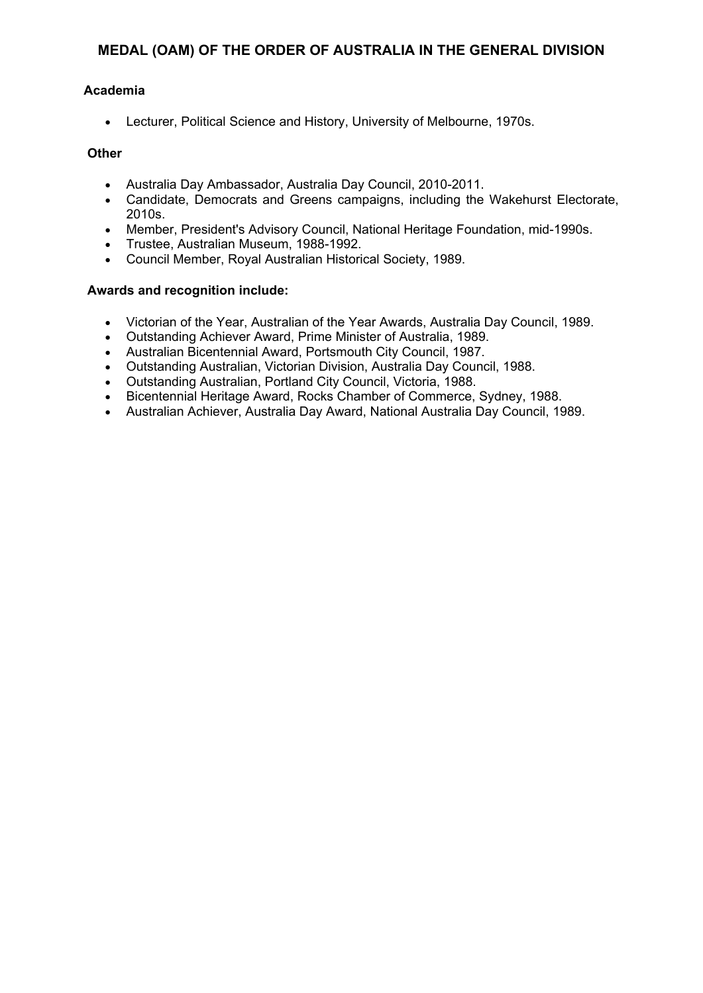## **Academia**

Lecturer, Political Science and History, University of Melbourne, 1970s.

### **Other**

- Australia Day Ambassador, Australia Day Council, 2010-2011.
- Candidate, Democrats and Greens campaigns, including the Wakehurst Electorate, 2010s.
- Member, President's Advisory Council, National Heritage Foundation, mid-1990s.
- Trustee, Australian Museum, 1988-1992.
- Council Member, Royal Australian Historical Society, 1989.

- Victorian of the Year, Australian of the Year Awards, Australia Day Council, 1989.
- Outstanding Achiever Award, Prime Minister of Australia, 1989.
- Australian Bicentennial Award, Portsmouth City Council, 1987.
- Outstanding Australian, Victorian Division, Australia Day Council, 1988.
- Outstanding Australian, Portland City Council, Victoria, 1988.
- Bicentennial Heritage Award, Rocks Chamber of Commerce, Sydney, 1988.
- Australian Achiever, Australia Day Award, National Australia Day Council, 1989.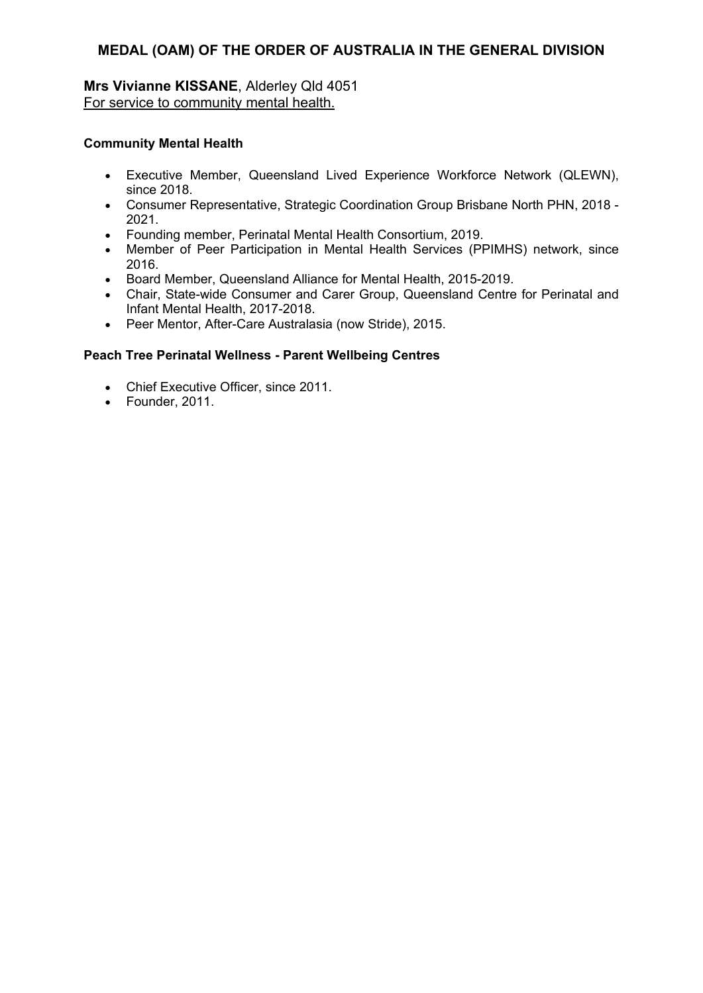## **Mrs Vivianne KISSANE**, Alderley Qld 4051 For service to community mental health.

### **Community Mental Health**

- Executive Member, Queensland Lived Experience Workforce Network (QLEWN), since 2018.
- Consumer Representative, Strategic Coordination Group Brisbane North PHN, 2018 2021.
- Founding member, Perinatal Mental Health Consortium, 2019.
- Member of Peer Participation in Mental Health Services (PPIMHS) network, since 2016.
- Board Member, Queensland Alliance for Mental Health, 2015-2019.
- Chair, State-wide Consumer and Carer Group, Queensland Centre for Perinatal and Infant Mental Health, 2017-2018.
- Peer Mentor, After-Care Australasia (now Stride), 2015.

### **Peach Tree Perinatal Wellness - Parent Wellbeing Centres**

- Chief Executive Officer, since 2011.
- Founder, 2011.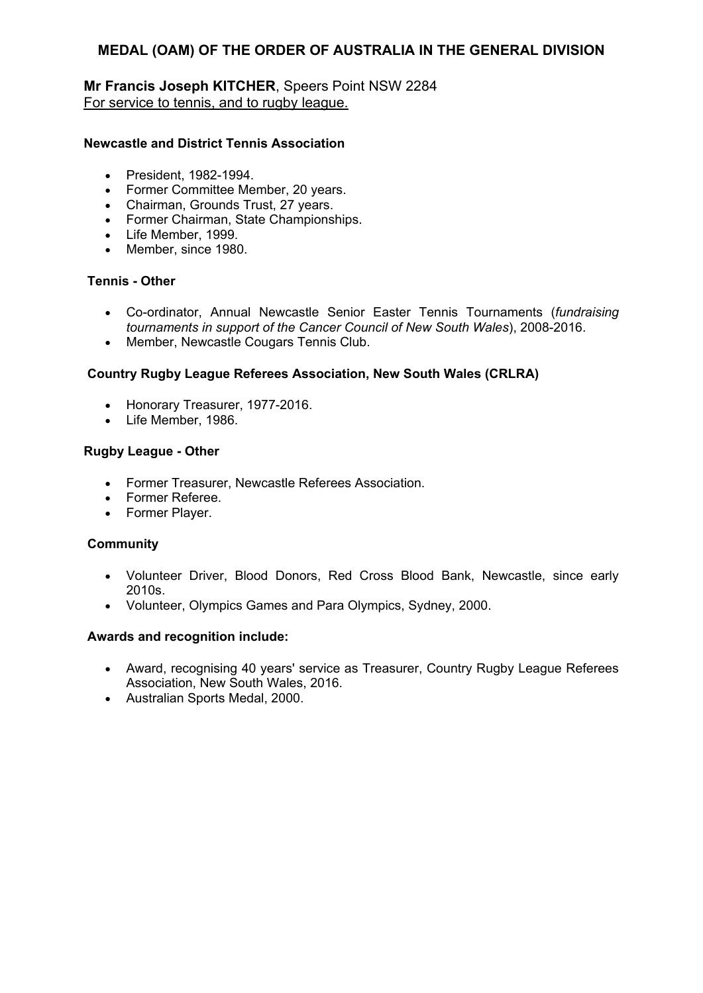# **Mr Francis Joseph KITCHER**, Speers Point NSW 2284 For service to tennis, and to rugby league.

#### **Newcastle and District Tennis Association**

- President, 1982-1994.
- Former Committee Member, 20 years.
- Chairman, Grounds Trust, 27 years.
- Former Chairman, State Championships.
- Life Member, 1999.
- Member, since 1980.

# **Tennis - Other**

- Co-ordinator, Annual Newcastle Senior Easter Tennis Tournaments (*fundraising tournaments in support of the Cancer Council of New South Wales*), 2008-2016.
- Member, Newcastle Cougars Tennis Club.

### **Country Rugby League Referees Association, New South Wales (CRLRA)**

- Honorary Treasurer, 1977-2016.
- Life Member, 1986.

#### **Rugby League - Other**

- Former Treasurer, Newcastle Referees Association.
- Former Referee.
- Former Player.

#### **Community**

- Volunteer Driver, Blood Donors, Red Cross Blood Bank, Newcastle, since early 2010s.
- Volunteer, Olympics Games and Para Olympics, Sydney, 2000.

- Award, recognising 40 years' service as Treasurer, Country Rugby League Referees Association, New South Wales, 2016.
- Australian Sports Medal, 2000.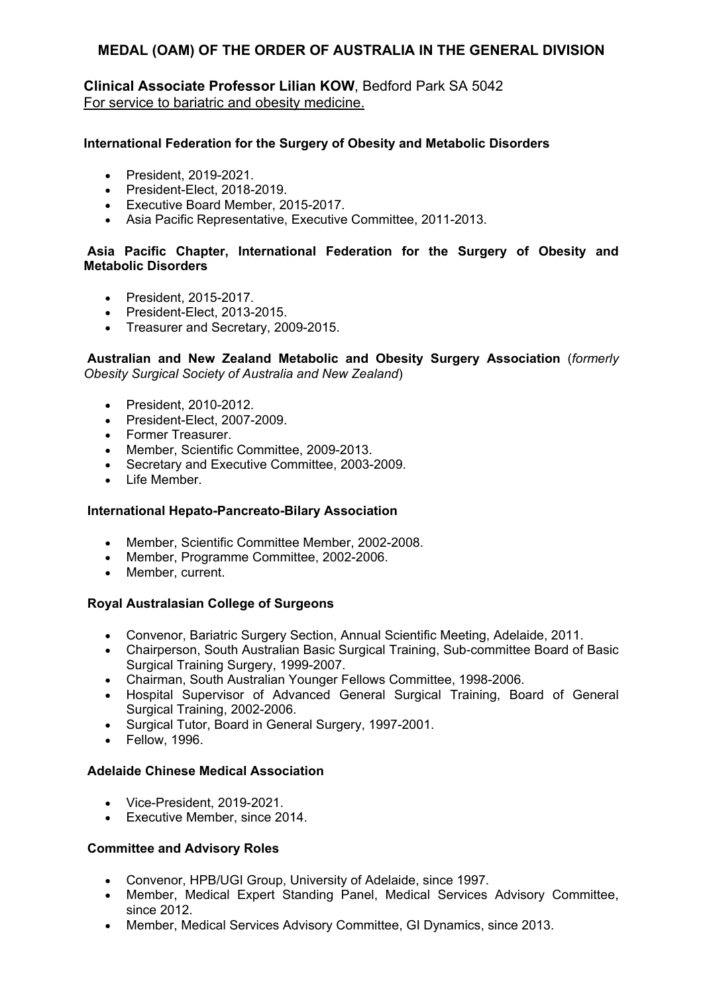**Clinical Associate Professor Lilian KOW**, Bedford Park SA 5042 For service to bariatric and obesity medicine.

### **International Federation for the Surgery of Obesity and Metabolic Disorders**

- President, 2019-2021.
- President-Elect, 2018-2019.
- Executive Board Member, 2015-2017.
- Asia Pacific Representative, Executive Committee, 2011-2013.

## **Asia Pacific Chapter, International Federation for the Surgery of Obesity and Metabolic Disorders**

- President, 2015-2017.
- President-Elect, 2013-2015.
- Treasurer and Secretary, 2009-2015.

### **Australian and New Zealand Metabolic and Obesity Surgery Association** (*formerly Obesity Surgical Society of Australia and New Zealand*)

- President, 2010-2012.
- President-Elect, 2007-2009.
- **•** Former Treasurer
- Member, Scientific Committee, 2009-2013.
- Secretary and Executive Committee, 2003-2009.
- Life Member.

### **International Hepato-Pancreato-Bilary Association**

- Member, Scientific Committee Member, 2002-2008.
- Member, Programme Committee, 2002-2006.
- Member, current.

### **Royal Australasian College of Surgeons**

- Convenor, Bariatric Surgery Section, Annual Scientific Meeting, Adelaide, 2011.
- Chairperson, South Australian Basic Surgical Training, Sub-committee Board of Basic Surgical Training Surgery, 1999-2007.
- Chairman, South Australian Younger Fellows Committee, 1998-2006.
- Hospital Supervisor of Advanced General Surgical Training, Board of General Surgical Training, 2002-2006.
- Surgical Tutor, Board in General Surgery, 1997-2001.
- Fellow, 1996.

## **Adelaide Chinese Medical Association**

- Vice-President, 2019-2021.
- Executive Member, since 2014.

### **Committee and Advisory Roles**

- Convenor, HPB/UGI Group, University of Adelaide, since 1997.
- Member, Medical Expert Standing Panel, Medical Services Advisory Committee, since 2012.
- Member, Medical Services Advisory Committee, GI Dynamics, since 2013.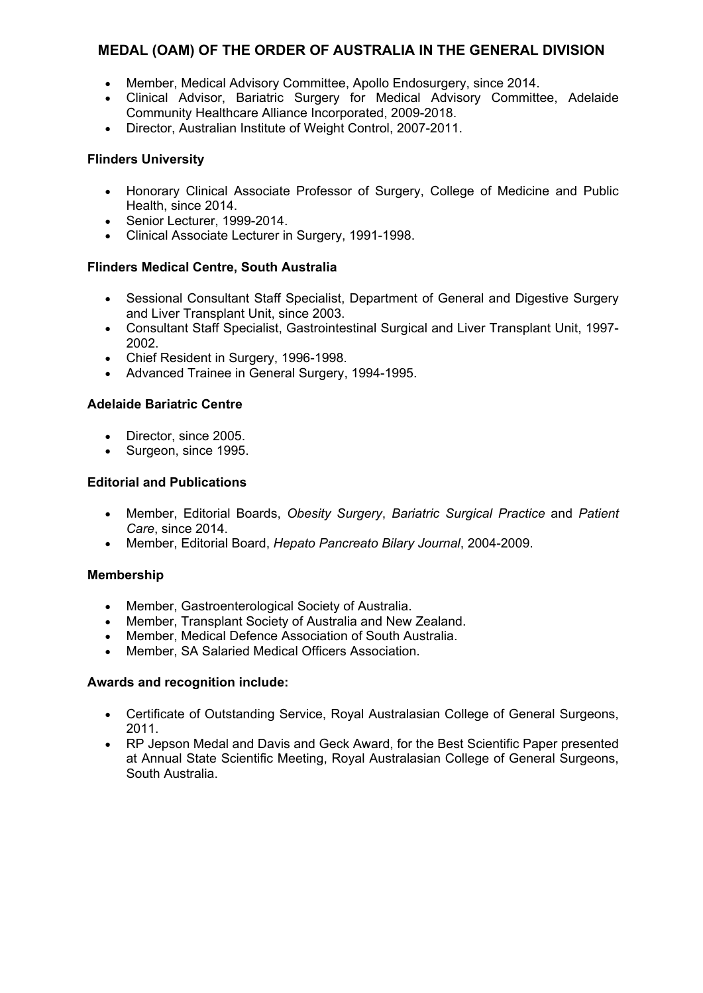- Member, Medical Advisory Committee, Apollo Endosurgery, since 2014.
- Clinical Advisor, Bariatric Surgery for Medical Advisory Committee, Adelaide Community Healthcare Alliance Incorporated, 2009-2018.
- Director, Australian Institute of Weight Control, 2007-2011.

# **Flinders University**

- Honorary Clinical Associate Professor of Surgery, College of Medicine and Public Health, since 2014.
- Senior Lecturer, 1999-2014.
- Clinical Associate Lecturer in Surgery, 1991-1998.

## **Flinders Medical Centre, South Australia**

- Sessional Consultant Staff Specialist, Department of General and Digestive Surgery and Liver Transplant Unit, since 2003.
- Consultant Staff Specialist, Gastrointestinal Surgical and Liver Transplant Unit, 1997- 2002.
- Chief Resident in Surgery, 1996-1998.
- Advanced Trainee in General Surgery, 1994-1995.

## **Adelaide Bariatric Centre**

- Director, since 2005.
- Surgeon, since 1995.

### **Editorial and Publications**

- Member, Editorial Boards, *Obesity Surgery*, *Bariatric Surgical Practice* and *Patient Care*, since 2014.
- Member, Editorial Board, *Hepato Pancreato Bilary Journal*, 2004-2009.

### **Membership**

- Member, Gastroenterological Society of Australia.
- Member, Transplant Society of Australia and New Zealand.
- Member, Medical Defence Association of South Australia.
- Member, SA Salaried Medical Officers Association.

- Certificate of Outstanding Service, Royal Australasian College of General Surgeons, 2011.
- RP Jepson Medal and Davis and Geck Award, for the Best Scientific Paper presented at Annual State Scientific Meeting, Royal Australasian College of General Surgeons, South Australia.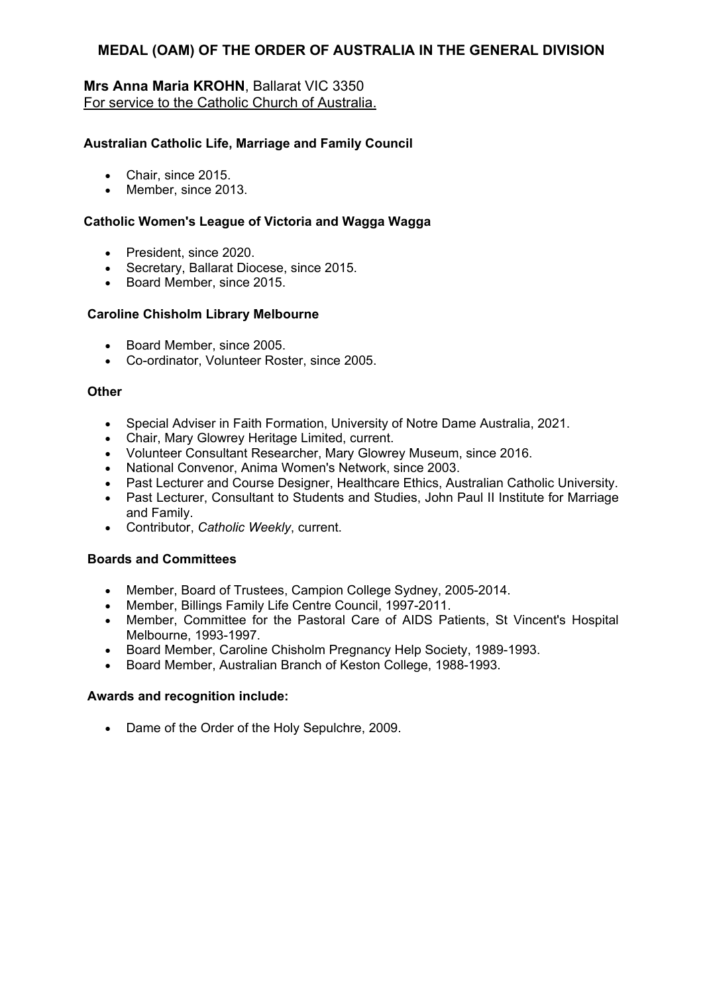# **Mrs Anna Maria KROHN**, Ballarat VIC 3350 For service to the Catholic Church of Australia.

### **Australian Catholic Life, Marriage and Family Council**

- Chair, since 2015.
- Member, since 2013.

## **Catholic Women's League of Victoria and Wagga Wagga**

- President, since 2020.
- Secretary, Ballarat Diocese, since 2015.
- Board Member, since 2015.

### **Caroline Chisholm Library Melbourne**

- Board Member, since 2005.
- Co-ordinator, Volunteer Roster, since 2005.

### **Other**

- Special Adviser in Faith Formation, University of Notre Dame Australia, 2021.
- Chair, Mary Glowrey Heritage Limited, current.
- Volunteer Consultant Researcher, Mary Glowrey Museum, since 2016.
- National Convenor, Anima Women's Network, since 2003.
- Past Lecturer and Course Designer, Healthcare Ethics, Australian Catholic University.
- Past Lecturer, Consultant to Students and Studies, John Paul II Institute for Marriage and Family.
- Contributor, *Catholic Weekly*, current.

### **Boards and Committees**

- Member, Board of Trustees, Campion College Sydney, 2005-2014.
- Member, Billings Family Life Centre Council, 1997-2011.
- Member, Committee for the Pastoral Care of AIDS Patients, St Vincent's Hospital Melbourne, 1993-1997.
- Board Member, Caroline Chisholm Pregnancy Help Society, 1989-1993.
- Board Member, Australian Branch of Keston College, 1988-1993.

### **Awards and recognition include:**

Dame of the Order of the Holy Sepulchre, 2009.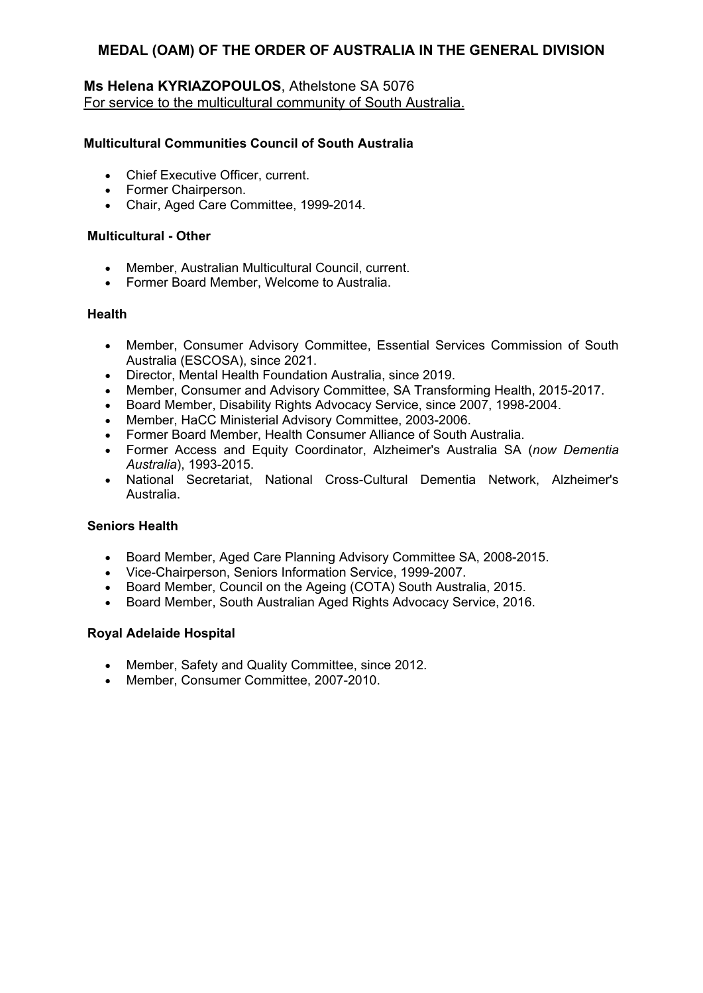# **Ms Helena KYRIAZOPOULOS**, Athelstone SA 5076 For service to the multicultural community of South Australia.

## **Multicultural Communities Council of South Australia**

- Chief Executive Officer, current.
- Former Chairperson.
- Chair, Aged Care Committee, 1999-2014.

### **Multicultural - Other**

- Member, Australian Multicultural Council, current.
- Former Board Member, Welcome to Australia.

### **Health**

- Member, Consumer Advisory Committee, Essential Services Commission of South Australia (ESCOSA), since 2021.
- Director, Mental Health Foundation Australia, since 2019.
- Member, Consumer and Advisory Committee, SA Transforming Health, 2015-2017.
- Board Member, Disability Rights Advocacy Service, since 2007, 1998-2004.
- Member, HaCC Ministerial Advisory Committee, 2003-2006.
- Former Board Member, Health Consumer Alliance of South Australia.
- Former Access and Equity Coordinator, Alzheimer's Australia SA (*now Dementia Australia*), 1993-2015.
- National Secretariat, National Cross-Cultural Dementia Network, Alzheimer's Australia.

### **Seniors Health**

- Board Member, Aged Care Planning Advisory Committee SA, 2008-2015.
- Vice-Chairperson, Seniors Information Service, 1999-2007.
- Board Member, Council on the Ageing (COTA) South Australia, 2015.
- Board Member, South Australian Aged Rights Advocacy Service, 2016.

# **Royal Adelaide Hospital**

- Member, Safety and Quality Committee, since 2012.
- Member, Consumer Committee, 2007-2010.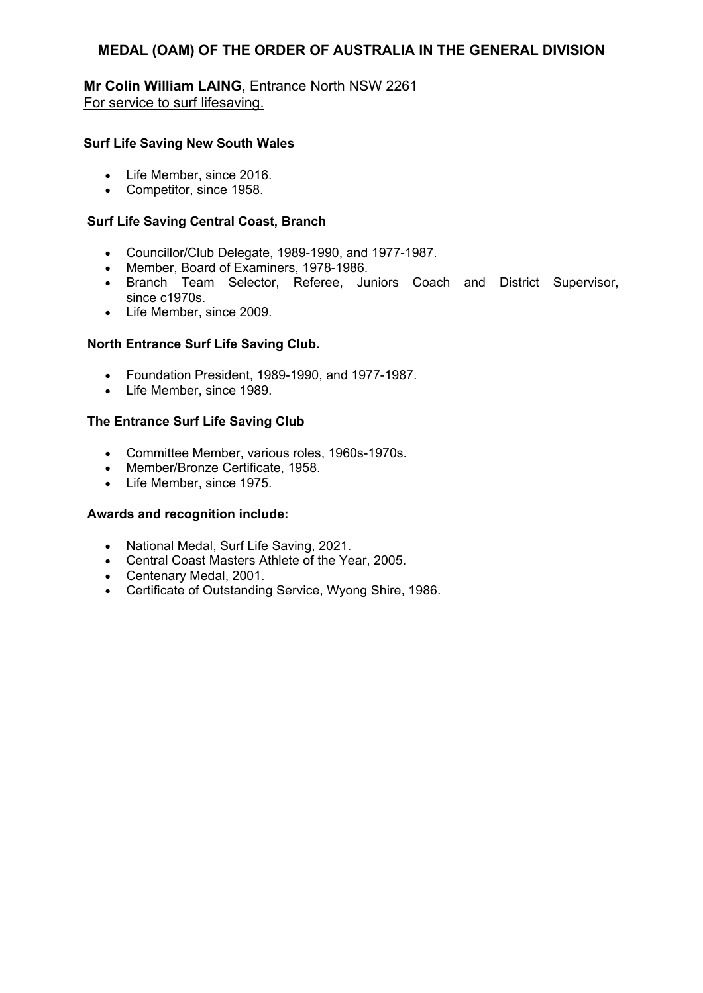**Mr Colin William LAING**, Entrance North NSW 2261 For service to surf lifesaving.

### **Surf Life Saving New South Wales**

- Life Member, since 2016.
- Competitor, since 1958.

## **Surf Life Saving Central Coast, Branch**

- Councillor/Club Delegate, 1989-1990, and 1977-1987.
- Member, Board of Examiners, 1978-1986.
- Branch Team Selector, Referee, Juniors Coach and District Supervisor, since c1970s.
- Life Member, since 2009.

## **North Entrance Surf Life Saving Club.**

- Foundation President, 1989-1990, and 1977-1987.
- Life Member, since 1989.

## **The Entrance Surf Life Saving Club**

- Committee Member, various roles, 1960s-1970s.
- Member/Bronze Certificate, 1958.
- Life Member, since 1975.

- National Medal, Surf Life Saving, 2021.
- Central Coast Masters Athlete of the Year, 2005.
- Centenary Medal, 2001.
- Certificate of Outstanding Service, Wyong Shire, 1986.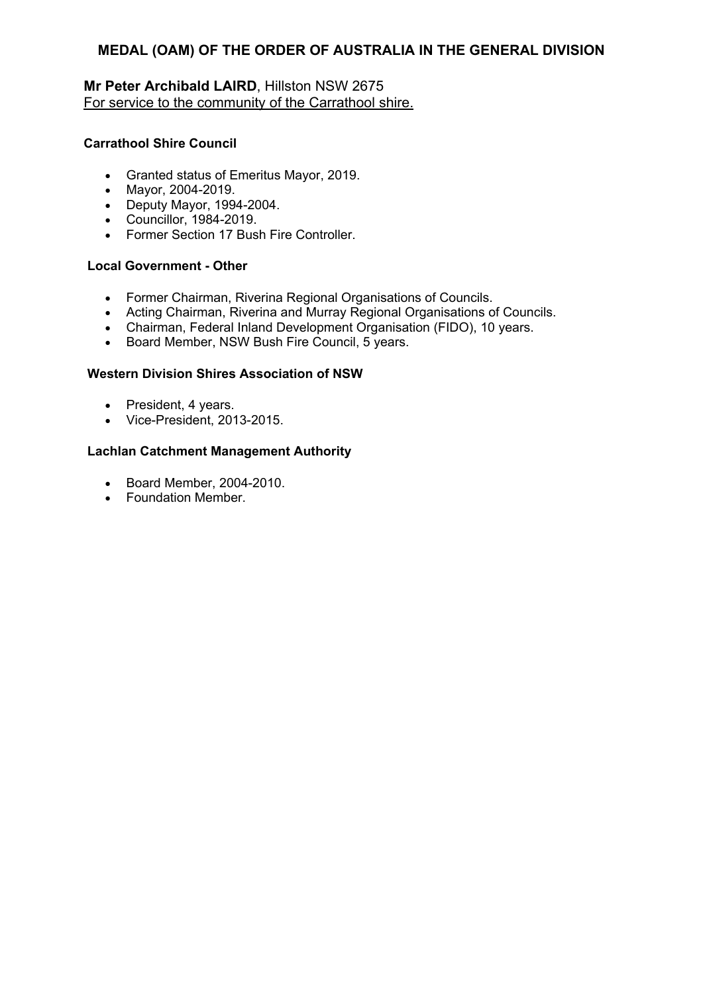# **Mr Peter Archibald LAIRD**, Hillston NSW 2675 For service to the community of the Carrathool shire.

### **Carrathool Shire Council**

- Granted status of Emeritus Mayor, 2019.
- Mayor, 2004-2019.
- Deputy Mayor, 1994-2004.
- Councillor, 1984-2019.
- Former Section 17 Bush Fire Controller.

### **Local Government - Other**

- Former Chairman, Riverina Regional Organisations of Councils.
- Acting Chairman, Riverina and Murray Regional Organisations of Councils.
- Chairman, Federal Inland Development Organisation (FIDO), 10 years.
- Board Member, NSW Bush Fire Council, 5 years.

### **Western Division Shires Association of NSW**

- President, 4 years.
- Vice-President, 2013-2015.

### **Lachlan Catchment Management Authority**

- Board Member, 2004-2010.
- Foundation Member.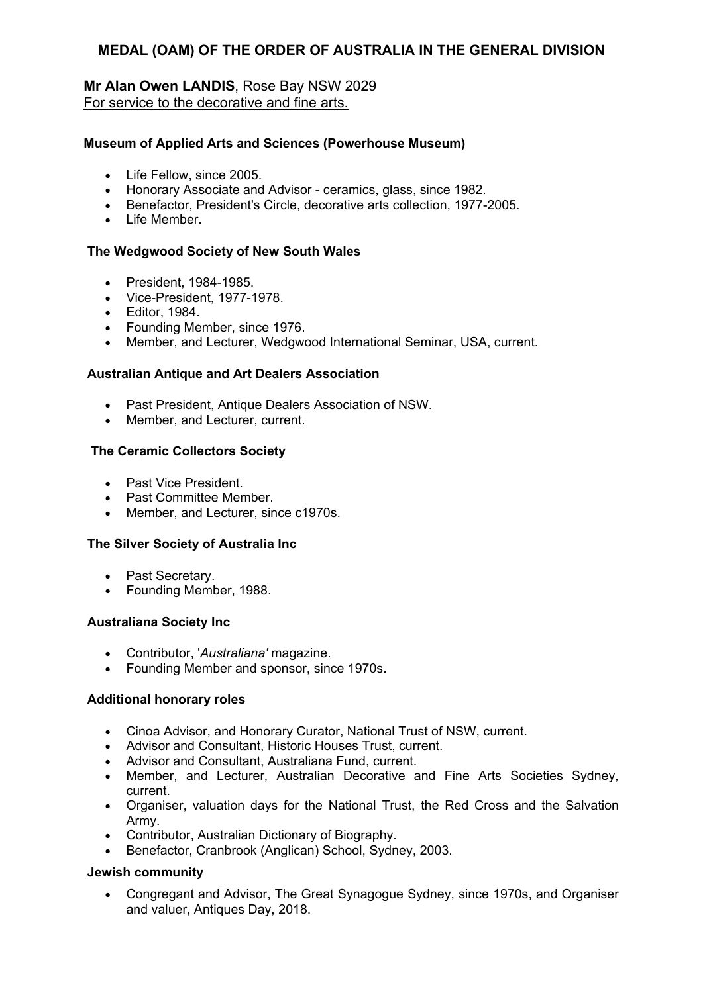# **Mr Alan Owen LANDIS**, Rose Bay NSW 2029 For service to the decorative and fine arts.

#### **Museum of Applied Arts and Sciences (Powerhouse Museum)**

- Life Fellow, since 2005.
- Honorary Associate and Advisor ceramics, glass, since 1982.
- Benefactor, President's Circle, decorative arts collection, 1977-2005.
- Life Member.

#### **The Wedgwood Society of New South Wales**

- President, 1984-1985.
- Vice-President, 1977-1978.
- Editor, 1984.
- Founding Member, since 1976.
- Member, and Lecturer, Wedgwood International Seminar, USA, current.

#### **Australian Antique and Art Dealers Association**

- Past President, Antique Dealers Association of NSW.
- Member, and Lecturer, current.

#### **The Ceramic Collectors Society**

- Past Vice President.
- Past Committee Member.
- Member, and Lecturer, since c1970s.

#### **The Silver Society of Australia Inc**

- Past Secretary.
- Founding Member, 1988.

#### **Australiana Society Inc**

- Contributor, '*Australiana'* magazine.
- Founding Member and sponsor, since 1970s.

#### **Additional honorary roles**

- Cinoa Advisor, and Honorary Curator, National Trust of NSW, current.
- Advisor and Consultant, Historic Houses Trust, current.
- Advisor and Consultant, Australiana Fund, current.
- Member, and Lecturer, Australian Decorative and Fine Arts Societies Sydney, current.
- Organiser, valuation days for the National Trust, the Red Cross and the Salvation Army.
- Contributor, Australian Dictionary of Biography.
- Benefactor, Cranbrook (Anglican) School, Sydney, 2003.

#### **Jewish community**

 Congregant and Advisor, The Great Synagogue Sydney, since 1970s, and Organiser and valuer, Antiques Day, 2018.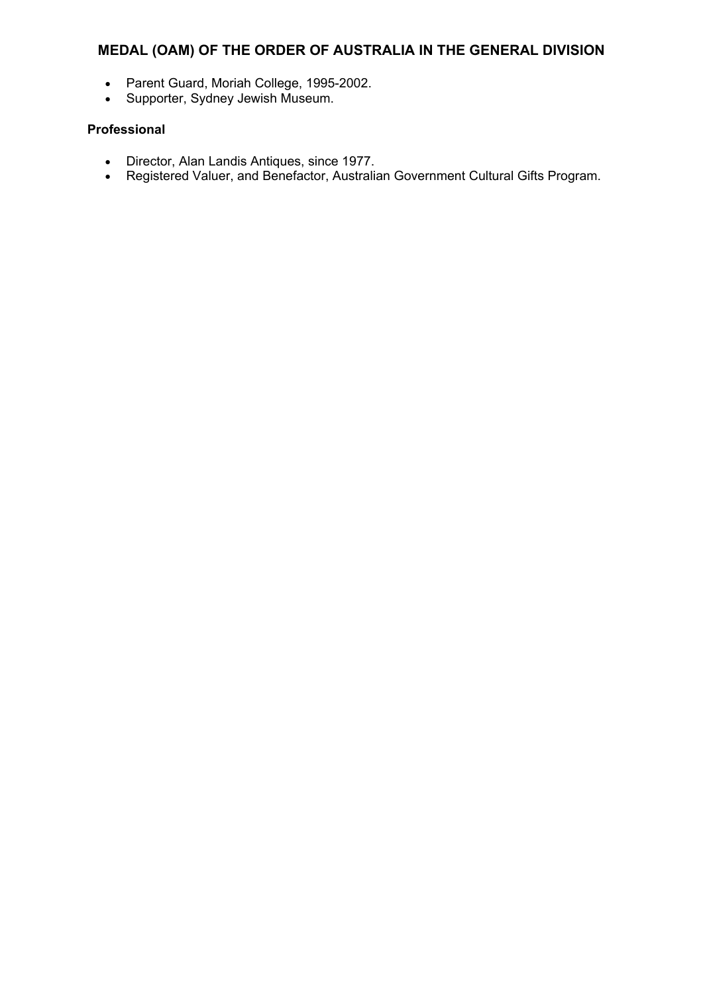- Parent Guard, Moriah College, 1995-2002.
- Supporter, Sydney Jewish Museum.

## **Professional**

- Director, Alan Landis Antiques, since 1977.
- Registered Valuer, and Benefactor, Australian Government Cultural Gifts Program.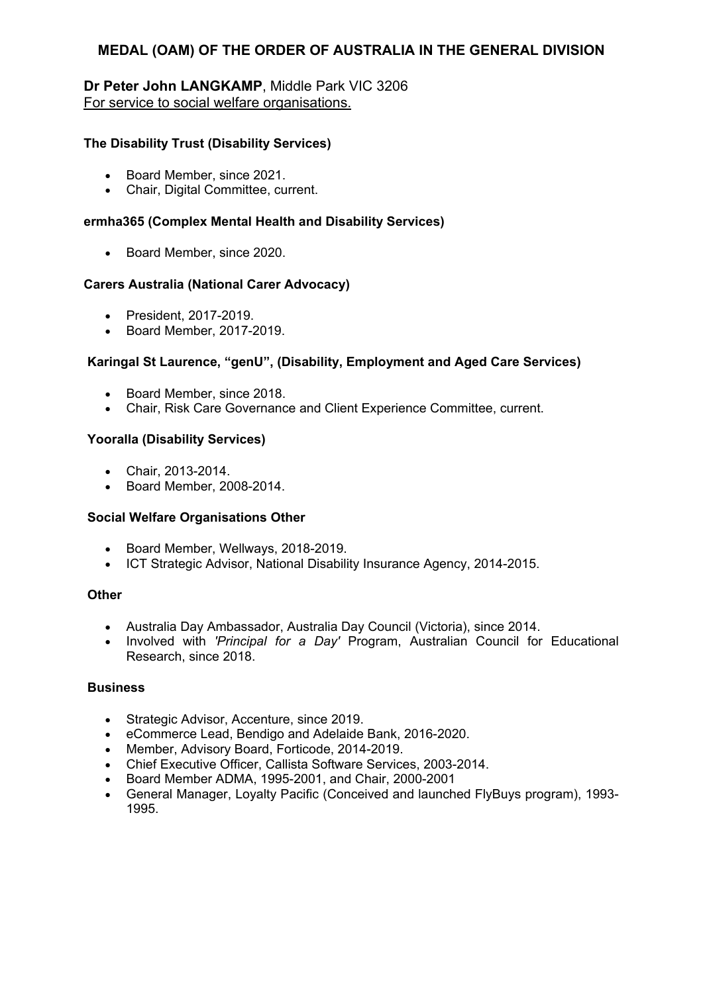# **Dr Peter John LANGKAMP**, Middle Park VIC 3206 For service to social welfare organisations.

## **The Disability Trust (Disability Services)**

- Board Member, since 2021.
- Chair, Digital Committee, current.

### **ermha365 (Complex Mental Health and Disability Services)**

• Board Member, since 2020.

#### **Carers Australia (National Carer Advocacy)**

- President, 2017-2019.
- Board Member, 2017-2019.

### **Karingal St Laurence, "genU", (Disability, Employment and Aged Care Services)**

- Board Member, since 2018.
- Chair, Risk Care Governance and Client Experience Committee, current.

#### **Yooralla (Disability Services)**

- Chair, 2013-2014.
- Board Member, 2008-2014.

#### **Social Welfare Organisations Other**

- Board Member, Wellways, 2018-2019.
- ICT Strategic Advisor, National Disability Insurance Agency, 2014-2015.

#### **Other**

- Australia Day Ambassador, Australia Day Council (Victoria), since 2014.
- Involved with *'Principal for a Day'* Program, Australian Council for Educational Research, since 2018.

#### **Business**

- Strategic Advisor, Accenture, since 2019.
- eCommerce Lead, Bendigo and Adelaide Bank, 2016-2020.
- Member, Advisory Board, Forticode, 2014-2019.
- Chief Executive Officer, Callista Software Services, 2003-2014.
- Board Member ADMA, 1995-2001, and Chair, 2000-2001
- General Manager, Loyalty Pacific (Conceived and launched FlyBuys program), 1993- 1995.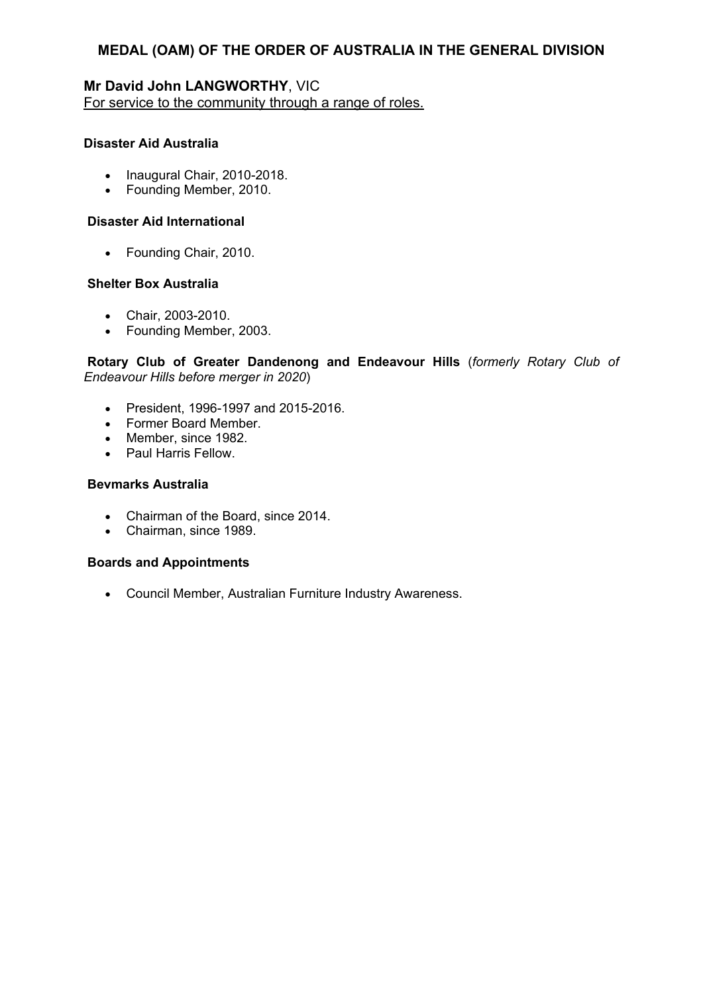## **Mr David John LANGWORTHY**, VIC For service to the community through a range of roles.

### **Disaster Aid Australia**

- Inaugural Chair, 2010-2018.
- Founding Member, 2010.

## **Disaster Aid International**

• Founding Chair, 2010.

### **Shelter Box Australia**

- Chair, 2003-2010.
- Founding Member, 2003.

**Rotary Club of Greater Dandenong and Endeavour Hills** (*formerly Rotary Club of Endeavour Hills before merger in 2020*)

- President, 1996-1997 and 2015-2016.
- Former Board Member.
- Member, since 1982.
- Paul Harris Fellow.

### **Bevmarks Australia**

- Chairman of the Board, since 2014.
- Chairman, since 1989.

## **Boards and Appointments**

Council Member, Australian Furniture Industry Awareness.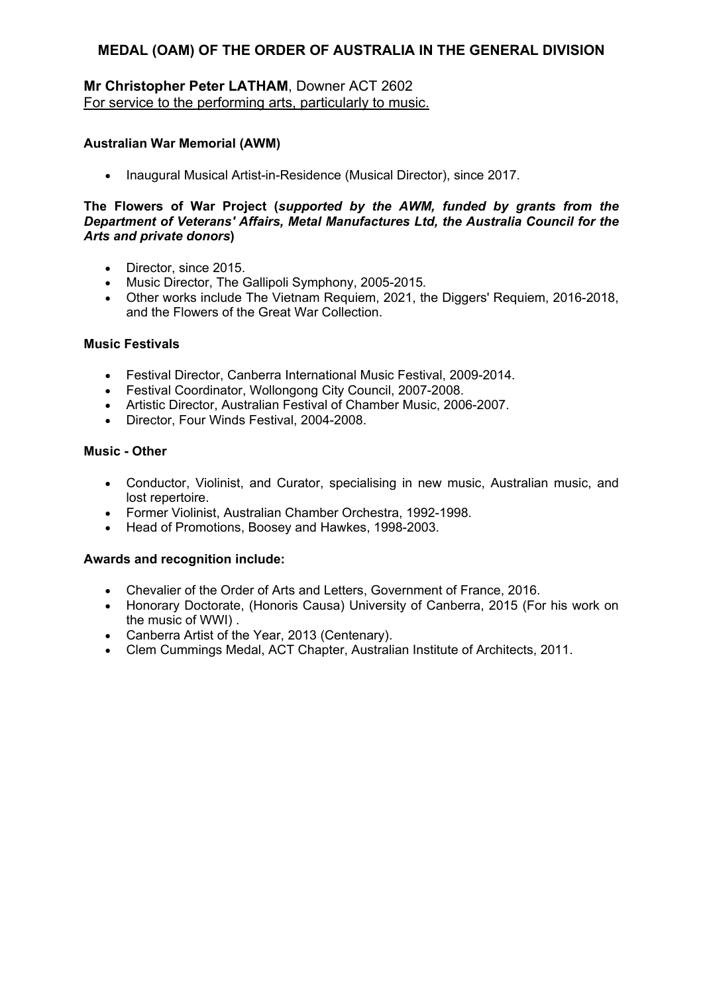# **Mr Christopher Peter LATHAM**, Downer ACT 2602 For service to the performing arts, particularly to music.

### **Australian War Memorial (AWM)**

• Inaugural Musical Artist-in-Residence (Musical Director), since 2017.

#### **The Flowers of War Project (***supported by the AWM, funded by grants from the Department of Veterans' Affairs, Metal Manufactures Ltd, the Australia Council for the Arts and private donors***)**

- Director, since 2015.
- Music Director, The Gallipoli Symphony, 2005-2015*.*
- Other works include The Vietnam Requiem, 2021, the Diggers' Requiem, 2016-2018, and the Flowers of the Great War Collection.

#### **Music Festivals**

- Festival Director, Canberra International Music Festival, 2009-2014.
- Festival Coordinator, Wollongong City Council, 2007-2008.
- Artistic Director, Australian Festival of Chamber Music, 2006-2007.
- Director, Four Winds Festival, 2004-2008.

## **Music - Other**

- Conductor, Violinist, and Curator, specialising in new music, Australian music, and lost repertoire.
- Former Violinist, Australian Chamber Orchestra, 1992-1998.
- Head of Promotions, Boosey and Hawkes, 1998-2003.

- Chevalier of the Order of Arts and Letters, Government of France, 2016.
- Honorary Doctorate, (Honoris Causa) University of Canberra, 2015 (For his work on the music of WWI) .
- Canberra Artist of the Year, 2013 (Centenary).
- Clem Cummings Medal, ACT Chapter, Australian Institute of Architects, 2011.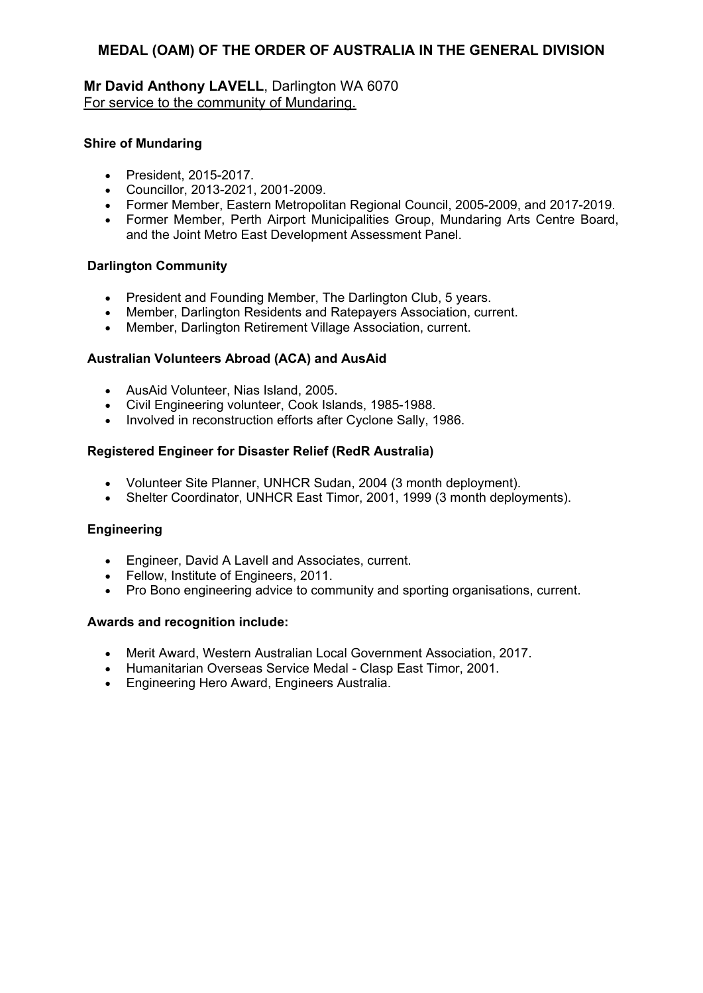# **Mr David Anthony LAVELL**, Darlington WA 6070 For service to the community of Mundaring.

### **Shire of Mundaring**

- President, 2015-2017.
- Councillor, 2013-2021, 2001-2009.
- Former Member, Eastern Metropolitan Regional Council, 2005-2009, and 2017-2019.
- Former Member, Perth Airport Municipalities Group, Mundaring Arts Centre Board, and the Joint Metro East Development Assessment Panel.

#### **Darlington Community**

- President and Founding Member, The Darlington Club, 5 years.
- Member, Darlington Residents and Ratepayers Association, current.
- Member, Darlington Retirement Village Association, current.

### **Australian Volunteers Abroad (ACA) and AusAid**

- AusAid Volunteer, Nias Island, 2005.
- Civil Engineering volunteer, Cook Islands, 1985-1988.
- Involved in reconstruction efforts after Cyclone Sally, 1986.

#### **Registered Engineer for Disaster Relief (RedR Australia)**

- Volunteer Site Planner, UNHCR Sudan, 2004 (3 month deployment).
- Shelter Coordinator, UNHCR East Timor, 2001, 1999 (3 month deployments).

### **Engineering**

- Engineer, David A Lavell and Associates, current.
- Fellow, Institute of Engineers, 2011.
- Pro Bono engineering advice to community and sporting organisations, current.

- Merit Award, Western Australian Local Government Association, 2017.
- Humanitarian Overseas Service Medal Clasp East Timor, 2001.
- Engineering Hero Award, Engineers Australia.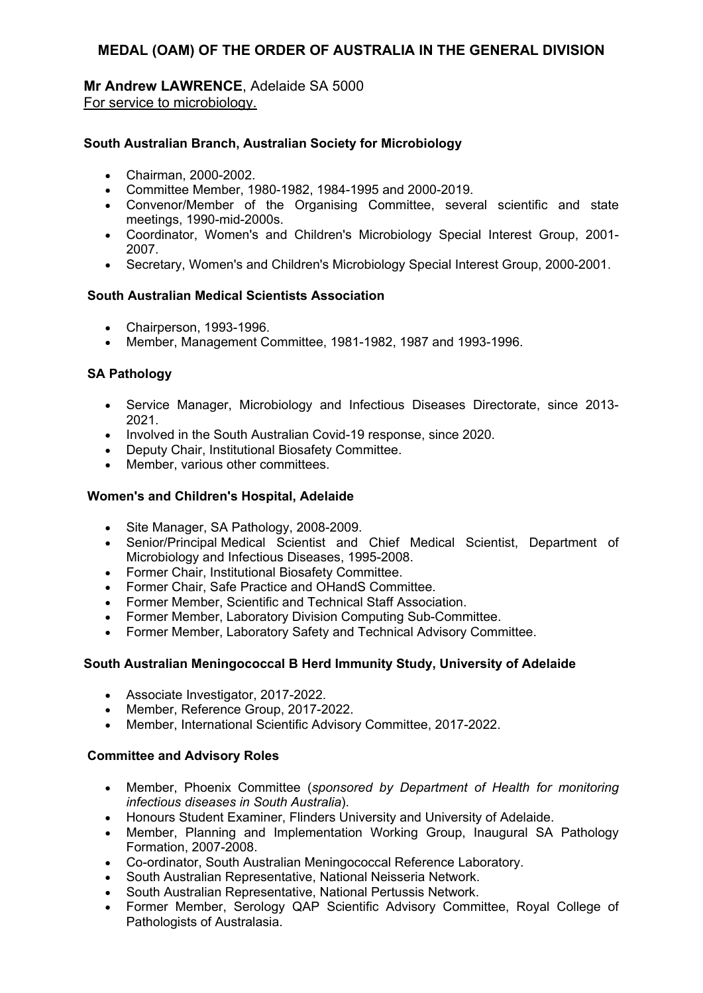#### **Mr Andrew LAWRENCE**, Adelaide SA 5000 For service to microbiology.

### **South Australian Branch, Australian Society for Microbiology**

- Chairman, 2000-2002.
- Committee Member, 1980-1982, 1984-1995 and 2000-2019.
- Convenor/Member of the Organising Committee, several scientific and state meetings, 1990-mid-2000s.
- Coordinator, Women's and Children's Microbiology Special Interest Group, 2001- 2007.
- Secretary, Women's and Children's Microbiology Special Interest Group, 2000-2001.

### **South Australian Medical Scientists Association**

- Chairperson, 1993-1996.
- Member, Management Committee, 1981-1982, 1987 and 1993-1996.

## **SA Pathology**

- Service Manager, Microbiology and Infectious Diseases Directorate, since 2013- 2021.
- Involved in the South Australian Covid-19 response, since 2020.
- Deputy Chair, Institutional Biosafety Committee.
- Member, various other committees.

## **Women's and Children's Hospital, Adelaide**

- Site Manager, SA Pathology, 2008-2009.
- Senior/Principal Medical Scientist and Chief Medical Scientist, Department of Microbiology and Infectious Diseases, 1995-2008.
- Former Chair, Institutional Biosafety Committee.
- Former Chair, Safe Practice and OHandS Committee.
- Former Member, Scientific and Technical Staff Association.
- Former Member, Laboratory Division Computing Sub-Committee.
- Former Member, Laboratory Safety and Technical Advisory Committee.

### **South Australian Meningococcal B Herd Immunity Study, University of Adelaide**

- Associate Investigator, 2017-2022.
- Member, Reference Group, 2017-2022.
- Member, International Scientific Advisory Committee, 2017-2022.

### **Committee and Advisory Roles**

- Member, Phoenix Committee (*sponsored by Department of Health for monitoring infectious diseases in South Australia*).
- Honours Student Examiner, Flinders University and University of Adelaide.
- Member, Planning and Implementation Working Group, Inaugural SA Pathology Formation, 2007-2008.
- Co-ordinator, South Australian Meningococcal Reference Laboratory.
- South Australian Representative, National Neisseria Network.
- South Australian Representative, National Pertussis Network.
- Former Member, Serology QAP Scientific Advisory Committee, Royal College of Pathologists of Australasia.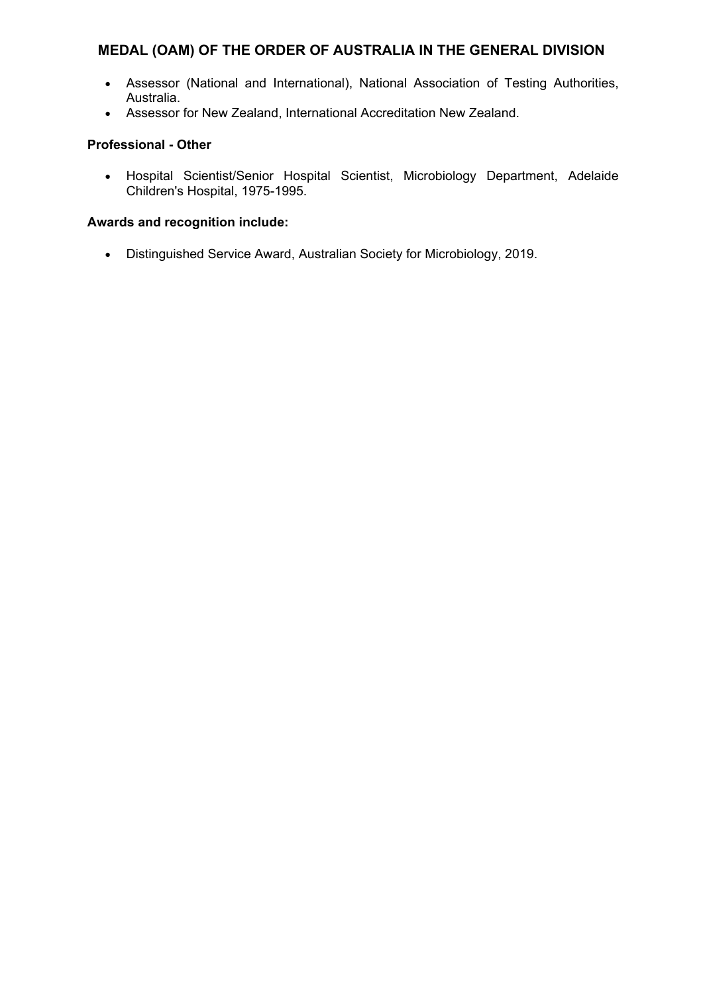- Assessor (National and International), National Association of Testing Authorities, Australia.
- Assessor for New Zealand, International Accreditation New Zealand.

## **Professional - Other**

 Hospital Scientist/Senior Hospital Scientist, Microbiology Department, Adelaide Children's Hospital, 1975-1995.

# **Awards and recognition include:**

Distinguished Service Award, Australian Society for Microbiology, 2019.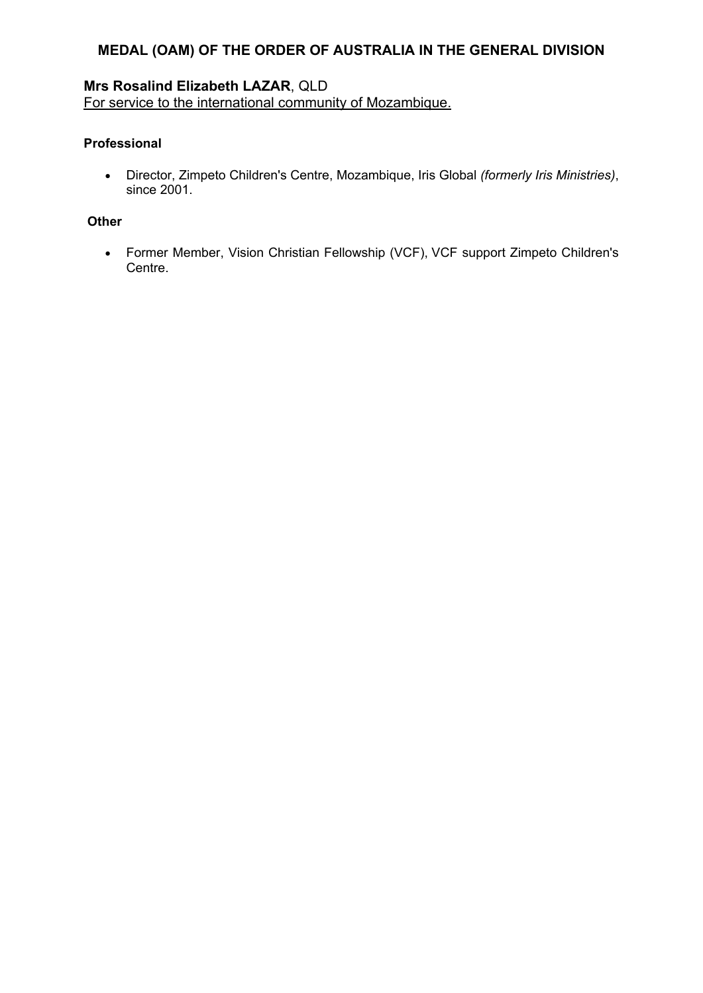# **Mrs Rosalind Elizabeth LAZAR**, QLD

For service to the international community of Mozambique.

## **Professional**

 Director, Zimpeto Children's Centre, Mozambique, Iris Global *(formerly Iris Ministries)*, since 2001.

## **Other**

 Former Member, Vision Christian Fellowship (VCF), VCF support Zimpeto Children's Centre.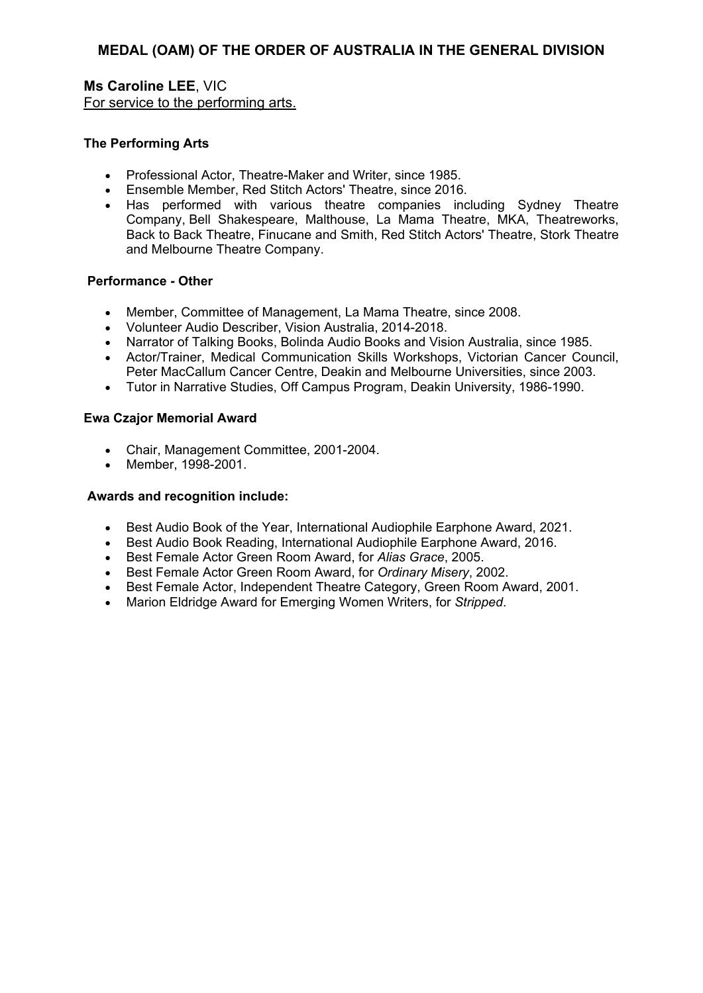**Ms Caroline LEE**, VIC For service to the performing arts.

## **The Performing Arts**

- Professional Actor, Theatre-Maker and Writer, since 1985.
- Ensemble Member, Red Stitch Actors' Theatre, since 2016.
- Has performed with various theatre companies including Sydney Theatre Company, Bell Shakespeare, Malthouse, La Mama Theatre, MKA, Theatreworks, Back to Back Theatre, Finucane and Smith, Red Stitch Actors' Theatre, Stork Theatre and Melbourne Theatre Company.

### **Performance - Other**

- Member, Committee of Management, La Mama Theatre, since 2008.
- Volunteer Audio Describer, Vision Australia, 2014-2018.
- Narrator of Talking Books, Bolinda Audio Books and Vision Australia, since 1985.
- Actor/Trainer, Medical Communication Skills Workshops, Victorian Cancer Council, Peter MacCallum Cancer Centre, Deakin and Melbourne Universities, since 2003.
- Tutor in Narrative Studies, Off Campus Program, Deakin University, 1986-1990.

### **Ewa Czajor Memorial Award**

- Chair, Management Committee, 2001-2004.
- Member, 1998-2001.

- Best Audio Book of the Year, International Audiophile Earphone Award, 2021.
- Best Audio Book Reading, International Audiophile Earphone Award, 2016.
- Best Female Actor Green Room Award, for *Alias Grace*, 2005.
- Best Female Actor Green Room Award, for *Ordinary Misery*, 2002.
- Best Female Actor, Independent Theatre Category, Green Room Award, 2001.
- Marion Eldridge Award for Emerging Women Writers, for *Stripped*.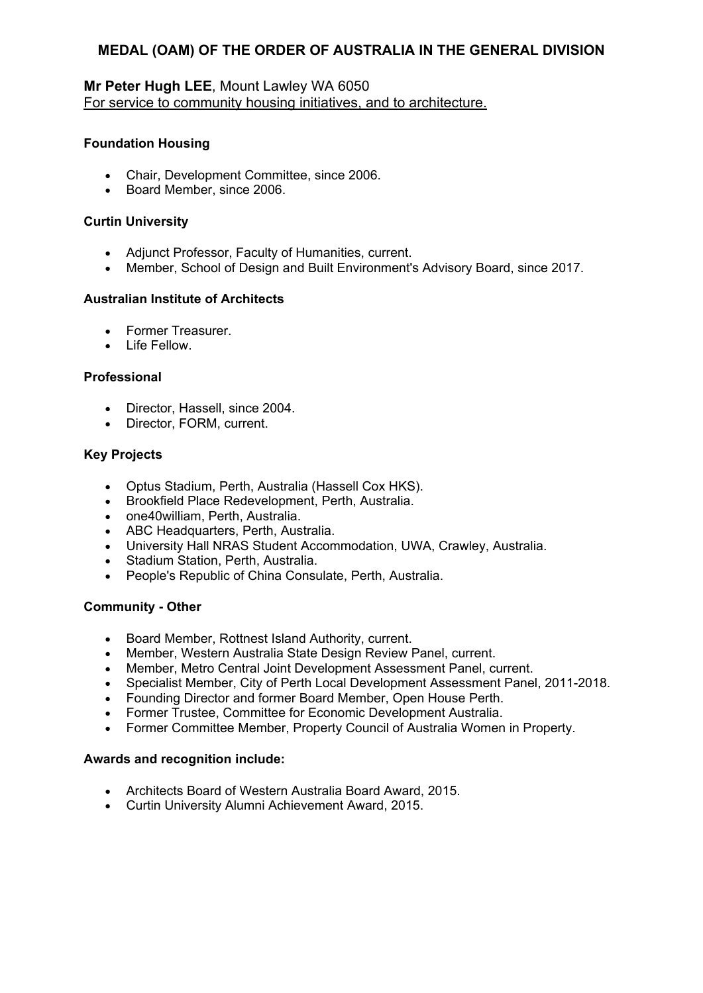## **Mr Peter Hugh LEE**, Mount Lawley WA 6050 For service to community housing initiatives, and to architecture.

## **Foundation Housing**

- Chair, Development Committee, since 2006.
- Board Member, since 2006.

## **Curtin University**

- Adjunct Professor, Faculty of Humanities, current.
- Member, School of Design and Built Environment's Advisory Board, since 2017.

## **Australian Institute of Architects**

- Former Treasurer.
- Life Fellow

## **Professional**

- Director, Hassell, since 2004.
- Director, FORM, current.

### **Key Projects**

- Optus Stadium, Perth, Australia (Hassell Cox HKS).
- Brookfield Place Redevelopment, Perth, Australia.
- one40william, Perth, Australia.
- ABC Headquarters, Perth, Australia.
- University Hall NRAS Student Accommodation, UWA, Crawley, Australia.
- Stadium Station, Perth, Australia.
- People's Republic of China Consulate, Perth, Australia.

### **Community - Other**

- Board Member, Rottnest Island Authority, current.
- Member, Western Australia State Design Review Panel, current.
- Member, Metro Central Joint Development Assessment Panel, current.
- Specialist Member, City of Perth Local Development Assessment Panel, 2011-2018.
- Founding Director and former Board Member, Open House Perth.
- Former Trustee, Committee for Economic Development Australia.
- Former Committee Member, Property Council of Australia Women in Property.

- Architects Board of Western Australia Board Award, 2015.
- Curtin University Alumni Achievement Award, 2015.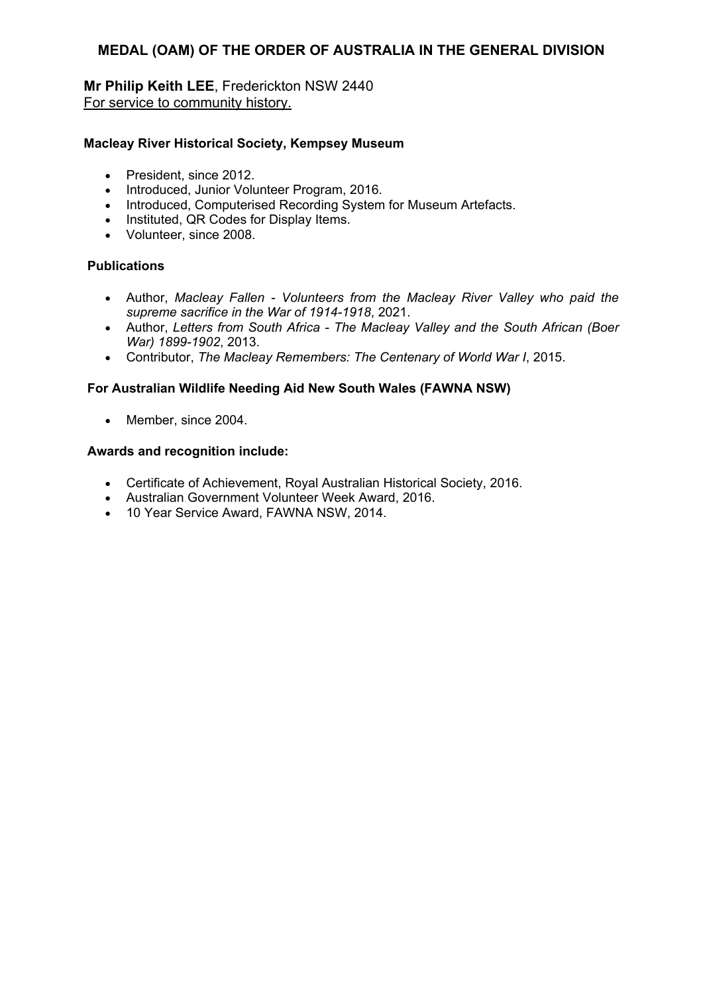**Mr Philip Keith LEE**, Frederickton NSW 2440 For service to community history.

#### **Macleay River Historical Society, Kempsey Museum**

- President, since 2012.
- Introduced, Junior Volunteer Program, 2016.
- Introduced, Computerised Recording System for Museum Artefacts.
- Instituted, QR Codes for Display Items.
- Volunteer, since 2008.

### **Publications**

- Author, *Macleay Fallen Volunteers from the Macleay River Valley who paid the supreme sacrifice in the War of 1914-1918*, 2021.
- Author, *Letters from South Africa The Macleay Valley and the South African (Boer War) 1899-1902*, 2013.
- Contributor, *The Macleay Remembers: The Centenary of World War I*, 2015.

### **For Australian Wildlife Needing Aid New South Wales (FAWNA NSW)**

• Member, since 2004.

- Certificate of Achievement, Royal Australian Historical Society, 2016.
- Australian Government Volunteer Week Award, 2016.
- 10 Year Service Award, FAWNA NSW, 2014.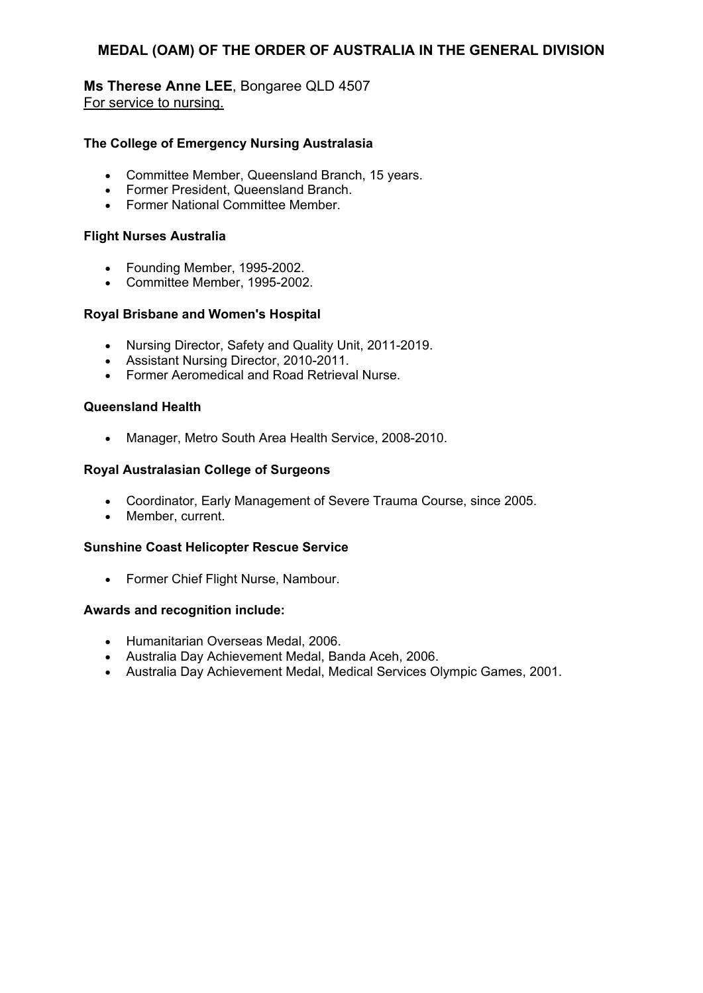### **Ms Therese Anne LEE**, Bongaree QLD 4507 For service to nursing.

### **The College of Emergency Nursing Australasia**

- Committee Member, Queensland Branch, 15 years.
- Former President, Queensland Branch.
- Former National Committee Member.

#### **Flight Nurses Australia**

- Founding Member, 1995-2002.
- Committee Member, 1995-2002.

#### **Royal Brisbane and Women's Hospital**

- Nursing Director, Safety and Quality Unit, 2011-2019.
- Assistant Nursing Director, 2010-2011.
- Former Aeromedical and Road Retrieval Nurse.

#### **Queensland Health**

Manager, Metro South Area Health Service, 2008-2010.

#### **Royal Australasian College of Surgeons**

- Coordinator, Early Management of Severe Trauma Course, since 2005.
- Member, current.

#### **Sunshine Coast Helicopter Rescue Service**

• Former Chief Flight Nurse, Nambour.

- Humanitarian Overseas Medal, 2006.
- Australia Day Achievement Medal, Banda Aceh, 2006.
- Australia Day Achievement Medal, Medical Services Olympic Games, 2001.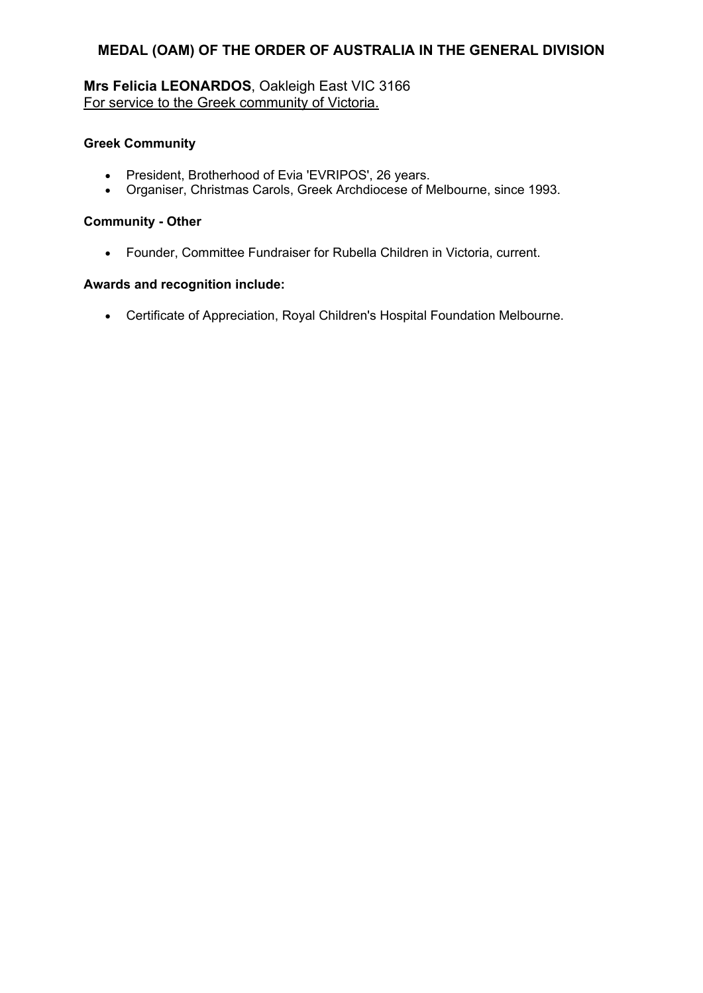# **Mrs Felicia LEONARDOS**, Oakleigh East VIC 3166 For service to the Greek community of Victoria.

## **Greek Community**

- President, Brotherhood of Evia 'EVRIPOS', 26 years.
- Organiser, Christmas Carols, Greek Archdiocese of Melbourne, since 1993.

## **Community - Other**

Founder, Committee Fundraiser for Rubella Children in Victoria, current.

## **Awards and recognition include:**

Certificate of Appreciation, Royal Children's Hospital Foundation Melbourne.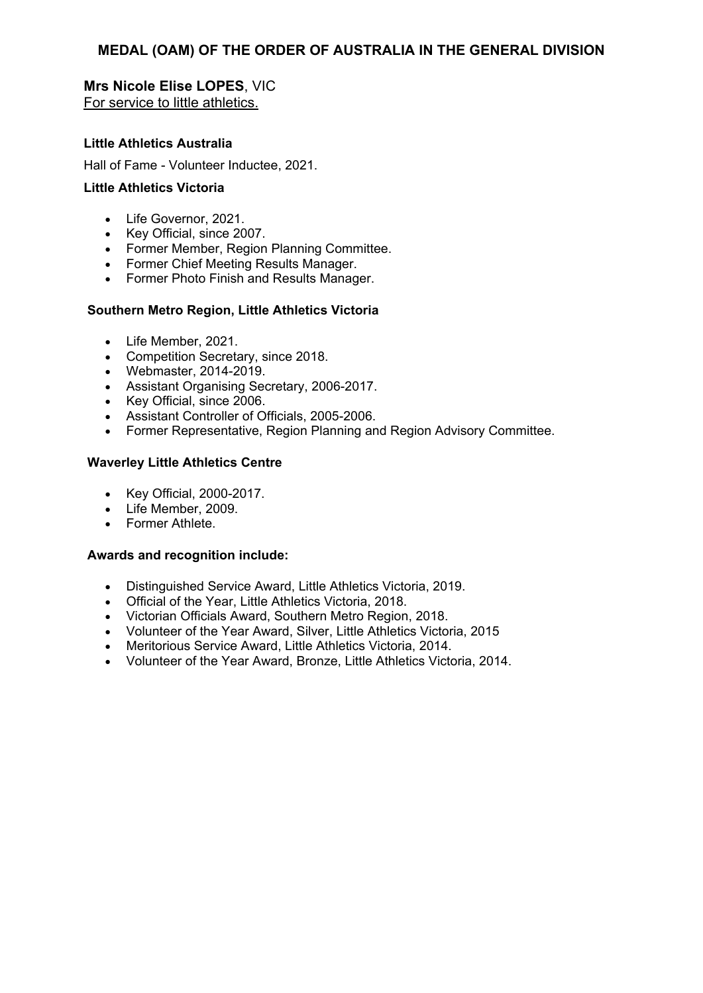## **Mrs Nicole Elise LOPES**, VIC For service to little athletics.

#### **Little Athletics Australia**

Hall of Fame - Volunteer Inductee, 2021.

### **Little Athletics Victoria**

- Life Governor, 2021.
- Key Official, since 2007.
- Former Member, Region Planning Committee.
- Former Chief Meeting Results Manager.
- Former Photo Finish and Results Manager.

#### **Southern Metro Region, Little Athletics Victoria**

- Life Member, 2021.
- Competition Secretary, since 2018.
- Webmaster, 2014-2019.
- Assistant Organising Secretary, 2006-2017.
- Key Official, since 2006.
- Assistant Controller of Officials, 2005-2006.
- Former Representative, Region Planning and Region Advisory Committee.

#### **Waverley Little Athletics Centre**

- Key Official, 2000-2017.
- Life Member, 2009.
- Former Athlete.

- Distinguished Service Award, Little Athletics Victoria, 2019.
- Official of the Year, Little Athletics Victoria, 2018.
- Victorian Officials Award, Southern Metro Region, 2018.
- Volunteer of the Year Award, Silver, Little Athletics Victoria, 2015
- Meritorious Service Award, Little Athletics Victoria, 2014.
- Volunteer of the Year Award, Bronze, Little Athletics Victoria, 2014.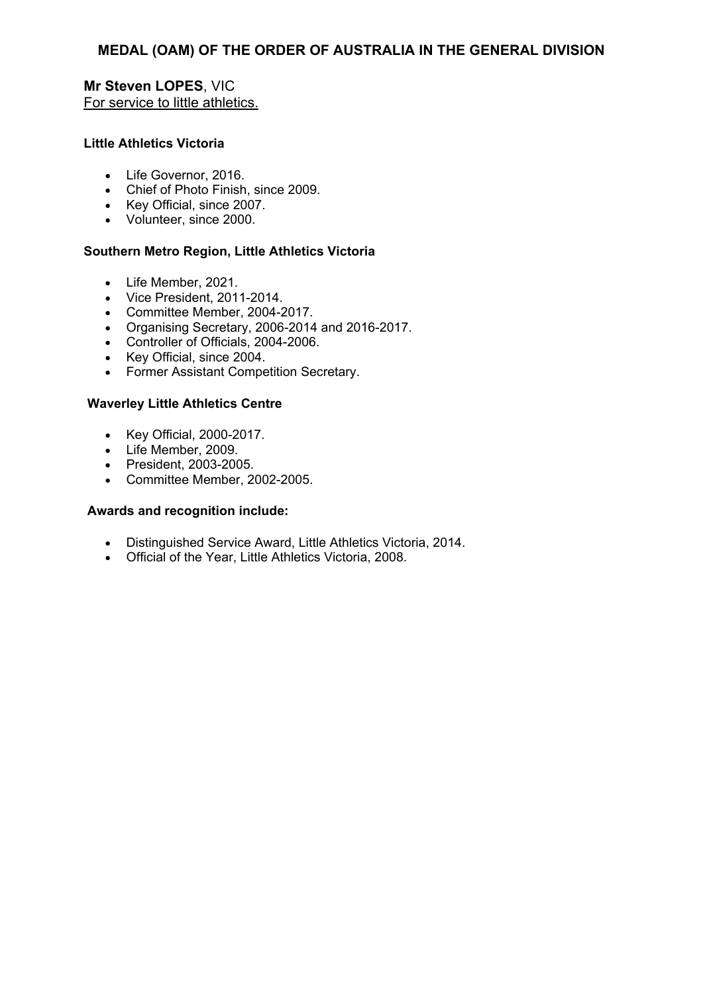## **Mr Steven LOPES**, VIC For service to little athletics.

### **Little Athletics Victoria**

- Life Governor, 2016.
- Chief of Photo Finish, since 2009.
- Key Official, since 2007.
- Volunteer, since 2000.

### **Southern Metro Region, Little Athletics Victoria**

- Life Member, 2021.
- Vice President, 2011-2014.
- Committee Member, 2004-2017.
- Organising Secretary, 2006-2014 and 2016-2017.
- Controller of Officials, 2004-2006.
- Key Official, since 2004.
- Former Assistant Competition Secretary.

#### **Waverley Little Athletics Centre**

- Key Official, 2000-2017.
- Life Member, 2009.
- President, 2003-2005.
- Committee Member, 2002-2005.

- Distinguished Service Award, Little Athletics Victoria, 2014.
- Official of the Year, Little Athletics Victoria, 2008.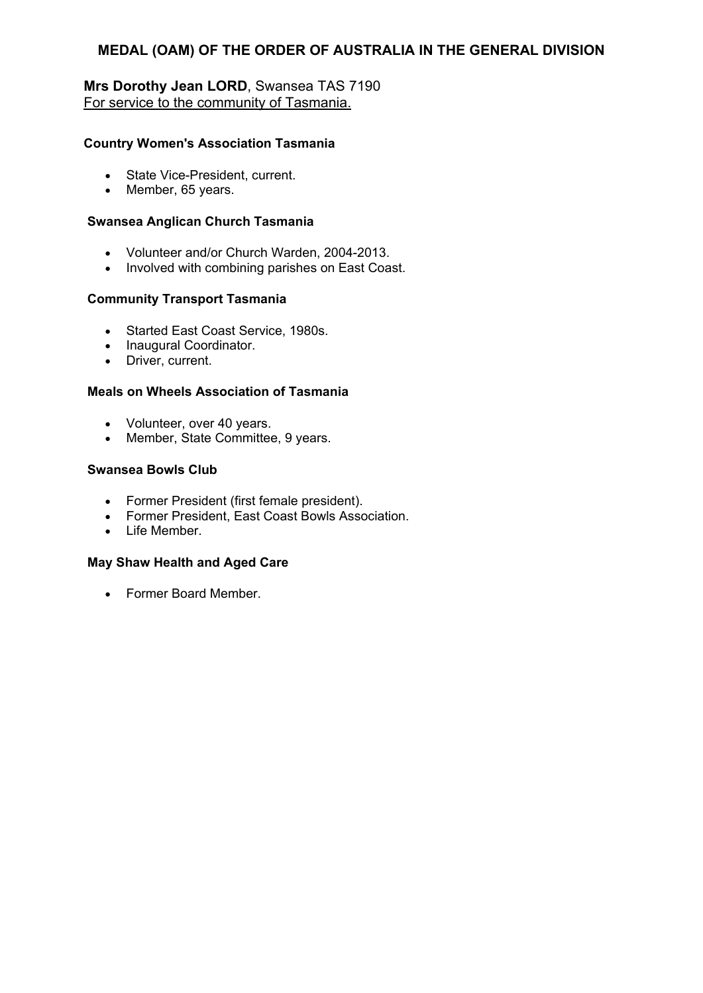## **Mrs Dorothy Jean LORD**, Swansea TAS 7190 For service to the community of Tasmania.

#### **Country Women's Association Tasmania**

- State Vice-President, current.
- Member, 65 years.

#### **Swansea Anglican Church Tasmania**

- Volunteer and/or Church Warden, 2004-2013.
- Involved with combining parishes on East Coast.

#### **Community Transport Tasmania**

- Started East Coast Service, 1980s.
- Inaugural Coordinator.
- Driver, current.

#### **Meals on Wheels Association of Tasmania**

- Volunteer, over 40 years.
- Member, State Committee, 9 years.

#### **Swansea Bowls Club**

- Former President (first female president).
- Former President. East Coast Bowls Association.
- $\bullet$  Life Member

## **May Shaw Health and Aged Care**

Former Board Member.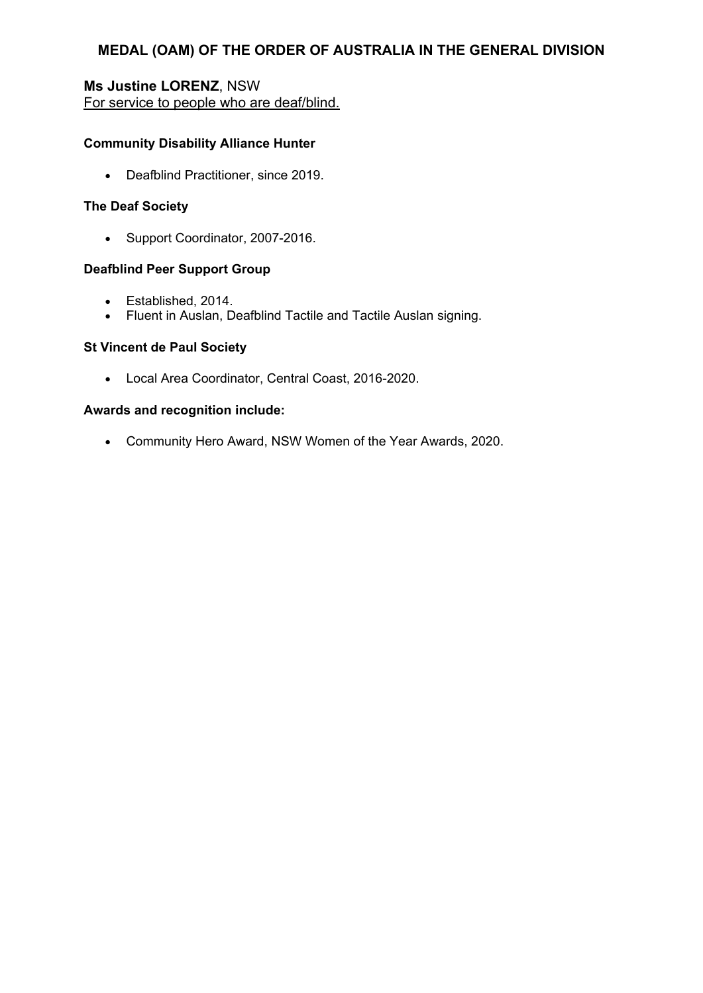## **Ms Justine LORENZ**, NSW For service to people who are deaf/blind.

## **Community Disability Alliance Hunter**

• Deafblind Practitioner, since 2019.

## **The Deaf Society**

• Support Coordinator, 2007-2016.

## **Deafblind Peer Support Group**

- Established, 2014.
- Fluent in Auslan, Deafblind Tactile and Tactile Auslan signing.

### **St Vincent de Paul Society**

Local Area Coordinator, Central Coast, 2016-2020.

### **Awards and recognition include:**

Community Hero Award, NSW Women of the Year Awards, 2020.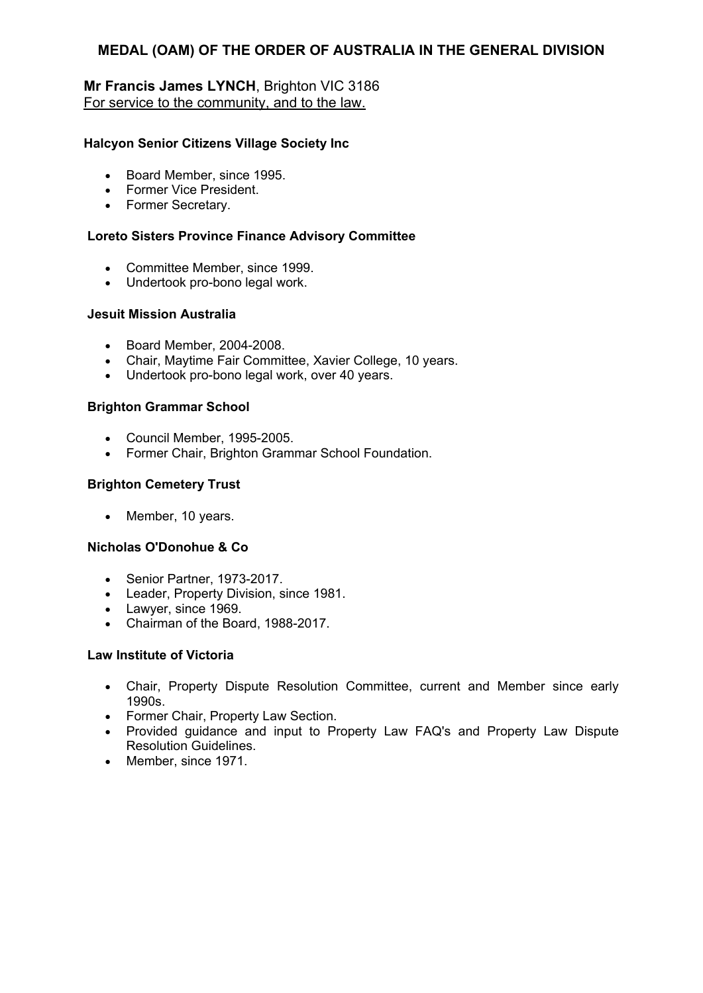## **Mr Francis James LYNCH**, Brighton VIC 3186 For service to the community, and to the law.

### **Halcyon Senior Citizens Village Society Inc**

- Board Member, since 1995.
- Former Vice President.
- Former Secretary.

## **Loreto Sisters Province Finance Advisory Committee**

- Committee Member, since 1999.
- Undertook pro-bono legal work.

### **Jesuit Mission Australia**

- Board Member, 2004-2008.
- Chair, Maytime Fair Committee, Xavier College, 10 years.
- Undertook pro-bono legal work, over 40 years.

### **Brighton Grammar School**

- Council Member, 1995-2005.
- Former Chair, Brighton Grammar School Foundation.

## **Brighton Cemetery Trust**

• Member, 10 years.

### **Nicholas O'Donohue & Co**

- Senior Partner, 1973-2017.
- Leader, Property Division, since 1981.
- Lawyer, since 1969.
- Chairman of the Board, 1988-2017.

### **Law Institute of Victoria**

- Chair, Property Dispute Resolution Committee, current and Member since early 1990s.
- Former Chair, Property Law Section.
- Provided guidance and input to Property Law FAQ's and Property Law Dispute Resolution Guidelines.
- Member, since 1971.